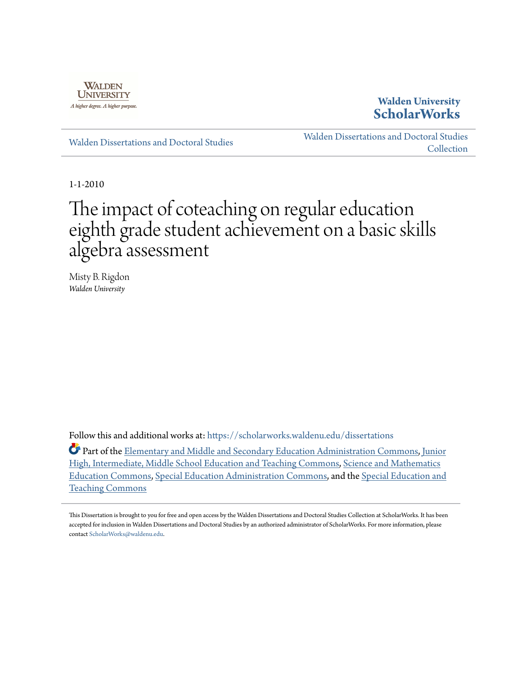

**Walden University [ScholarWorks](https://scholarworks.waldenu.edu?utm_source=scholarworks.waldenu.edu%2Fdissertations%2F783&utm_medium=PDF&utm_campaign=PDFCoverPages)**

[Walden Dissertations and Doctoral Studies](https://scholarworks.waldenu.edu/dissertations?utm_source=scholarworks.waldenu.edu%2Fdissertations%2F783&utm_medium=PDF&utm_campaign=PDFCoverPages)

[Walden Dissertations and Doctoral Studies](https://scholarworks.waldenu.edu/dissanddoc?utm_source=scholarworks.waldenu.edu%2Fdissertations%2F783&utm_medium=PDF&utm_campaign=PDFCoverPages) [Collection](https://scholarworks.waldenu.edu/dissanddoc?utm_source=scholarworks.waldenu.edu%2Fdissertations%2F783&utm_medium=PDF&utm_campaign=PDFCoverPages)

1-1-2010

# The impact of coteaching on regular education eighth grade student achievement on a basic skills algebra assessment

Misty B. Rigdon *Walden University*

Follow this and additional works at: [https://scholarworks.waldenu.edu/dissertations](https://scholarworks.waldenu.edu/dissertations?utm_source=scholarworks.waldenu.edu%2Fdissertations%2F783&utm_medium=PDF&utm_campaign=PDFCoverPages)

Part of the **Elementary and Middle and Secondary Education Administration Commons**, [Junior](http://network.bepress.com/hgg/discipline/807?utm_source=scholarworks.waldenu.edu%2Fdissertations%2F783&utm_medium=PDF&utm_campaign=PDFCoverPages) [High, Intermediate, Middle School Education and Teaching Commons,](http://network.bepress.com/hgg/discipline/807?utm_source=scholarworks.waldenu.edu%2Fdissertations%2F783&utm_medium=PDF&utm_campaign=PDFCoverPages) [Science and Mathematics](http://network.bepress.com/hgg/discipline/800?utm_source=scholarworks.waldenu.edu%2Fdissertations%2F783&utm_medium=PDF&utm_campaign=PDFCoverPages) [Education Commons](http://network.bepress.com/hgg/discipline/800?utm_source=scholarworks.waldenu.edu%2Fdissertations%2F783&utm_medium=PDF&utm_campaign=PDFCoverPages), [Special Education Administration Commons,](http://network.bepress.com/hgg/discipline/788?utm_source=scholarworks.waldenu.edu%2Fdissertations%2F783&utm_medium=PDF&utm_campaign=PDFCoverPages) and the [Special Education and](http://network.bepress.com/hgg/discipline/801?utm_source=scholarworks.waldenu.edu%2Fdissertations%2F783&utm_medium=PDF&utm_campaign=PDFCoverPages) [Teaching Commons](http://network.bepress.com/hgg/discipline/801?utm_source=scholarworks.waldenu.edu%2Fdissertations%2F783&utm_medium=PDF&utm_campaign=PDFCoverPages)

This Dissertation is brought to you for free and open access by the Walden Dissertations and Doctoral Studies Collection at ScholarWorks. It has been accepted for inclusion in Walden Dissertations and Doctoral Studies by an authorized administrator of ScholarWorks. For more information, please contact [ScholarWorks@waldenu.edu](mailto:ScholarWorks@waldenu.edu).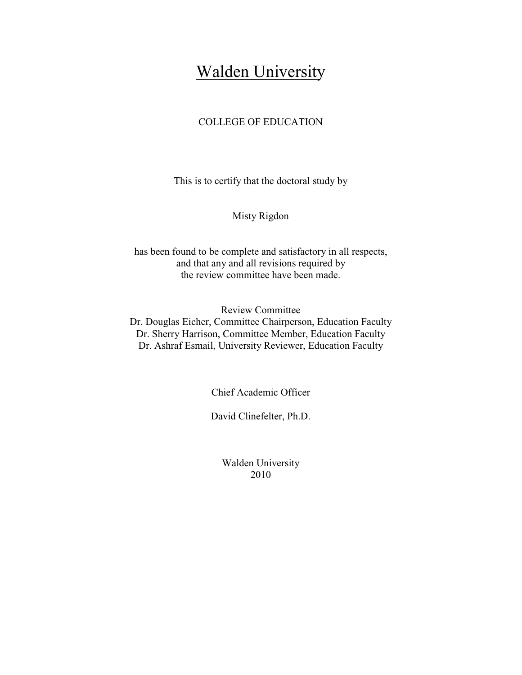## Walden University

## COLLEGE OF EDUCATION

This is to certify that the doctoral study by

Misty Rigdon

has been found to be complete and satisfactory in all respects, and that any and all revisions required by the review committee have been made.

Review Committee Dr. Douglas Eicher, Committee Chairperson, Education Faculty Dr. Sherry Harrison, Committee Member, Education Faculty Dr. Ashraf Esmail, University Reviewer, Education Faculty

Chief Academic Officer

David Clinefelter, Ph.D.

Walden University 2010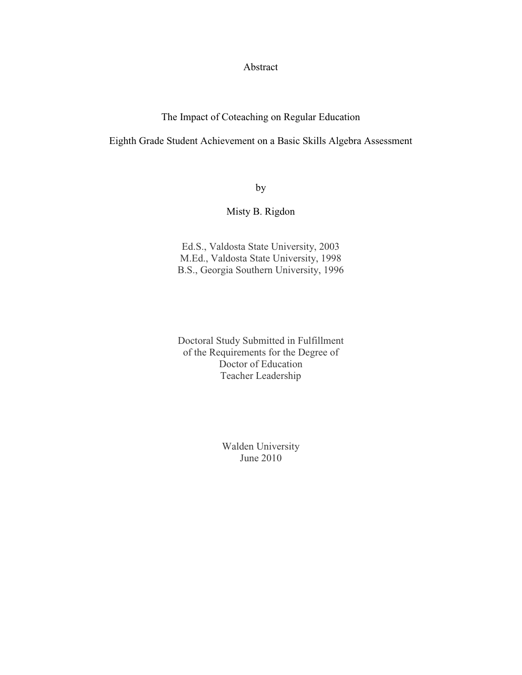Abstract

The Impact of Coteaching on Regular Education

Eighth Grade Student Achievement on a Basic Skills Algebra Assessment

by

## Misty B. Rigdon

Ed.S., Valdosta State University, 2003 M.Ed., Valdosta State University, 1998 B.S., Georgia Southern University, 1996

Doctoral Study Submitted in Fulfillment of the Requirements for the Degree of Doctor of Education Teacher Leadership

> Walden University June 2010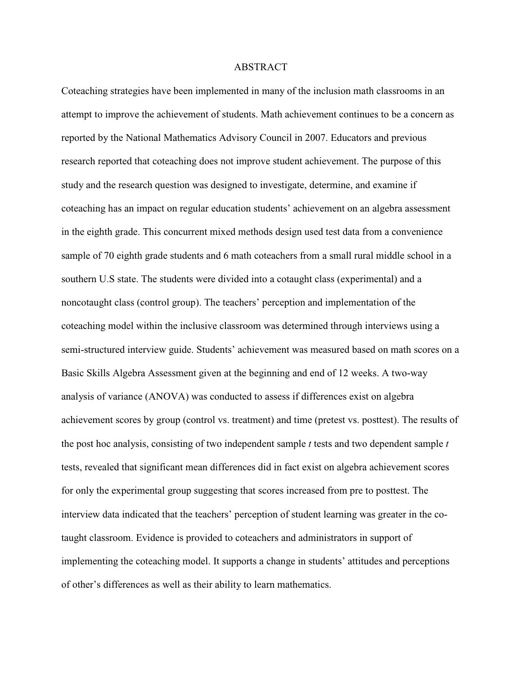#### ABSTRACT

Coteaching strategies have been implemented in many of the inclusion math classrooms in an attempt to improve the achievement of students. Math achievement continues to be a concern as reported by the National Mathematics Advisory Council in 2007. Educators and previous research reported that coteaching does not improve student achievement. The purpose of this study and the research question was designed to investigate, determine, and examine if coteaching has an impact on regular education students' achievement on an algebra assessment in the eighth grade. This concurrent mixed methods design used test data from a convenience sample of 70 eighth grade students and 6 math coteachers from a small rural middle school in a southern U.S state. The students were divided into a cotaught class (experimental) and a noncotaught class (control group). The teachers' perception and implementation of the coteaching model within the inclusive classroom was determined through interviews using a semi-structured interview guide. Students' achievement was measured based on math scores on a Basic Skills Algebra Assessment given at the beginning and end of 12 weeks. A two-way analysis of variance (ANOVA) was conducted to assess if differences exist on algebra achievement scores by group (control vs. treatment) and time (pretest vs. posttest). The results of the post hoc analysis, consisting of two independent sample *t* tests and two dependent sample *t* tests, revealed that significant mean differences did in fact exist on algebra achievement scores for only the experimental group suggesting that scores increased from pre to posttest. The interview data indicated that the teachers' perception of student learning was greater in the cotaught classroom. Evidence is provided to coteachers and administrators in support of implementing the coteaching model. It supports a change in students' attitudes and perceptions of other's differences as well as their ability to learn mathematics.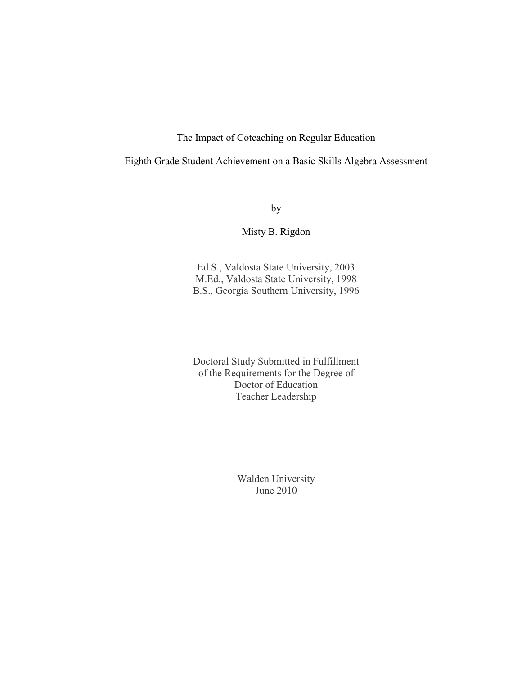The Impact of Coteaching on Regular Education

Eighth Grade Student Achievement on a Basic Skills Algebra Assessment

by

Misty B. Rigdon

Ed.S., Valdosta State University, 2003 M.Ed., Valdosta State University, 1998 B.S., Georgia Southern University, 1996

Doctoral Study Submitted in Fulfillment of the Requirements for the Degree of Doctor of Education Teacher Leadership

> Walden University June 2010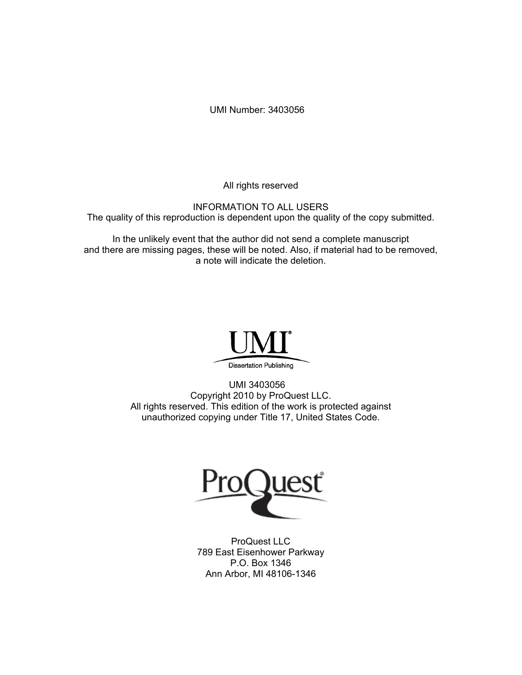UMI Number: 3403056

All rights reserved

INFORMATION TO ALL USERS The quality of this reproduction is dependent upon the quality of the copy submitted.

In the unlikely event that the author did not send a complete manuscript and there are missing pages, these will be noted. Also, if material had to be removed, a note will indicate the deletion.



UMI 3403056 Copyright 2010 by ProQuest LLC. All rights reserved. This edition of the work is protected against unauthorized copying under Title 17, United States Code.



ProQuest LLC 789 East Eisenhower Parkway P.O. Box 1346 Ann Arbor, MI 48106-1346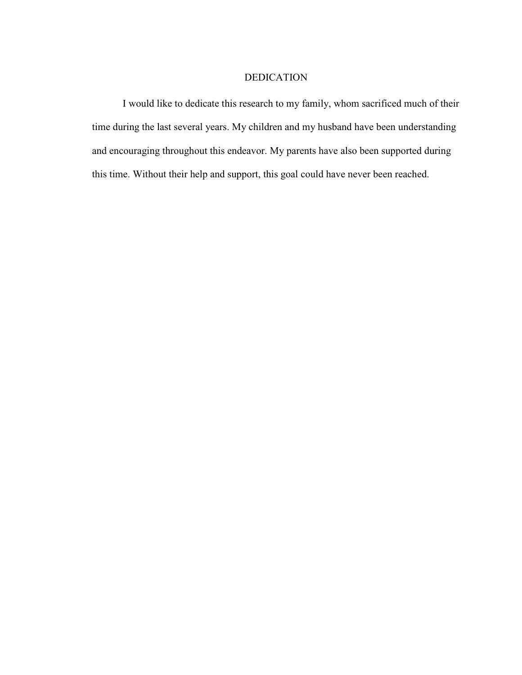## DEDICATION

I would like to dedicate this research to my family, whom sacrificed much of their time during the last several years. My children and my husband have been understanding and encouraging throughout this endeavor. My parents have also been supported during this time. Without their help and support, this goal could have never been reached.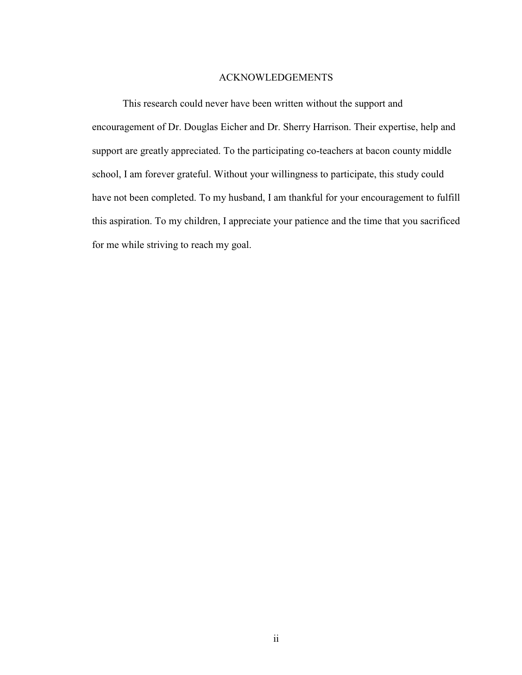#### ACKNOWLEDGEMENTS

This research could never have been written without the support and encouragement of Dr. Douglas Eicher and Dr. Sherry Harrison. Their expertise, help and support are greatly appreciated. To the participating co-teachers at bacon county middle school, I am forever grateful. Without your willingness to participate, this study could have not been completed. To my husband, I am thankful for your encouragement to fulfill this aspiration. To my children, I appreciate your patience and the time that you sacrificed for me while striving to reach my goal.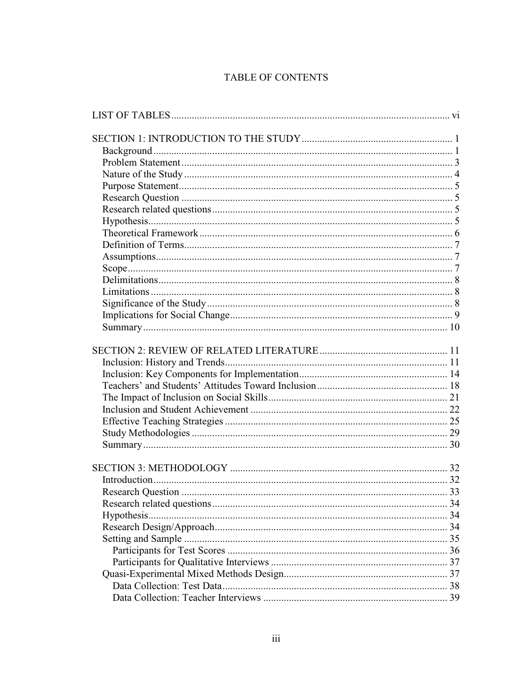## TABLE OF CONTENTS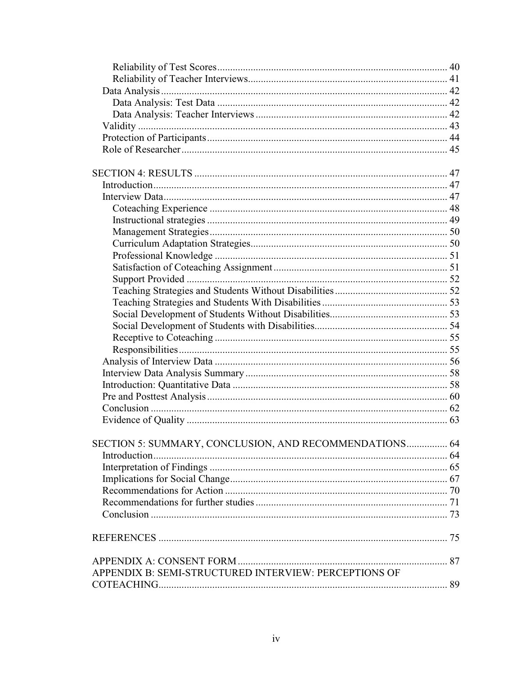| SECTION 5: SUMMARY, CONCLUSION, AND RECOMMENDATIONS 64 |  |
|--------------------------------------------------------|--|
|                                                        |  |
|                                                        |  |
|                                                        |  |
|                                                        |  |
|                                                        |  |
|                                                        |  |
|                                                        |  |
|                                                        |  |
|                                                        |  |
| APPENDIX B: SEMI-STRUCTURED INTERVIEW: PERCEPTIONS OF  |  |
|                                                        |  |
|                                                        |  |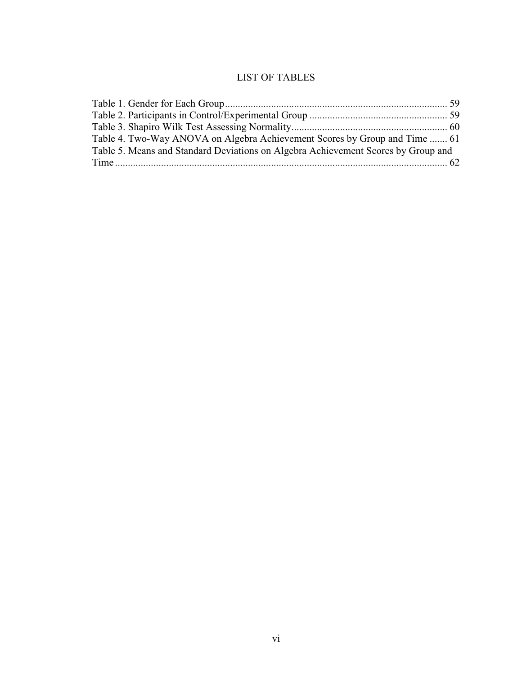## LIST OF TABLES

| Table 4. Two-Way ANOVA on Algebra Achievement Scores by Group and Time  61        |  |
|-----------------------------------------------------------------------------------|--|
| Table 5. Means and Standard Deviations on Algebra Achievement Scores by Group and |  |
|                                                                                   |  |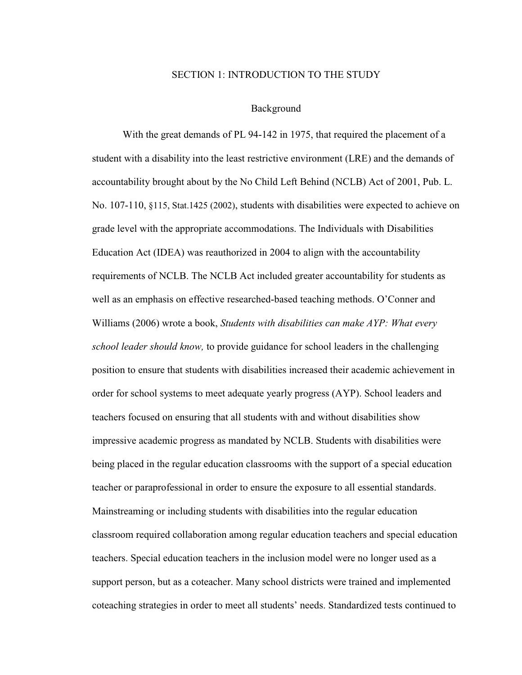#### SECTION 1: INTRODUCTION TO THE STUDY

#### Background

With the great demands of PL 94-142 in 1975, that required the placement of a student with a disability into the least restrictive environment (LRE) and the demands of accountability brought about by the No Child Left Behind (NCLB) Act of 2001, Pub. L. No. 107-110, §115, Stat.1425 (2002), students with disabilities were expected to achieve on grade level with the appropriate accommodations. The Individuals with Disabilities Education Act (IDEA) was reauthorized in 2004 to align with the accountability requirements of NCLB. The NCLB Act included greater accountability for students as well as an emphasis on effective researched-based teaching methods. O'Conner and Williams (2006) wrote a book, *Students with disabilities can make AYP: What every school leader should know,* to provide guidance for school leaders in the challenging position to ensure that students with disabilities increased their academic achievement in order for school systems to meet adequate yearly progress (AYP). School leaders and teachers focused on ensuring that all students with and without disabilities show impressive academic progress as mandated by NCLB. Students with disabilities were being placed in the regular education classrooms with the support of a special education teacher or paraprofessional in order to ensure the exposure to all essential standards. Mainstreaming or including students with disabilities into the regular education classroom required collaboration among regular education teachers and special education teachers. Special education teachers in the inclusion model were no longer used as a support person, but as a coteacher. Many school districts were trained and implemented coteaching strategies in order to meet all students' needs. Standardized tests continued to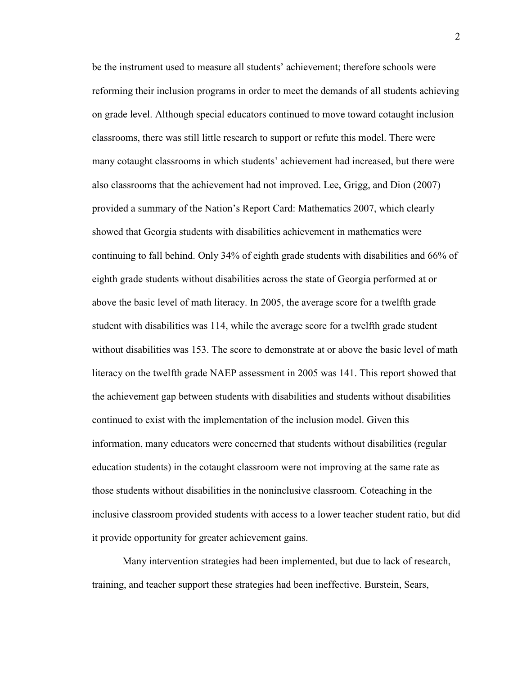be the instrument used to measure all students' achievement; therefore schools were reforming their inclusion programs in order to meet the demands of all students achieving on grade level. Although special educators continued to move toward cotaught inclusion classrooms, there was still little research to support or refute this model. There were many cotaught classrooms in which students' achievement had increased, but there were also classrooms that the achievement had not improved. Lee, Grigg, and Dion (2007) provided a summary of the Nation's Report Card: Mathematics 2007, which clearly showed that Georgia students with disabilities achievement in mathematics were continuing to fall behind. Only 34% of eighth grade students with disabilities and 66% of eighth grade students without disabilities across the state of Georgia performed at or above the basic level of math literacy. In 2005, the average score for a twelfth grade student with disabilities was 114, while the average score for a twelfth grade student without disabilities was 153. The score to demonstrate at or above the basic level of math literacy on the twelfth grade NAEP assessment in 2005 was 141. This report showed that the achievement gap between students with disabilities and students without disabilities continued to exist with the implementation of the inclusion model. Given this information, many educators were concerned that students without disabilities (regular education students) in the cotaught classroom were not improving at the same rate as those students without disabilities in the noninclusive classroom. Coteaching in the inclusive classroom provided students with access to a lower teacher student ratio, but did it provide opportunity for greater achievement gains.

Many intervention strategies had been implemented, but due to lack of research, training, and teacher support these strategies had been ineffective. Burstein, Sears,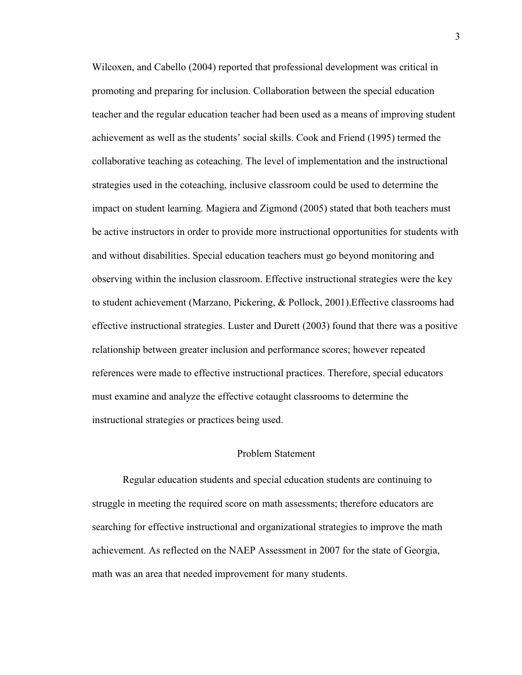Wilcoxen, and Cabello (2004) reported that professional development was critical in promoting and preparing for inclusion. Collaboration between the special education teacher and the regular education teacher had been used as a means of improving student achievement as well as the students' social skills. Cook and Friend (1995) termed the collaborative teaching as coteaching. The level of implementation and the instructional strategies used in the coteaching, inclusive classroom could be used to determine the impact on student learning. Magiera and Zigmond (2005) stated that both teachers must be active instructors in order to provide more instructional opportunities for students with and without disabilities. Special education teachers must go beyond monitoring and observing within the inclusion classroom. Effective instructional strategies were the key to student achievement (Marzano, Pickering, & Pollock, 2001).Effective classrooms had effective instructional strategies. Luster and Durett (2003) found that there was a positive relationship between greater inclusion and performance scores; however repeated references were made to effective instructional practices. Therefore, special educators must examine and analyze the effective cotaught classrooms to determine the instructional strategies or practices being used.

#### Problem Statement

Regular education students and special education students are continuing to struggle in meeting the required score on math assessments; therefore educators are searching for effective instructional and organizational strategies to improve the math achievement. As reflected on the NAEP Assessment in 2007 for the state of Georgia, math was an area that needed improvement for many students.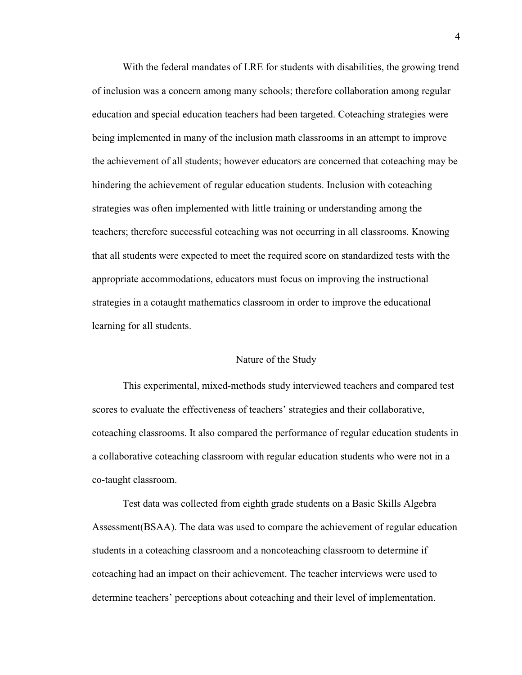With the federal mandates of LRE for students with disabilities, the growing trend of inclusion was a concern among many schools; therefore collaboration among regular education and special education teachers had been targeted. Coteaching strategies were being implemented in many of the inclusion math classrooms in an attempt to improve the achievement of all students; however educators are concerned that coteaching may be hindering the achievement of regular education students. Inclusion with coteaching strategies was often implemented with little training or understanding among the teachers; therefore successful coteaching was not occurring in all classrooms. Knowing that all students were expected to meet the required score on standardized tests with the appropriate accommodations, educators must focus on improving the instructional strategies in a cotaught mathematics classroom in order to improve the educational learning for all students.

#### Nature of the Study

This experimental, mixed-methods study interviewed teachers and compared test scores to evaluate the effectiveness of teachers' strategies and their collaborative, coteaching classrooms. It also compared the performance of regular education students in a collaborative coteaching classroom with regular education students who were not in a co-taught classroom.

Test data was collected from eighth grade students on a Basic Skills Algebra Assessment(BSAA). The data was used to compare the achievement of regular education students in a coteaching classroom and a noncoteaching classroom to determine if coteaching had an impact on their achievement. The teacher interviews were used to determine teachers' perceptions about coteaching and their level of implementation.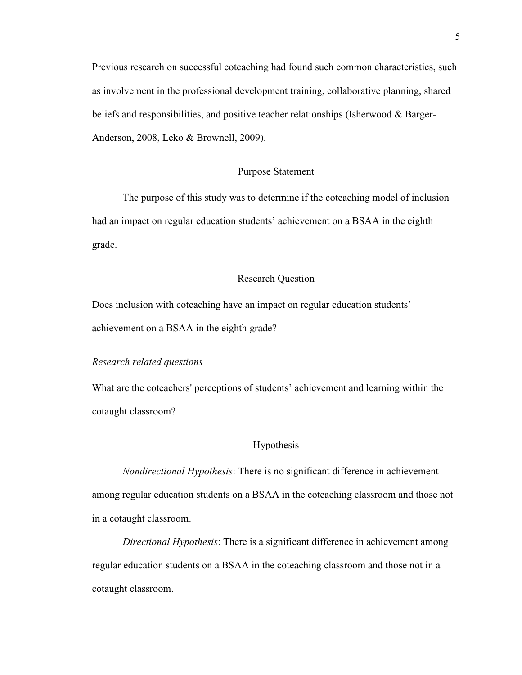Previous research on successful coteaching had found such common characteristics, such as involvement in the professional development training, collaborative planning, shared beliefs and responsibilities, and positive teacher relationships (Isherwood & Barger-Anderson, 2008, Leko & Brownell, 2009).

#### Purpose Statement

The purpose of this study was to determine if the coteaching model of inclusion had an impact on regular education students' achievement on a BSAA in the eighth grade.

#### Research Question

Does inclusion with coteaching have an impact on regular education students' achievement on a BSAA in the eighth grade?

#### *Research related questions*

What are the coteachers' perceptions of students' achievement and learning within the cotaught classroom?

#### Hypothesis

*Nondirectional Hypothesis*: There is no significant difference in achievement among regular education students on a BSAA in the coteaching classroom and those not in a cotaught classroom.

*Directional Hypothesis*: There is a significant difference in achievement among regular education students on a BSAA in the coteaching classroom and those not in a cotaught classroom.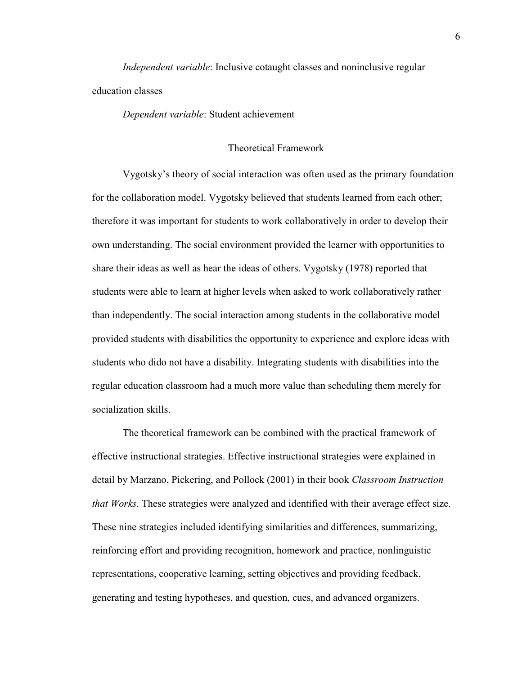*Independent variable*: Inclusive cotaught classes and noninclusive regular education classes

*Dependent variable*: Student achievement

#### Theoretical Framework

Vygotsky's theory of social interaction was often used as the primary foundation for the collaboration model. Vygotsky believed that students learned from each other; therefore it was important for students to work collaboratively in order to develop their own understanding. The social environment provided the learner with opportunities to share their ideas as well as hear the ideas of others. Vygotsky (1978) reported that students were able to learn at higher levels when asked to work collaboratively rather than independently. The social interaction among students in the collaborative model provided students with disabilities the opportunity to experience and explore ideas with students who dido not have a disability. Integrating students with disabilities into the regular education classroom had a much more value than scheduling them merely for socialization skills.

The theoretical framework can be combined with the practical framework of effective instructional strategies. Effective instructional strategies were explained in detail by Marzano, Pickering, and Pollock (2001) in their book *Classroom Instruction that Works*. These strategies were analyzed and identified with their average effect size. These nine strategies included identifying similarities and differences, summarizing, reinforcing effort and providing recognition, homework and practice, nonlinguistic representations, cooperative learning, setting objectives and providing feedback, generating and testing hypotheses, and question, cues, and advanced organizers.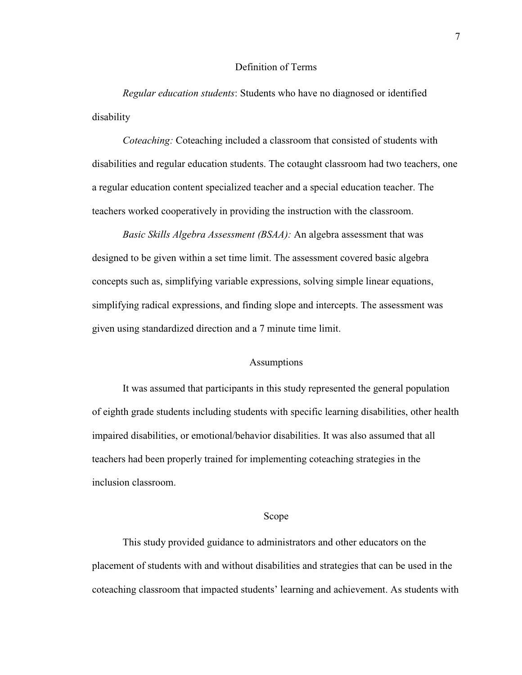#### Definition of Terms

*Regular education students*: Students who have no diagnosed or identified disability

*Coteaching:* Coteaching included a classroom that consisted of students with disabilities and regular education students. The cotaught classroom had two teachers, one a regular education content specialized teacher and a special education teacher. The teachers worked cooperatively in providing the instruction with the classroom.

*Basic Skills Algebra Assessment (BSAA):* An algebra assessment that was designed to be given within a set time limit. The assessment covered basic algebra concepts such as, simplifying variable expressions, solving simple linear equations, simplifying radical expressions, and finding slope and intercepts. The assessment was given using standardized direction and a 7 minute time limit.

#### Assumptions

It was assumed that participants in this study represented the general population of eighth grade students including students with specific learning disabilities, other health impaired disabilities, or emotional/behavior disabilities. It was also assumed that all teachers had been properly trained for implementing coteaching strategies in the inclusion classroom.

#### Scope

 This study provided guidance to administrators and other educators on the placement of students with and without disabilities and strategies that can be used in the coteaching classroom that impacted students' learning and achievement. As students with

7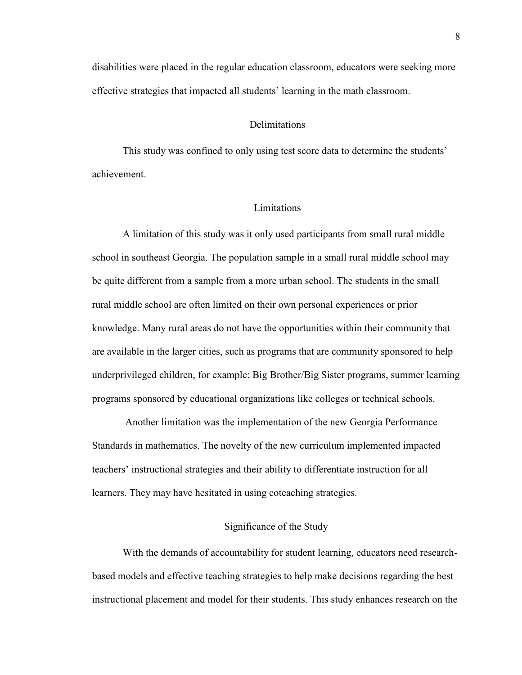disabilities were placed in the regular education classroom, educators were seeking more effective strategies that impacted all students' learning in the math classroom.

#### **Delimitations**

This study was confined to only using test score data to determine the students' achievement.

#### **Limitations**

A limitation of this study was it only used participants from small rural middle school in southeast Georgia. The population sample in a small rural middle school may be quite different from a sample from a more urban school. The students in the small rural middle school are often limited on their own personal experiences or prior knowledge. Many rural areas do not have the opportunities within their community that are available in the larger cities, such as programs that are community sponsored to help underprivileged children, for example: Big Brother/Big Sister programs, summer learning programs sponsored by educational organizations like colleges or technical schools.

 Another limitation was the implementation of the new Georgia Performance Standards in mathematics. The novelty of the new curriculum implemented impacted teachers' instructional strategies and their ability to differentiate instruction for all learners. They may have hesitated in using coteaching strategies.

#### Significance of the Study

With the demands of accountability for student learning, educators need researchbased models and effective teaching strategies to help make decisions regarding the best instructional placement and model for their students. This study enhances research on the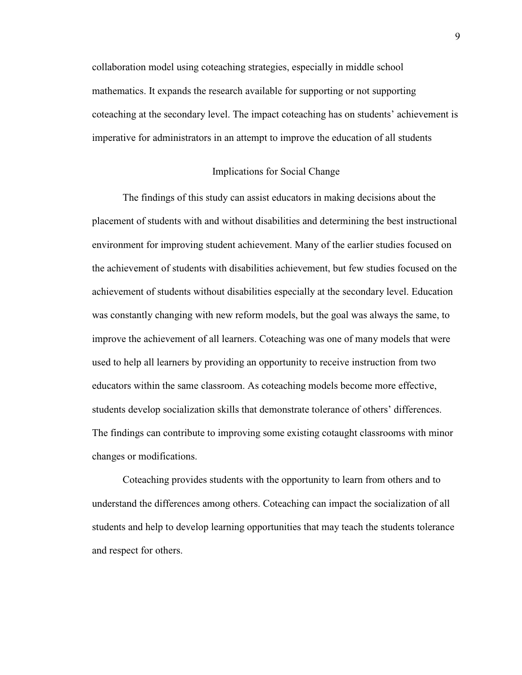collaboration model using coteaching strategies, especially in middle school mathematics. It expands the research available for supporting or not supporting coteaching at the secondary level. The impact coteaching has on students' achievement is imperative for administrators in an attempt to improve the education of all students

#### Implications for Social Change

The findings of this study can assist educators in making decisions about the placement of students with and without disabilities and determining the best instructional environment for improving student achievement. Many of the earlier studies focused on the achievement of students with disabilities achievement, but few studies focused on the achievement of students without disabilities especially at the secondary level. Education was constantly changing with new reform models, but the goal was always the same, to improve the achievement of all learners. Coteaching was one of many models that were used to help all learners by providing an opportunity to receive instruction from two educators within the same classroom. As coteaching models become more effective, students develop socialization skills that demonstrate tolerance of others' differences. The findings can contribute to improving some existing cotaught classrooms with minor changes or modifications.

Coteaching provides students with the opportunity to learn from others and to understand the differences among others. Coteaching can impact the socialization of all students and help to develop learning opportunities that may teach the students tolerance and respect for others.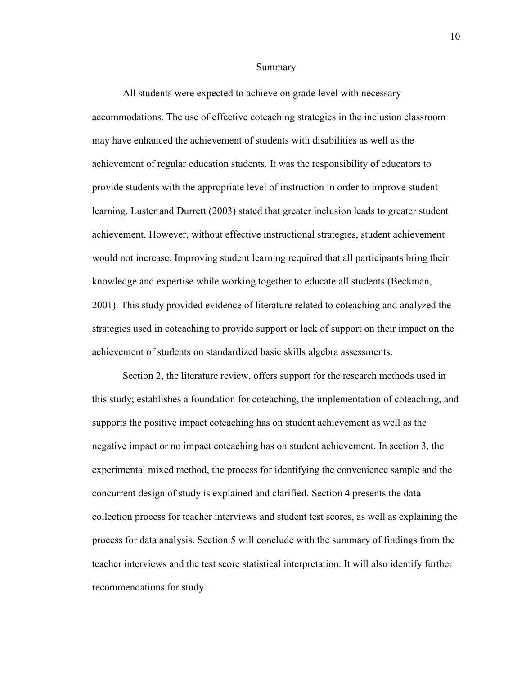#### Summary

All students were expected to achieve on grade level with necessary accommodations. The use of effective coteaching strategies in the inclusion classroom may have enhanced the achievement of students with disabilities as well as the achievement of regular education students. It was the responsibility of educators to provide students with the appropriate level of instruction in order to improve student learning. Luster and Durrett (2003) stated that greater inclusion leads to greater student achievement. However, without effective instructional strategies, student achievement would not increase. Improving student learning required that all participants bring their knowledge and expertise while working together to educate all students (Beckman, 2001). This study provided evidence of literature related to coteaching and analyzed the strategies used in coteaching to provide support or lack of support on their impact on the achievement of students on standardized basic skills algebra assessments.

Section 2, the literature review, offers support for the research methods used in this study; establishes a foundation for coteaching, the implementation of coteaching, and supports the positive impact coteaching has on student achievement as well as the negative impact or no impact coteaching has on student achievement. In section 3, the experimental mixed method, the process for identifying the convenience sample and the concurrent design of study is explained and clarified. Section 4 presents the data collection process for teacher interviews and student test scores, as well as explaining the process for data analysis. Section 5 will conclude with the summary of findings from the teacher interviews and the test score statistical interpretation. It will also identify further recommendations for study.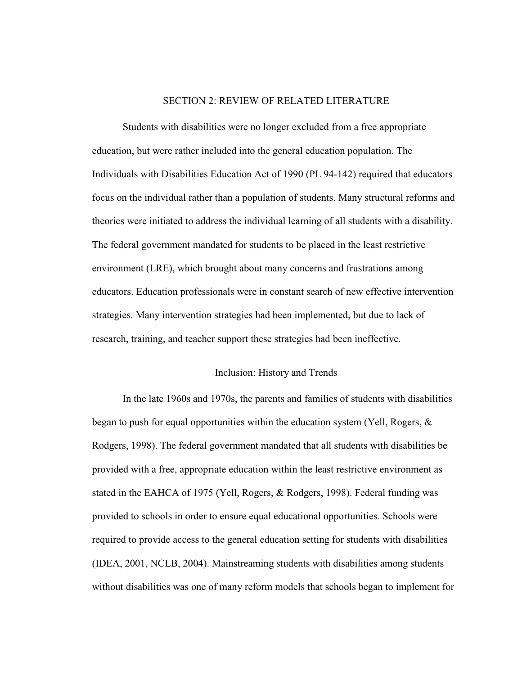#### SECTION 2: REVIEW OF RELATED LITERATURE

Students with disabilities were no longer excluded from a free appropriate education, but were rather included into the general education population. The Individuals with Disabilities Education Act of 1990 (PL 94-142) required that educators focus on the individual rather than a population of students. Many structural reforms and theories were initiated to address the individual learning of all students with a disability. The federal government mandated for students to be placed in the least restrictive environment (LRE), which brought about many concerns and frustrations among educators. Education professionals were in constant search of new effective intervention strategies. Many intervention strategies had been implemented, but due to lack of research, training, and teacher support these strategies had been ineffective.

#### Inclusion: History and Trends

 In the late 1960s and 1970s, the parents and families of students with disabilities began to push for equal opportunities within the education system (Yell, Rogers, & Rodgers, 1998). The federal government mandated that all students with disabilities be provided with a free, appropriate education within the least restrictive environment as stated in the EAHCA of 1975 (Yell, Rogers, & Rodgers, 1998). Federal funding was provided to schools in order to ensure equal educational opportunities. Schools were required to provide access to the general education setting for students with disabilities (IDEA, 2001, NCLB, 2004). Mainstreaming students with disabilities among students without disabilities was one of many reform models that schools began to implement for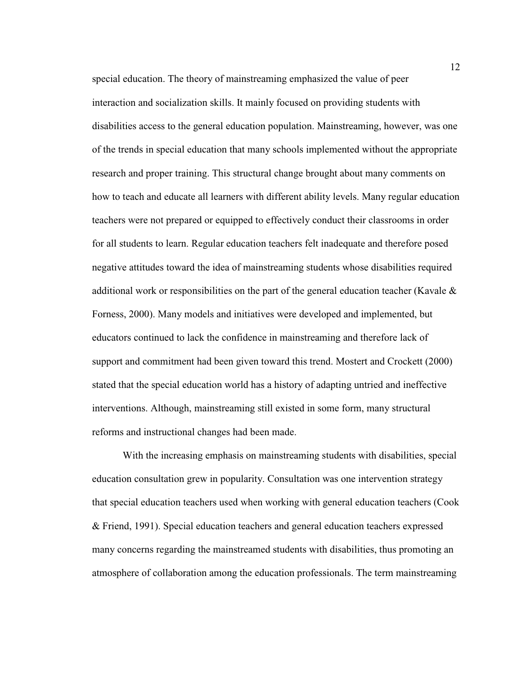special education. The theory of mainstreaming emphasized the value of peer interaction and socialization skills. It mainly focused on providing students with disabilities access to the general education population. Mainstreaming, however, was one of the trends in special education that many schools implemented without the appropriate research and proper training. This structural change brought about many comments on how to teach and educate all learners with different ability levels. Many regular education teachers were not prepared or equipped to effectively conduct their classrooms in order for all students to learn. Regular education teachers felt inadequate and therefore posed negative attitudes toward the idea of mainstreaming students whose disabilities required additional work or responsibilities on the part of the general education teacher (Kavale & Forness, 2000). Many models and initiatives were developed and implemented, but educators continued to lack the confidence in mainstreaming and therefore lack of support and commitment had been given toward this trend. Mostert and Crockett (2000) stated that the special education world has a history of adapting untried and ineffective interventions. Although, mainstreaming still existed in some form, many structural reforms and instructional changes had been made.

 With the increasing emphasis on mainstreaming students with disabilities, special education consultation grew in popularity. Consultation was one intervention strategy that special education teachers used when working with general education teachers (Cook & Friend, 1991). Special education teachers and general education teachers expressed many concerns regarding the mainstreamed students with disabilities, thus promoting an atmosphere of collaboration among the education professionals. The term mainstreaming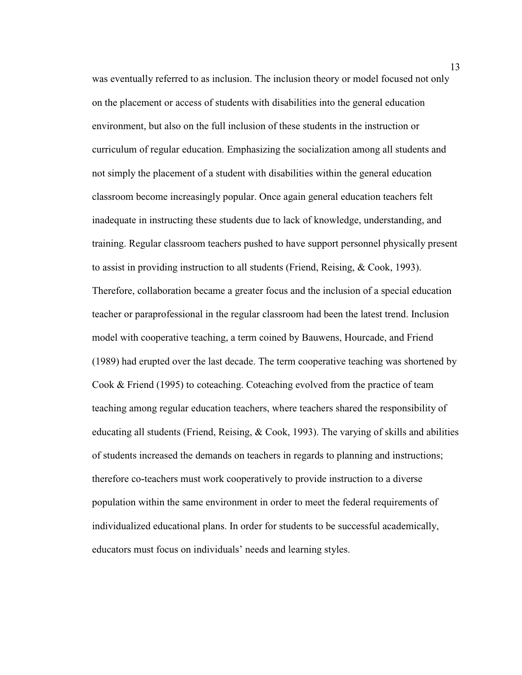was eventually referred to as inclusion. The inclusion theory or model focused not only on the placement or access of students with disabilities into the general education environment, but also on the full inclusion of these students in the instruction or curriculum of regular education. Emphasizing the socialization among all students and not simply the placement of a student with disabilities within the general education classroom become increasingly popular. Once again general education teachers felt inadequate in instructing these students due to lack of knowledge, understanding, and training. Regular classroom teachers pushed to have support personnel physically present to assist in providing instruction to all students (Friend, Reising, & Cook, 1993). Therefore, collaboration became a greater focus and the inclusion of a special education teacher or paraprofessional in the regular classroom had been the latest trend. Inclusion model with cooperative teaching, a term coined by Bauwens, Hourcade, and Friend (1989) had erupted over the last decade. The term cooperative teaching was shortened by Cook & Friend (1995) to coteaching. Coteaching evolved from the practice of team teaching among regular education teachers, where teachers shared the responsibility of educating all students (Friend, Reising,  $& Cook, 1993$ ). The varying of skills and abilities of students increased the demands on teachers in regards to planning and instructions; therefore co-teachers must work cooperatively to provide instruction to a diverse population within the same environment in order to meet the federal requirements of individualized educational plans. In order for students to be successful academically, educators must focus on individuals' needs and learning styles.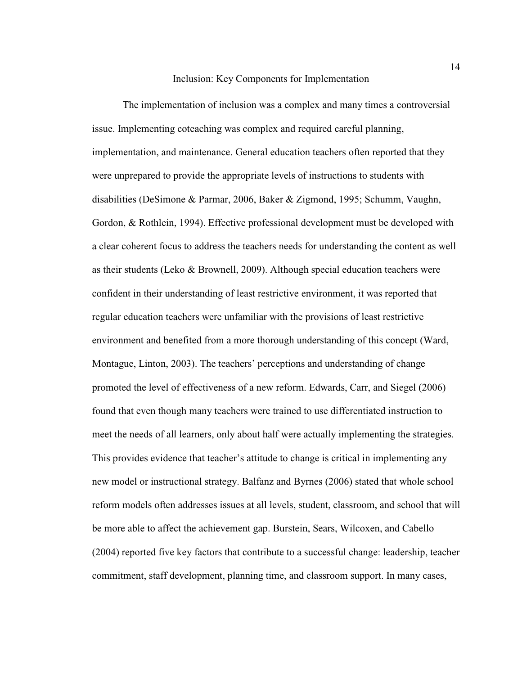#### Inclusion: Key Components for Implementation

The implementation of inclusion was a complex and many times a controversial issue. Implementing coteaching was complex and required careful planning, implementation, and maintenance. General education teachers often reported that they were unprepared to provide the appropriate levels of instructions to students with disabilities (DeSimone & Parmar, 2006, Baker & Zigmond, 1995; Schumm, Vaughn, Gordon, & Rothlein, 1994). Effective professional development must be developed with a clear coherent focus to address the teachers needs for understanding the content as well as their students (Leko & Brownell, 2009). Although special education teachers were confident in their understanding of least restrictive environment, it was reported that regular education teachers were unfamiliar with the provisions of least restrictive environment and benefited from a more thorough understanding of this concept (Ward, Montague, Linton, 2003). The teachers' perceptions and understanding of change promoted the level of effectiveness of a new reform. Edwards, Carr, and Siegel (2006) found that even though many teachers were trained to use differentiated instruction to meet the needs of all learners, only about half were actually implementing the strategies. This provides evidence that teacher's attitude to change is critical in implementing any new model or instructional strategy. Balfanz and Byrnes (2006) stated that whole school reform models often addresses issues at all levels, student, classroom, and school that will be more able to affect the achievement gap. Burstein, Sears, Wilcoxen, and Cabello (2004) reported five key factors that contribute to a successful change: leadership, teacher commitment, staff development, planning time, and classroom support. In many cases,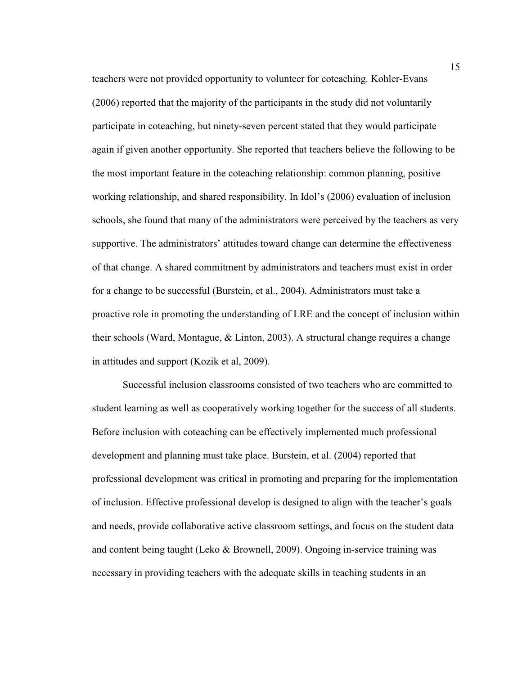teachers were not provided opportunity to volunteer for coteaching. Kohler-Evans (2006) reported that the majority of the participants in the study did not voluntarily participate in coteaching, but ninety-seven percent stated that they would participate again if given another opportunity. She reported that teachers believe the following to be the most important feature in the coteaching relationship: common planning, positive working relationship, and shared responsibility. In Idol's (2006) evaluation of inclusion schools, she found that many of the administrators were perceived by the teachers as very supportive. The administrators' attitudes toward change can determine the effectiveness of that change. A shared commitment by administrators and teachers must exist in order for a change to be successful (Burstein, et al., 2004). Administrators must take a proactive role in promoting the understanding of LRE and the concept of inclusion within their schools (Ward, Montague, & Linton, 2003). A structural change requires a change in attitudes and support (Kozik et al, 2009).

 Successful inclusion classrooms consisted of two teachers who are committed to student learning as well as cooperatively working together for the success of all students. Before inclusion with coteaching can be effectively implemented much professional development and planning must take place. Burstein, et al. (2004) reported that professional development was critical in promoting and preparing for the implementation of inclusion. Effective professional develop is designed to align with the teacher's goals and needs, provide collaborative active classroom settings, and focus on the student data and content being taught (Leko & Brownell, 2009). Ongoing in-service training was necessary in providing teachers with the adequate skills in teaching students in an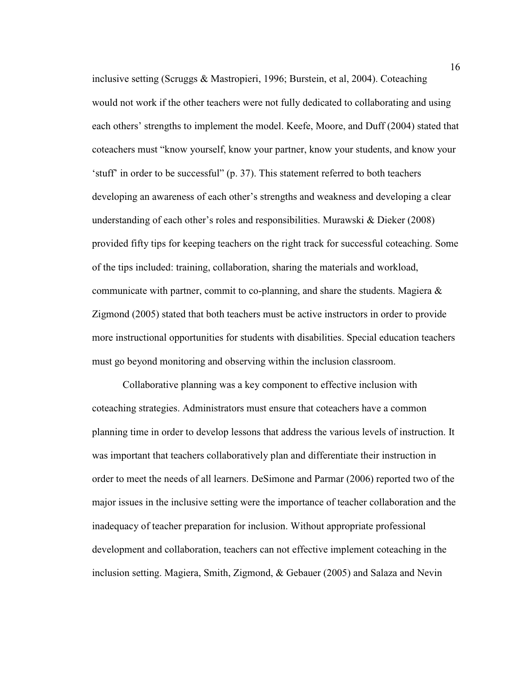inclusive setting (Scruggs & Mastropieri, 1996; Burstein, et al, 2004). Coteaching would not work if the other teachers were not fully dedicated to collaborating and using each others' strengths to implement the model. Keefe, Moore, and Duff (2004) stated that coteachers must "know yourself, know your partner, know your students, and know your 'stuff' in order to be successful" (p. 37). This statement referred to both teachers developing an awareness of each other's strengths and weakness and developing a clear understanding of each other's roles and responsibilities. Murawski & Dieker (2008) provided fifty tips for keeping teachers on the right track for successful coteaching. Some of the tips included: training, collaboration, sharing the materials and workload, communicate with partner, commit to co-planning, and share the students. Magiera & Zigmond (2005) stated that both teachers must be active instructors in order to provide more instructional opportunities for students with disabilities. Special education teachers must go beyond monitoring and observing within the inclusion classroom.

Collaborative planning was a key component to effective inclusion with coteaching strategies. Administrators must ensure that coteachers have a common planning time in order to develop lessons that address the various levels of instruction. It was important that teachers collaboratively plan and differentiate their instruction in order to meet the needs of all learners. DeSimone and Parmar (2006) reported two of the major issues in the inclusive setting were the importance of teacher collaboration and the inadequacy of teacher preparation for inclusion. Without appropriate professional development and collaboration, teachers can not effective implement coteaching in the inclusion setting. Magiera, Smith, Zigmond, & Gebauer (2005) and Salaza and Nevin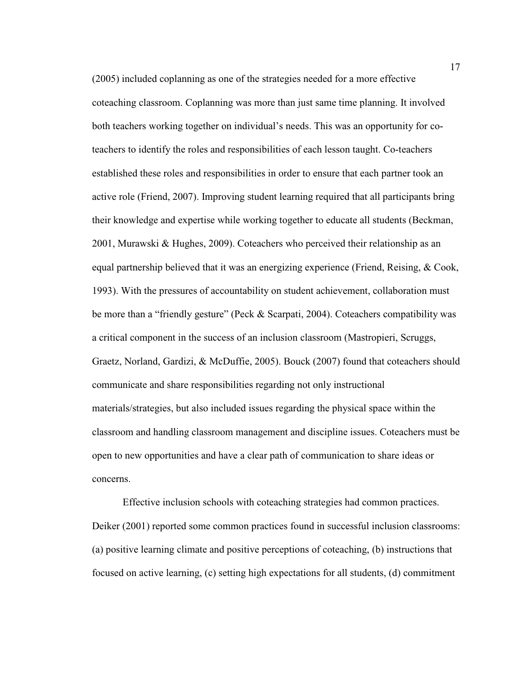(2005) included coplanning as one of the strategies needed for a more effective coteaching classroom. Coplanning was more than just same time planning. It involved both teachers working together on individual's needs. This was an opportunity for coteachers to identify the roles and responsibilities of each lesson taught. Co-teachers established these roles and responsibilities in order to ensure that each partner took an active role (Friend, 2007). Improving student learning required that all participants bring their knowledge and expertise while working together to educate all students (Beckman, 2001, Murawski & Hughes, 2009). Coteachers who perceived their relationship as an equal partnership believed that it was an energizing experience (Friend, Reising, & Cook, 1993). With the pressures of accountability on student achievement, collaboration must be more than a "friendly gesture" (Peck & Scarpati, 2004). Coteachers compatibility was a critical component in the success of an inclusion classroom (Mastropieri, Scruggs, Graetz, Norland, Gardizi, & McDuffie, 2005). Bouck (2007) found that coteachers should communicate and share responsibilities regarding not only instructional materials/strategies, but also included issues regarding the physical space within the classroom and handling classroom management and discipline issues. Coteachers must be open to new opportunities and have a clear path of communication to share ideas or concerns.

Effective inclusion schools with coteaching strategies had common practices. Deiker (2001) reported some common practices found in successful inclusion classrooms: (a) positive learning climate and positive perceptions of coteaching, (b) instructions that focused on active learning, (c) setting high expectations for all students, (d) commitment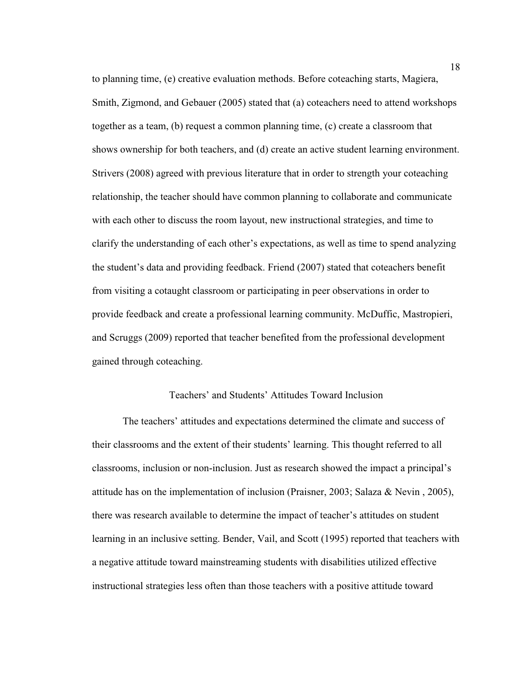to planning time, (e) creative evaluation methods. Before coteaching starts, Magiera, Smith, Zigmond, and Gebauer (2005) stated that (a) coteachers need to attend workshops together as a team, (b) request a common planning time, (c) create a classroom that shows ownership for both teachers, and (d) create an active student learning environment. Strivers (2008) agreed with previous literature that in order to strength your coteaching relationship, the teacher should have common planning to collaborate and communicate with each other to discuss the room layout, new instructional strategies, and time to clarify the understanding of each other's expectations, as well as time to spend analyzing the student's data and providing feedback. Friend (2007) stated that coteachers benefit from visiting a cotaught classroom or participating in peer observations in order to provide feedback and create a professional learning community. McDuffic, Mastropieri, and Scruggs (2009) reported that teacher benefited from the professional development gained through coteaching.

#### Teachers' and Students' Attitudes Toward Inclusion

The teachers' attitudes and expectations determined the climate and success of their classrooms and the extent of their students' learning. This thought referred to all classrooms, inclusion or non-inclusion. Just as research showed the impact a principal's attitude has on the implementation of inclusion (Praisner, 2003; Salaza & Nevin , 2005), there was research available to determine the impact of teacher's attitudes on student learning in an inclusive setting. Bender, Vail, and Scott (1995) reported that teachers with a negative attitude toward mainstreaming students with disabilities utilized effective instructional strategies less often than those teachers with a positive attitude toward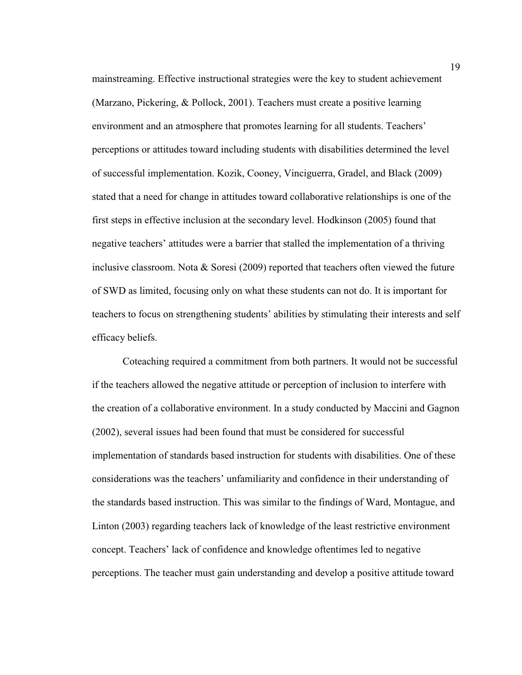mainstreaming. Effective instructional strategies were the key to student achievement (Marzano, Pickering, & Pollock, 2001). Teachers must create a positive learning environment and an atmosphere that promotes learning for all students. Teachers' perceptions or attitudes toward including students with disabilities determined the level of successful implementation. Kozik, Cooney, Vinciguerra, Gradel, and Black (2009) stated that a need for change in attitudes toward collaborative relationships is one of the first steps in effective inclusion at the secondary level. Hodkinson (2005) found that negative teachers' attitudes were a barrier that stalled the implementation of a thriving inclusive classroom. Nota & Soresi (2009) reported that teachers often viewed the future of SWD as limited, focusing only on what these students can not do. It is important for teachers to focus on strengthening students' abilities by stimulating their interests and self efficacy beliefs.

Coteaching required a commitment from both partners. It would not be successful if the teachers allowed the negative attitude or perception of inclusion to interfere with the creation of a collaborative environment. In a study conducted by Maccini and Gagnon (2002), several issues had been found that must be considered for successful implementation of standards based instruction for students with disabilities. One of these considerations was the teachers' unfamiliarity and confidence in their understanding of the standards based instruction. This was similar to the findings of Ward, Montague, and Linton (2003) regarding teachers lack of knowledge of the least restrictive environment concept. Teachers' lack of confidence and knowledge oftentimes led to negative perceptions. The teacher must gain understanding and develop a positive attitude toward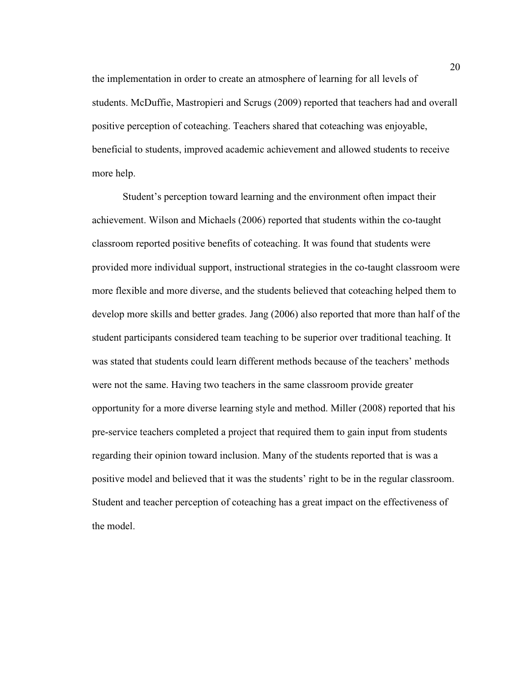the implementation in order to create an atmosphere of learning for all levels of students. McDuffie, Mastropieri and Scrugs (2009) reported that teachers had and overall positive perception of coteaching. Teachers shared that coteaching was enjoyable, beneficial to students, improved academic achievement and allowed students to receive more help.

Student's perception toward learning and the environment often impact their achievement. Wilson and Michaels (2006) reported that students within the co-taught classroom reported positive benefits of coteaching. It was found that students were provided more individual support, instructional strategies in the co-taught classroom were more flexible and more diverse, and the students believed that coteaching helped them to develop more skills and better grades. Jang (2006) also reported that more than half of the student participants considered team teaching to be superior over traditional teaching. It was stated that students could learn different methods because of the teachers' methods were not the same. Having two teachers in the same classroom provide greater opportunity for a more diverse learning style and method. Miller (2008) reported that his pre-service teachers completed a project that required them to gain input from students regarding their opinion toward inclusion. Many of the students reported that is was a positive model and believed that it was the students' right to be in the regular classroom. Student and teacher perception of coteaching has a great impact on the effectiveness of the model.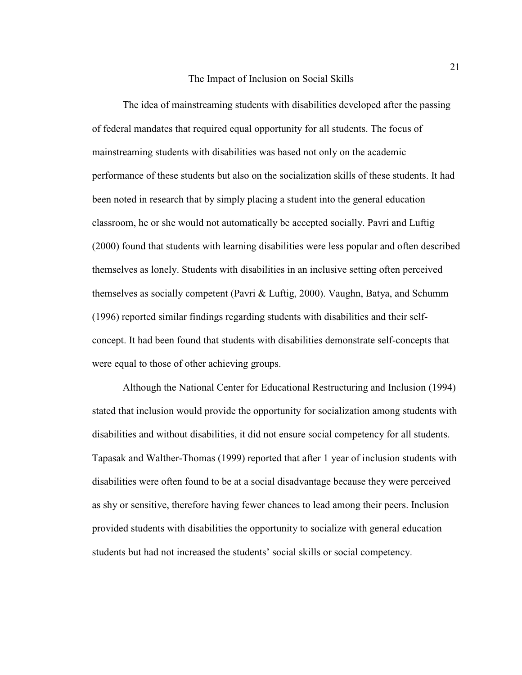#### The Impact of Inclusion on Social Skills

 The idea of mainstreaming students with disabilities developed after the passing of federal mandates that required equal opportunity for all students. The focus of mainstreaming students with disabilities was based not only on the academic performance of these students but also on the socialization skills of these students. It had been noted in research that by simply placing a student into the general education classroom, he or she would not automatically be accepted socially. Pavri and Luftig (2000) found that students with learning disabilities were less popular and often described themselves as lonely. Students with disabilities in an inclusive setting often perceived themselves as socially competent (Pavri & Luftig, 2000). Vaughn, Batya, and Schumm (1996) reported similar findings regarding students with disabilities and their selfconcept. It had been found that students with disabilities demonstrate self-concepts that were equal to those of other achieving groups.

 Although the National Center for Educational Restructuring and Inclusion (1994) stated that inclusion would provide the opportunity for socialization among students with disabilities and without disabilities, it did not ensure social competency for all students. Tapasak and Walther-Thomas (1999) reported that after 1 year of inclusion students with disabilities were often found to be at a social disadvantage because they were perceived as shy or sensitive, therefore having fewer chances to lead among their peers. Inclusion provided students with disabilities the opportunity to socialize with general education students but had not increased the students' social skills or social competency.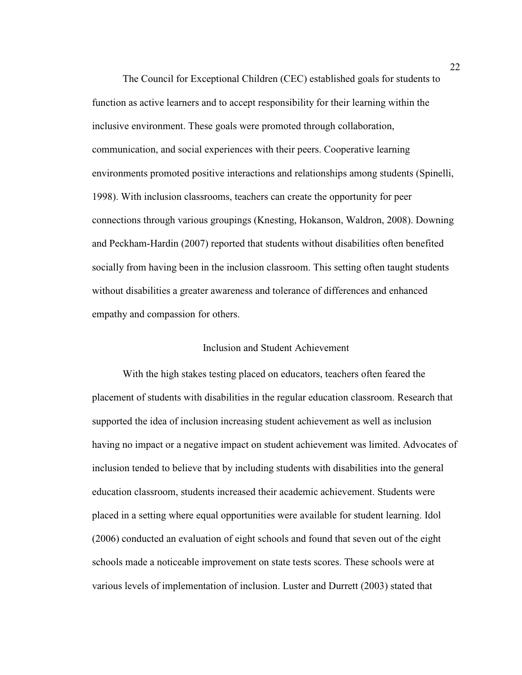The Council for Exceptional Children (CEC) established goals for students to function as active learners and to accept responsibility for their learning within the inclusive environment. These goals were promoted through collaboration, communication, and social experiences with their peers. Cooperative learning environments promoted positive interactions and relationships among students (Spinelli, 1998). With inclusion classrooms, teachers can create the opportunity for peer connections through various groupings (Knesting, Hokanson, Waldron, 2008). Downing and Peckham-Hardin (2007) reported that students without disabilities often benefited socially from having been in the inclusion classroom. This setting often taught students without disabilities a greater awareness and tolerance of differences and enhanced empathy and compassion for others.

#### Inclusion and Student Achievement

With the high stakes testing placed on educators, teachers often feared the placement of students with disabilities in the regular education classroom. Research that supported the idea of inclusion increasing student achievement as well as inclusion having no impact or a negative impact on student achievement was limited. Advocates of inclusion tended to believe that by including students with disabilities into the general education classroom, students increased their academic achievement. Students were placed in a setting where equal opportunities were available for student learning. Idol (2006) conducted an evaluation of eight schools and found that seven out of the eight schools made a noticeable improvement on state tests scores. These schools were at various levels of implementation of inclusion. Luster and Durrett (2003) stated that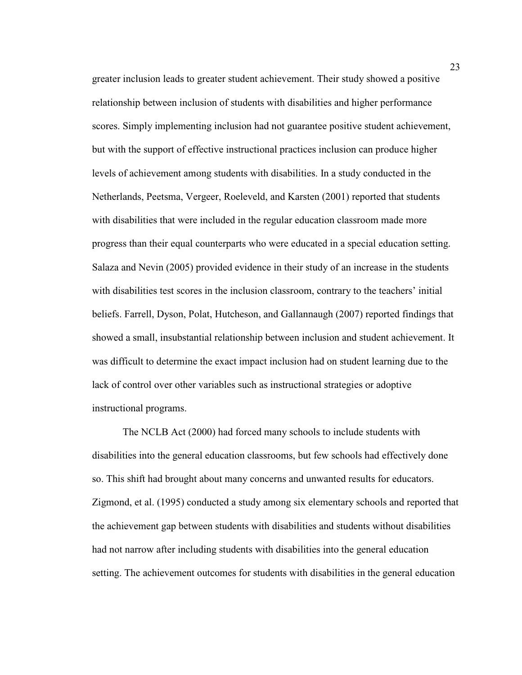greater inclusion leads to greater student achievement. Their study showed a positive relationship between inclusion of students with disabilities and higher performance scores. Simply implementing inclusion had not guarantee positive student achievement, but with the support of effective instructional practices inclusion can produce higher levels of achievement among students with disabilities. In a study conducted in the Netherlands, Peetsma, Vergeer, Roeleveld, and Karsten (2001) reported that students with disabilities that were included in the regular education classroom made more progress than their equal counterparts who were educated in a special education setting. Salaza and Nevin (2005) provided evidence in their study of an increase in the students with disabilities test scores in the inclusion classroom, contrary to the teachers' initial beliefs. Farrell, Dyson, Polat, Hutcheson, and Gallannaugh (2007) reported findings that showed a small, insubstantial relationship between inclusion and student achievement. It was difficult to determine the exact impact inclusion had on student learning due to the lack of control over other variables such as instructional strategies or adoptive instructional programs.

The NCLB Act (2000) had forced many schools to include students with disabilities into the general education classrooms, but few schools had effectively done so. This shift had brought about many concerns and unwanted results for educators. Zigmond, et al. (1995) conducted a study among six elementary schools and reported that the achievement gap between students with disabilities and students without disabilities had not narrow after including students with disabilities into the general education setting. The achievement outcomes for students with disabilities in the general education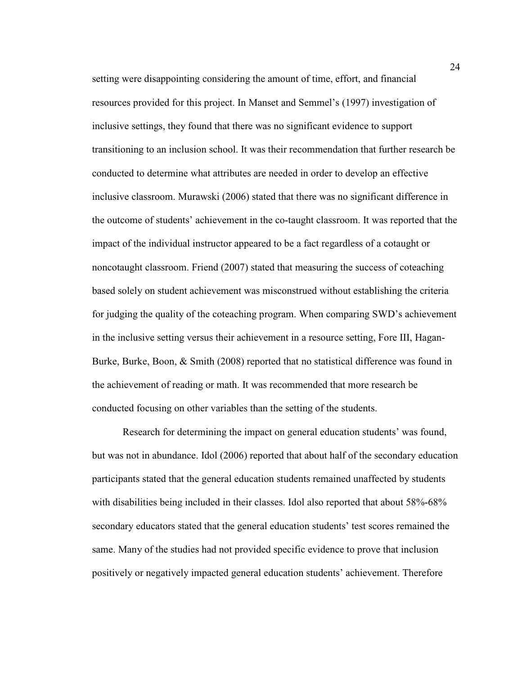setting were disappointing considering the amount of time, effort, and financial resources provided for this project. In Manset and Semmel's (1997) investigation of inclusive settings, they found that there was no significant evidence to support transitioning to an inclusion school. It was their recommendation that further research be conducted to determine what attributes are needed in order to develop an effective inclusive classroom. Murawski (2006) stated that there was no significant difference in the outcome of students' achievement in the co-taught classroom. It was reported that the impact of the individual instructor appeared to be a fact regardless of a cotaught or noncotaught classroom. Friend (2007) stated that measuring the success of coteaching based solely on student achievement was misconstrued without establishing the criteria for judging the quality of the coteaching program. When comparing SWD's achievement in the inclusive setting versus their achievement in a resource setting, Fore III, Hagan-Burke, Burke, Boon, & Smith (2008) reported that no statistical difference was found in the achievement of reading or math. It was recommended that more research be conducted focusing on other variables than the setting of the students.

Research for determining the impact on general education students' was found, but was not in abundance. Idol (2006) reported that about half of the secondary education participants stated that the general education students remained unaffected by students with disabilities being included in their classes. Idol also reported that about 58%-68% secondary educators stated that the general education students' test scores remained the same. Many of the studies had not provided specific evidence to prove that inclusion positively or negatively impacted general education students' achievement. Therefore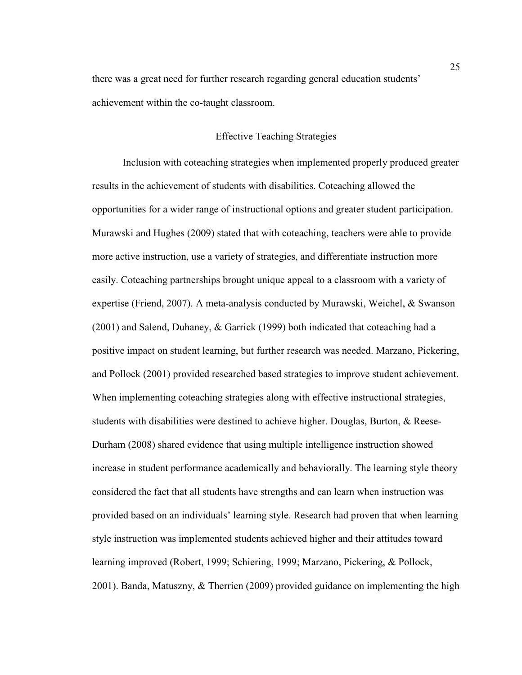there was a great need for further research regarding general education students' achievement within the co-taught classroom.

# Effective Teaching Strategies

Inclusion with coteaching strategies when implemented properly produced greater results in the achievement of students with disabilities. Coteaching allowed the opportunities for a wider range of instructional options and greater student participation. Murawski and Hughes (2009) stated that with coteaching, teachers were able to provide more active instruction, use a variety of strategies, and differentiate instruction more easily. Coteaching partnerships brought unique appeal to a classroom with a variety of expertise (Friend, 2007). A meta-analysis conducted by Murawski, Weichel, & Swanson (2001) and Salend, Duhaney, & Garrick (1999) both indicated that coteaching had a positive impact on student learning, but further research was needed. Marzano, Pickering, and Pollock (2001) provided researched based strategies to improve student achievement. When implementing coteaching strategies along with effective instructional strategies, students with disabilities were destined to achieve higher. Douglas, Burton, & Reese-Durham (2008) shared evidence that using multiple intelligence instruction showed increase in student performance academically and behaviorally. The learning style theory considered the fact that all students have strengths and can learn when instruction was provided based on an individuals' learning style. Research had proven that when learning style instruction was implemented students achieved higher and their attitudes toward learning improved (Robert, 1999; Schiering, 1999; Marzano, Pickering, & Pollock, 2001). Banda, Matuszny, & Therrien (2009) provided guidance on implementing the high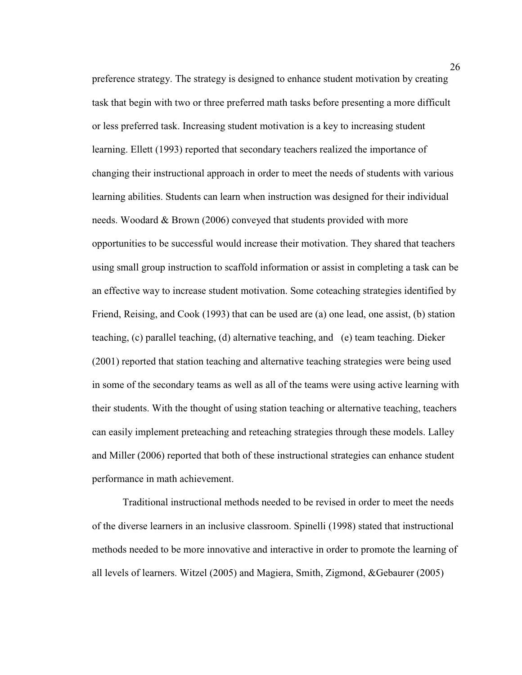preference strategy. The strategy is designed to enhance student motivation by creating task that begin with two or three preferred math tasks before presenting a more difficult or less preferred task. Increasing student motivation is a key to increasing student learning. Ellett (1993) reported that secondary teachers realized the importance of changing their instructional approach in order to meet the needs of students with various learning abilities. Students can learn when instruction was designed for their individual needs. Woodard & Brown (2006) conveyed that students provided with more opportunities to be successful would increase their motivation. They shared that teachers using small group instruction to scaffold information or assist in completing a task can be an effective way to increase student motivation. Some coteaching strategies identified by Friend, Reising, and Cook (1993) that can be used are (a) one lead, one assist, (b) station teaching, (c) parallel teaching, (d) alternative teaching, and (e) team teaching. Dieker (2001) reported that station teaching and alternative teaching strategies were being used in some of the secondary teams as well as all of the teams were using active learning with their students. With the thought of using station teaching or alternative teaching, teachers can easily implement preteaching and reteaching strategies through these models. Lalley and Miller (2006) reported that both of these instructional strategies can enhance student performance in math achievement.

Traditional instructional methods needed to be revised in order to meet the needs of the diverse learners in an inclusive classroom. Spinelli (1998) stated that instructional methods needed to be more innovative and interactive in order to promote the learning of all levels of learners. Witzel (2005) and Magiera, Smith, Zigmond, &Gebaurer (2005)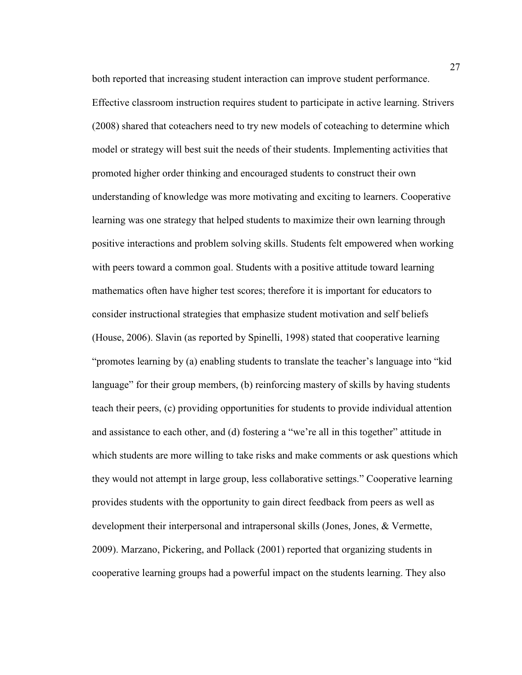both reported that increasing student interaction can improve student performance. Effective classroom instruction requires student to participate in active learning. Strivers (2008) shared that coteachers need to try new models of coteaching to determine which model or strategy will best suit the needs of their students. Implementing activities that promoted higher order thinking and encouraged students to construct their own understanding of knowledge was more motivating and exciting to learners. Cooperative learning was one strategy that helped students to maximize their own learning through positive interactions and problem solving skills. Students felt empowered when working with peers toward a common goal. Students with a positive attitude toward learning mathematics often have higher test scores; therefore it is important for educators to consider instructional strategies that emphasize student motivation and self beliefs (House, 2006). Slavin (as reported by Spinelli, 1998) stated that cooperative learning "promotes learning by (a) enabling students to translate the teacher's language into "kid language" for their group members, (b) reinforcing mastery of skills by having students teach their peers, (c) providing opportunities for students to provide individual attention and assistance to each other, and (d) fostering a "we're all in this together" attitude in which students are more willing to take risks and make comments or ask questions which they would not attempt in large group, less collaborative settings." Cooperative learning provides students with the opportunity to gain direct feedback from peers as well as development their interpersonal and intrapersonal skills (Jones, Jones, & Vermette, 2009). Marzano, Pickering, and Pollack (2001) reported that organizing students in cooperative learning groups had a powerful impact on the students learning. They also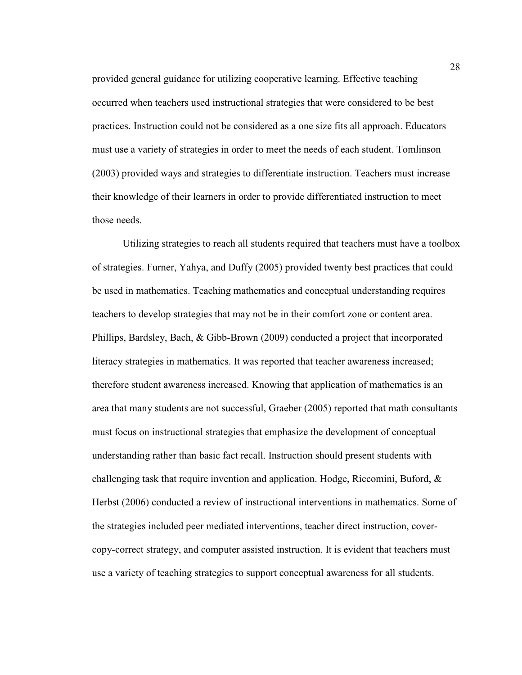provided general guidance for utilizing cooperative learning. Effective teaching occurred when teachers used instructional strategies that were considered to be best practices. Instruction could not be considered as a one size fits all approach. Educators must use a variety of strategies in order to meet the needs of each student. Tomlinson (2003) provided ways and strategies to differentiate instruction. Teachers must increase their knowledge of their learners in order to provide differentiated instruction to meet those needs.

Utilizing strategies to reach all students required that teachers must have a toolbox of strategies. Furner, Yahya, and Duffy (2005) provided twenty best practices that could be used in mathematics. Teaching mathematics and conceptual understanding requires teachers to develop strategies that may not be in their comfort zone or content area. Phillips, Bardsley, Bach, & Gibb-Brown (2009) conducted a project that incorporated literacy strategies in mathematics. It was reported that teacher awareness increased; therefore student awareness increased. Knowing that application of mathematics is an area that many students are not successful, Graeber (2005) reported that math consultants must focus on instructional strategies that emphasize the development of conceptual understanding rather than basic fact recall. Instruction should present students with challenging task that require invention and application. Hodge, Riccomini, Buford,  $\&$ Herbst (2006) conducted a review of instructional interventions in mathematics. Some of the strategies included peer mediated interventions, teacher direct instruction, covercopy-correct strategy, and computer assisted instruction. It is evident that teachers must use a variety of teaching strategies to support conceptual awareness for all students.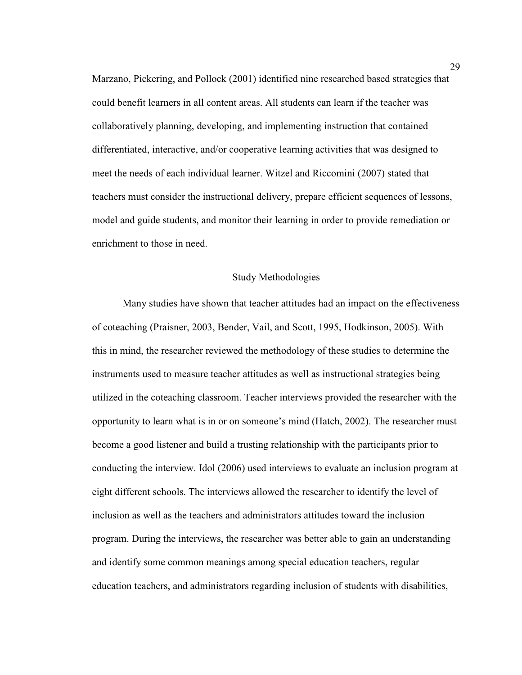Marzano, Pickering, and Pollock (2001) identified nine researched based strategies that could benefit learners in all content areas. All students can learn if the teacher was collaboratively planning, developing, and implementing instruction that contained differentiated, interactive, and/or cooperative learning activities that was designed to meet the needs of each individual learner. Witzel and Riccomini (2007) stated that teachers must consider the instructional delivery, prepare efficient sequences of lessons, model and guide students, and monitor their learning in order to provide remediation or enrichment to those in need.

## Study Methodologies

 Many studies have shown that teacher attitudes had an impact on the effectiveness of coteaching (Praisner, 2003, Bender, Vail, and Scott, 1995, Hodkinson, 2005). With this in mind, the researcher reviewed the methodology of these studies to determine the instruments used to measure teacher attitudes as well as instructional strategies being utilized in the coteaching classroom. Teacher interviews provided the researcher with the opportunity to learn what is in or on someone's mind (Hatch, 2002). The researcher must become a good listener and build a trusting relationship with the participants prior to conducting the interview. Idol (2006) used interviews to evaluate an inclusion program at eight different schools. The interviews allowed the researcher to identify the level of inclusion as well as the teachers and administrators attitudes toward the inclusion program. During the interviews, the researcher was better able to gain an understanding and identify some common meanings among special education teachers, regular education teachers, and administrators regarding inclusion of students with disabilities,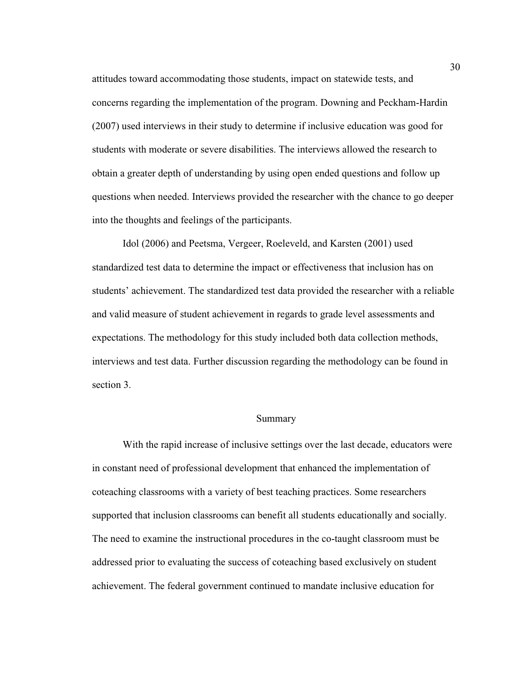attitudes toward accommodating those students, impact on statewide tests, and concerns regarding the implementation of the program. Downing and Peckham-Hardin (2007) used interviews in their study to determine if inclusive education was good for students with moderate or severe disabilities. The interviews allowed the research to obtain a greater depth of understanding by using open ended questions and follow up questions when needed. Interviews provided the researcher with the chance to go deeper into the thoughts and feelings of the participants.

Idol (2006) and Peetsma, Vergeer, Roeleveld, and Karsten (2001) used standardized test data to determine the impact or effectiveness that inclusion has on students' achievement. The standardized test data provided the researcher with a reliable and valid measure of student achievement in regards to grade level assessments and expectations. The methodology for this study included both data collection methods, interviews and test data. Further discussion regarding the methodology can be found in section 3.

### Summary

 With the rapid increase of inclusive settings over the last decade, educators were in constant need of professional development that enhanced the implementation of coteaching classrooms with a variety of best teaching practices. Some researchers supported that inclusion classrooms can benefit all students educationally and socially. The need to examine the instructional procedures in the co-taught classroom must be addressed prior to evaluating the success of coteaching based exclusively on student achievement. The federal government continued to mandate inclusive education for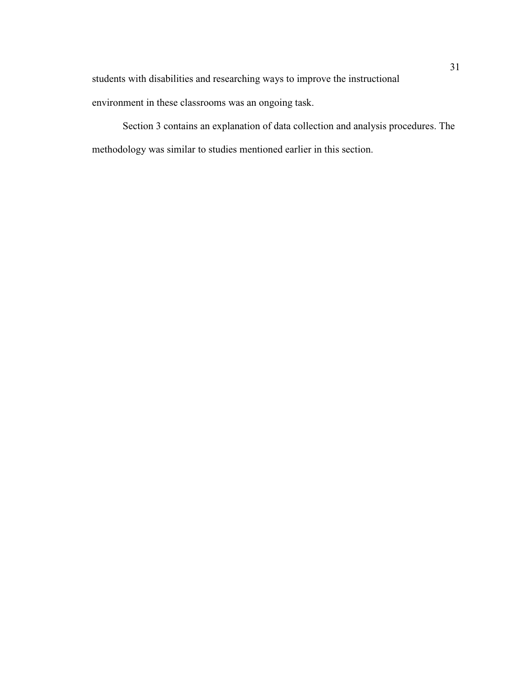students with disabilities and researching ways to improve the instructional

environment in these classrooms was an ongoing task.

Section 3 contains an explanation of data collection and analysis procedures. The methodology was similar to studies mentioned earlier in this section.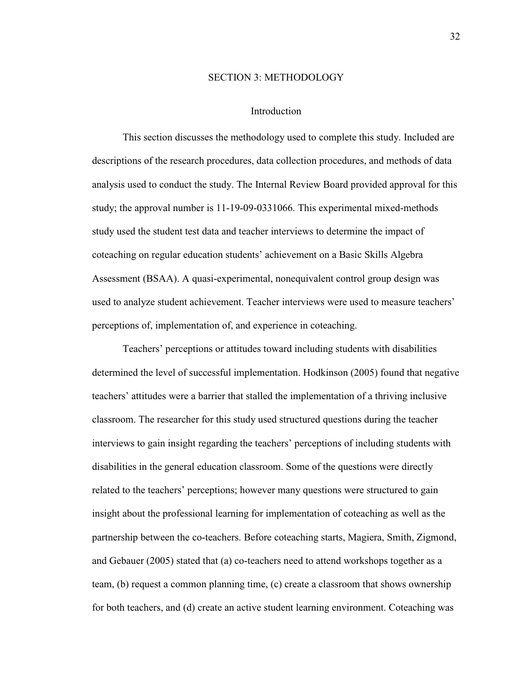### SECTION 3: METHODOLOGY

### Introduction

 This section discusses the methodology used to complete this study. Included are descriptions of the research procedures, data collection procedures, and methods of data analysis used to conduct the study. The Internal Review Board provided approval for this study; the approval number is 11-19-09-0331066. This experimental mixed-methods study used the student test data and teacher interviews to determine the impact of coteaching on regular education students' achievement on a Basic Skills Algebra Assessment (BSAA). A quasi-experimental, nonequivalent control group design was used to analyze student achievement. Teacher interviews were used to measure teachers' perceptions of, implementation of, and experience in coteaching.

Teachers' perceptions or attitudes toward including students with disabilities determined the level of successful implementation. Hodkinson (2005) found that negative teachers' attitudes were a barrier that stalled the implementation of a thriving inclusive classroom. The researcher for this study used structured questions during the teacher interviews to gain insight regarding the teachers' perceptions of including students with disabilities in the general education classroom. Some of the questions were directly related to the teachers' perceptions; however many questions were structured to gain insight about the professional learning for implementation of coteaching as well as the partnership between the co-teachers. Before coteaching starts, Magiera, Smith, Zigmond, and Gebauer (2005) stated that (a) co-teachers need to attend workshops together as a team, (b) request a common planning time, (c) create a classroom that shows ownership for both teachers, and (d) create an active student learning environment. Coteaching was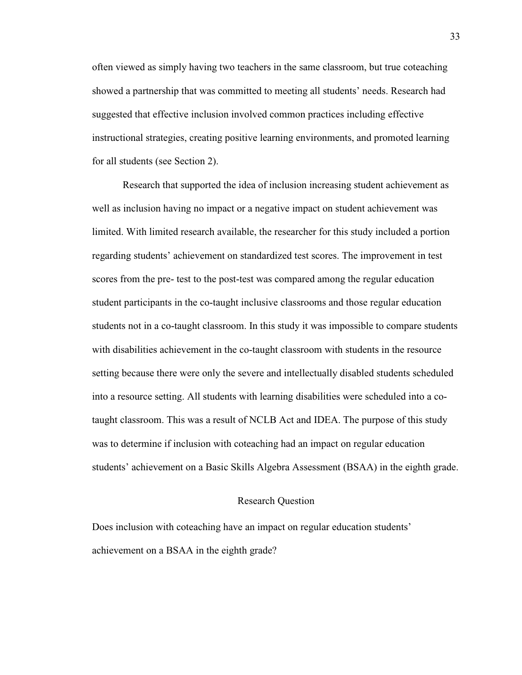often viewed as simply having two teachers in the same classroom, but true coteaching showed a partnership that was committed to meeting all students' needs. Research had suggested that effective inclusion involved common practices including effective instructional strategies, creating positive learning environments, and promoted learning for all students (see Section 2).

Research that supported the idea of inclusion increasing student achievement as well as inclusion having no impact or a negative impact on student achievement was limited. With limited research available, the researcher for this study included a portion regarding students' achievement on standardized test scores. The improvement in test scores from the pre- test to the post-test was compared among the regular education student participants in the co-taught inclusive classrooms and those regular education students not in a co-taught classroom. In this study it was impossible to compare students with disabilities achievement in the co-taught classroom with students in the resource setting because there were only the severe and intellectually disabled students scheduled into a resource setting. All students with learning disabilities were scheduled into a cotaught classroom. This was a result of NCLB Act and IDEA. The purpose of this study was to determine if inclusion with coteaching had an impact on regular education students' achievement on a Basic Skills Algebra Assessment (BSAA) in the eighth grade.

# Research Question

Does inclusion with coteaching have an impact on regular education students' achievement on a BSAA in the eighth grade?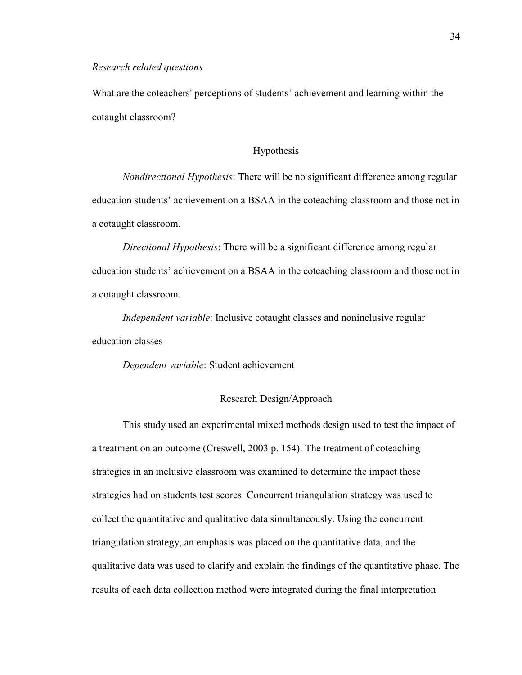#### *Research related questions*

What are the coteachers' perceptions of students' achievement and learning within the cotaught classroom?

# Hypothesis

*Nondirectional Hypothesis*: There will be no significant difference among regular education students' achievement on a BSAA in the coteaching classroom and those not in a cotaught classroom.

*Directional Hypothesis*: There will be a significant difference among regular education students' achievement on a BSAA in the coteaching classroom and those not in a cotaught classroom.

*Independent variable*: Inclusive cotaught classes and noninclusive regular education classes

*Dependent variable*: Student achievement

## Research Design/Approach

This study used an experimental mixed methods design used to test the impact of a treatment on an outcome (Creswell, 2003 p. 154). The treatment of coteaching strategies in an inclusive classroom was examined to determine the impact these strategies had on students test scores. Concurrent triangulation strategy was used to collect the quantitative and qualitative data simultaneously. Using the concurrent triangulation strategy, an emphasis was placed on the quantitative data, and the qualitative data was used to clarify and explain the findings of the quantitative phase. The results of each data collection method were integrated during the final interpretation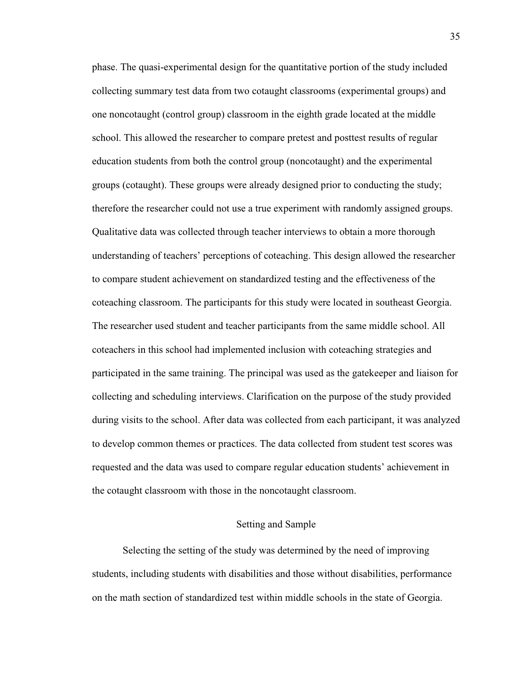phase. The quasi-experimental design for the quantitative portion of the study included collecting summary test data from two cotaught classrooms (experimental groups) and one noncotaught (control group) classroom in the eighth grade located at the middle school. This allowed the researcher to compare pretest and posttest results of regular education students from both the control group (noncotaught) and the experimental groups (cotaught). These groups were already designed prior to conducting the study; therefore the researcher could not use a true experiment with randomly assigned groups. Qualitative data was collected through teacher interviews to obtain a more thorough understanding of teachers' perceptions of coteaching. This design allowed the researcher to compare student achievement on standardized testing and the effectiveness of the coteaching classroom. The participants for this study were located in southeast Georgia. The researcher used student and teacher participants from the same middle school. All coteachers in this school had implemented inclusion with coteaching strategies and participated in the same training. The principal was used as the gatekeeper and liaison for collecting and scheduling interviews. Clarification on the purpose of the study provided during visits to the school. After data was collected from each participant, it was analyzed to develop common themes or practices. The data collected from student test scores was requested and the data was used to compare regular education students' achievement in the cotaught classroom with those in the noncotaught classroom.

# Setting and Sample

 Selecting the setting of the study was determined by the need of improving students, including students with disabilities and those without disabilities, performance on the math section of standardized test within middle schools in the state of Georgia.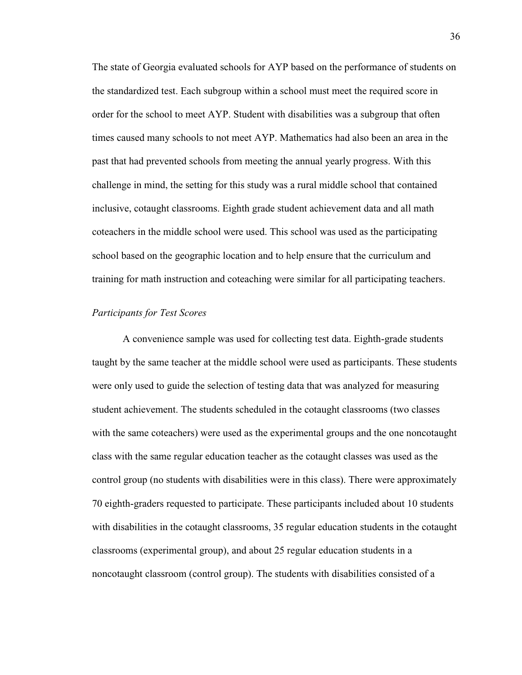The state of Georgia evaluated schools for AYP based on the performance of students on the standardized test. Each subgroup within a school must meet the required score in order for the school to meet AYP. Student with disabilities was a subgroup that often times caused many schools to not meet AYP. Mathematics had also been an area in the past that had prevented schools from meeting the annual yearly progress. With this challenge in mind, the setting for this study was a rural middle school that contained inclusive, cotaught classrooms. Eighth grade student achievement data and all math coteachers in the middle school were used. This school was used as the participating school based on the geographic location and to help ensure that the curriculum and training for math instruction and coteaching were similar for all participating teachers.

## *Participants for Test Scores*

A convenience sample was used for collecting test data. Eighth-grade students taught by the same teacher at the middle school were used as participants. These students were only used to guide the selection of testing data that was analyzed for measuring student achievement. The students scheduled in the cotaught classrooms (two classes with the same coteachers) were used as the experimental groups and the one noncotaught class with the same regular education teacher as the cotaught classes was used as the control group (no students with disabilities were in this class). There were approximately 70 eighth-graders requested to participate. These participants included about 10 students with disabilities in the cotaught classrooms, 35 regular education students in the cotaught classrooms (experimental group), and about 25 regular education students in a noncotaught classroom (control group). The students with disabilities consisted of a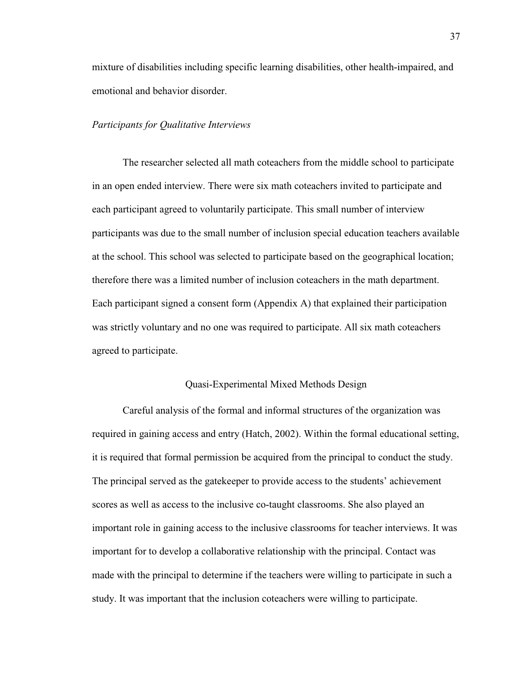mixture of disabilities including specific learning disabilities, other health-impaired, and emotional and behavior disorder.

## *Participants for Qualitative Interviews*

The researcher selected all math coteachers from the middle school to participate in an open ended interview. There were six math coteachers invited to participate and each participant agreed to voluntarily participate. This small number of interview participants was due to the small number of inclusion special education teachers available at the school. This school was selected to participate based on the geographical location; therefore there was a limited number of inclusion coteachers in the math department. Each participant signed a consent form (Appendix A) that explained their participation was strictly voluntary and no one was required to participate. All six math coteachers agreed to participate.

# Quasi-Experimental Mixed Methods Design

Careful analysis of the formal and informal structures of the organization was required in gaining access and entry (Hatch, 2002). Within the formal educational setting, it is required that formal permission be acquired from the principal to conduct the study. The principal served as the gatekeeper to provide access to the students' achievement scores as well as access to the inclusive co-taught classrooms. She also played an important role in gaining access to the inclusive classrooms for teacher interviews. It was important for to develop a collaborative relationship with the principal. Contact was made with the principal to determine if the teachers were willing to participate in such a study. It was important that the inclusion coteachers were willing to participate.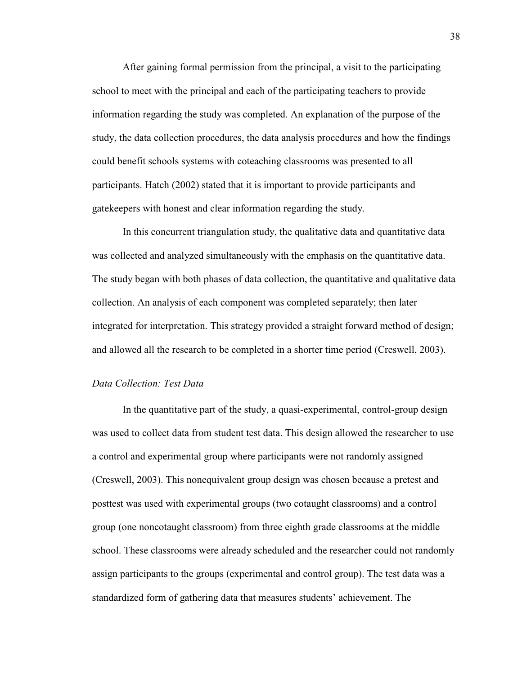After gaining formal permission from the principal, a visit to the participating school to meet with the principal and each of the participating teachers to provide information regarding the study was completed. An explanation of the purpose of the study, the data collection procedures, the data analysis procedures and how the findings could benefit schools systems with coteaching classrooms was presented to all participants. Hatch (2002) stated that it is important to provide participants and gatekeepers with honest and clear information regarding the study.

In this concurrent triangulation study, the qualitative data and quantitative data was collected and analyzed simultaneously with the emphasis on the quantitative data. The study began with both phases of data collection, the quantitative and qualitative data collection. An analysis of each component was completed separately; then later integrated for interpretation. This strategy provided a straight forward method of design; and allowed all the research to be completed in a shorter time period (Creswell, 2003).

# *Data Collection: Test Data*

In the quantitative part of the study, a quasi-experimental, control-group design was used to collect data from student test data. This design allowed the researcher to use a control and experimental group where participants were not randomly assigned (Creswell, 2003). This nonequivalent group design was chosen because a pretest and posttest was used with experimental groups (two cotaught classrooms) and a control group (one noncotaught classroom) from three eighth grade classrooms at the middle school. These classrooms were already scheduled and the researcher could not randomly assign participants to the groups (experimental and control group). The test data was a standardized form of gathering data that measures students' achievement. The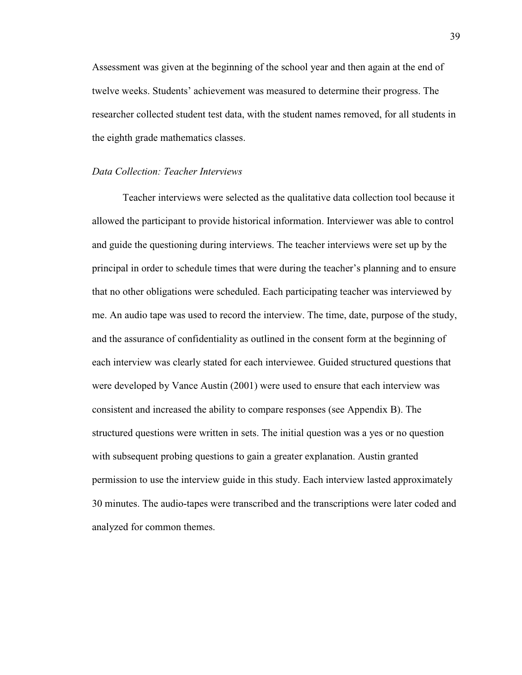Assessment was given at the beginning of the school year and then again at the end of twelve weeks. Students' achievement was measured to determine their progress. The researcher collected student test data, with the student names removed, for all students in the eighth grade mathematics classes.

## *Data Collection: Teacher Interviews*

Teacher interviews were selected as the qualitative data collection tool because it allowed the participant to provide historical information. Interviewer was able to control and guide the questioning during interviews. The teacher interviews were set up by the principal in order to schedule times that were during the teacher's planning and to ensure that no other obligations were scheduled. Each participating teacher was interviewed by me. An audio tape was used to record the interview. The time, date, purpose of the study, and the assurance of confidentiality as outlined in the consent form at the beginning of each interview was clearly stated for each interviewee. Guided structured questions that were developed by Vance Austin (2001) were used to ensure that each interview was consistent and increased the ability to compare responses (see Appendix B). The structured questions were written in sets. The initial question was a yes or no question with subsequent probing questions to gain a greater explanation. Austin granted permission to use the interview guide in this study. Each interview lasted approximately 30 minutes. The audio-tapes were transcribed and the transcriptions were later coded and analyzed for common themes.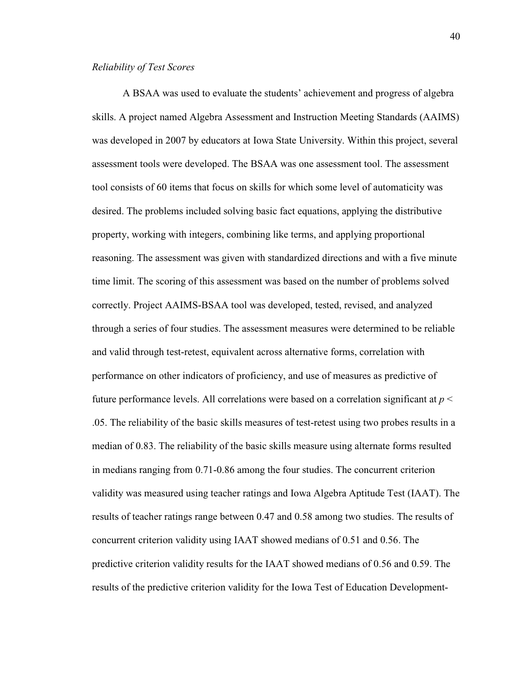A BSAA was used to evaluate the students' achievement and progress of algebra skills. A project named Algebra Assessment and Instruction Meeting Standards (AAIMS) was developed in 2007 by educators at Iowa State University. Within this project, several assessment tools were developed. The BSAA was one assessment tool. The assessment tool consists of 60 items that focus on skills for which some level of automaticity was desired. The problems included solving basic fact equations, applying the distributive property, working with integers, combining like terms, and applying proportional reasoning. The assessment was given with standardized directions and with a five minute time limit. The scoring of this assessment was based on the number of problems solved correctly. Project AAIMS-BSAA tool was developed, tested, revised, and analyzed through a series of four studies. The assessment measures were determined to be reliable and valid through test-retest, equivalent across alternative forms, correlation with performance on other indicators of proficiency, and use of measures as predictive of future performance levels. All correlations were based on a correlation significant at *p* < .05. The reliability of the basic skills measures of test-retest using two probes results in a median of 0.83. The reliability of the basic skills measure using alternate forms resulted in medians ranging from 0.71-0.86 among the four studies. The concurrent criterion validity was measured using teacher ratings and Iowa Algebra Aptitude Test (IAAT). The results of teacher ratings range between 0.47 and 0.58 among two studies. The results of concurrent criterion validity using IAAT showed medians of 0.51 and 0.56. The predictive criterion validity results for the IAAT showed medians of 0.56 and 0.59. The results of the predictive criterion validity for the Iowa Test of Education Development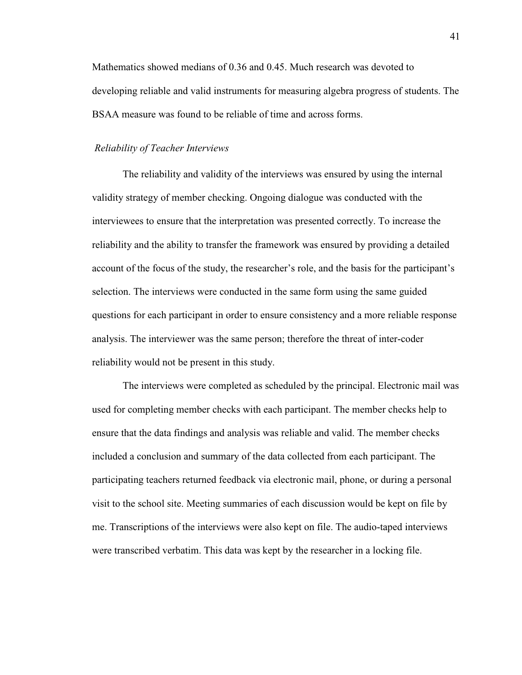Mathematics showed medians of 0.36 and 0.45. Much research was devoted to developing reliable and valid instruments for measuring algebra progress of students. The BSAA measure was found to be reliable of time and across forms.

#### *Reliability of Teacher Interviews*

The reliability and validity of the interviews was ensured by using the internal validity strategy of member checking. Ongoing dialogue was conducted with the interviewees to ensure that the interpretation was presented correctly. To increase the reliability and the ability to transfer the framework was ensured by providing a detailed account of the focus of the study, the researcher's role, and the basis for the participant's selection. The interviews were conducted in the same form using the same guided questions for each participant in order to ensure consistency and a more reliable response analysis. The interviewer was the same person; therefore the threat of inter-coder reliability would not be present in this study.

The interviews were completed as scheduled by the principal. Electronic mail was used for completing member checks with each participant. The member checks help to ensure that the data findings and analysis was reliable and valid. The member checks included a conclusion and summary of the data collected from each participant. The participating teachers returned feedback via electronic mail, phone, or during a personal visit to the school site. Meeting summaries of each discussion would be kept on file by me. Transcriptions of the interviews were also kept on file. The audio-taped interviews were transcribed verbatim. This data was kept by the researcher in a locking file.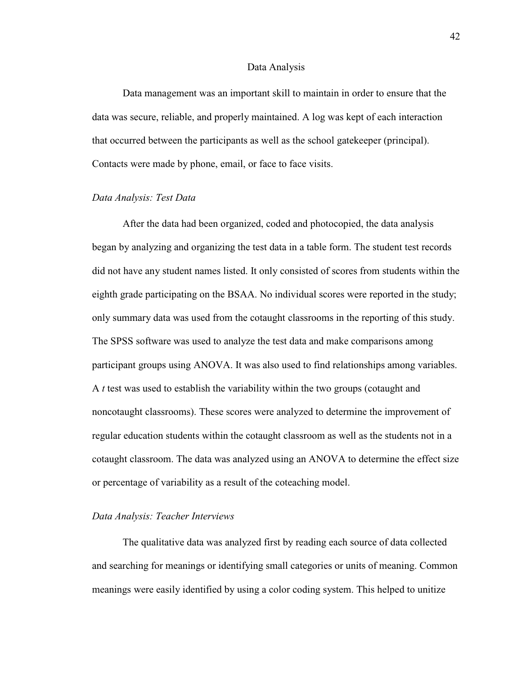#### Data Analysis

Data management was an important skill to maintain in order to ensure that the data was secure, reliable, and properly maintained. A log was kept of each interaction that occurred between the participants as well as the school gatekeeper (principal). Contacts were made by phone, email, or face to face visits.

### *Data Analysis: Test Data*

After the data had been organized, coded and photocopied, the data analysis began by analyzing and organizing the test data in a table form. The student test records did not have any student names listed. It only consisted of scores from students within the eighth grade participating on the BSAA. No individual scores were reported in the study; only summary data was used from the cotaught classrooms in the reporting of this study. The SPSS software was used to analyze the test data and make comparisons among participant groups using ANOVA. It was also used to find relationships among variables. A *t* test was used to establish the variability within the two groups (cotaught and noncotaught classrooms). These scores were analyzed to determine the improvement of regular education students within the cotaught classroom as well as the students not in a cotaught classroom. The data was analyzed using an ANOVA to determine the effect size or percentage of variability as a result of the coteaching model.

### *Data Analysis: Teacher Interviews*

The qualitative data was analyzed first by reading each source of data collected and searching for meanings or identifying small categories or units of meaning. Common meanings were easily identified by using a color coding system. This helped to unitize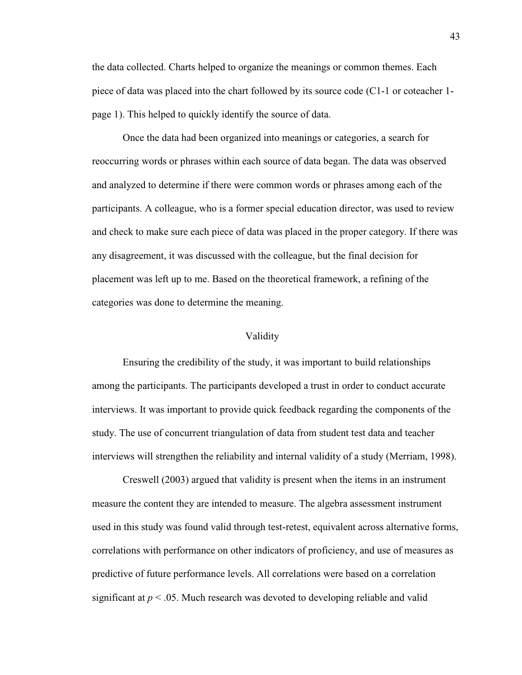the data collected. Charts helped to organize the meanings or common themes. Each piece of data was placed into the chart followed by its source code (C1-1 or coteacher 1 page 1). This helped to quickly identify the source of data.

Once the data had been organized into meanings or categories, a search for reoccurring words or phrases within each source of data began. The data was observed and analyzed to determine if there were common words or phrases among each of the participants. A colleague, who is a former special education director, was used to review and check to make sure each piece of data was placed in the proper category. If there was any disagreement, it was discussed with the colleague, but the final decision for placement was left up to me. Based on the theoretical framework, a refining of the categories was done to determine the meaning.

#### Validity

Ensuring the credibility of the study, it was important to build relationships among the participants. The participants developed a trust in order to conduct accurate interviews. It was important to provide quick feedback regarding the components of the study. The use of concurrent triangulation of data from student test data and teacher interviews will strengthen the reliability and internal validity of a study (Merriam, 1998).

Creswell (2003) argued that validity is present when the items in an instrument measure the content they are intended to measure. The algebra assessment instrument used in this study was found valid through test-retest, equivalent across alternative forms, correlations with performance on other indicators of proficiency, and use of measures as predictive of future performance levels. All correlations were based on a correlation significant at  $p < 0.05$ . Much research was devoted to developing reliable and valid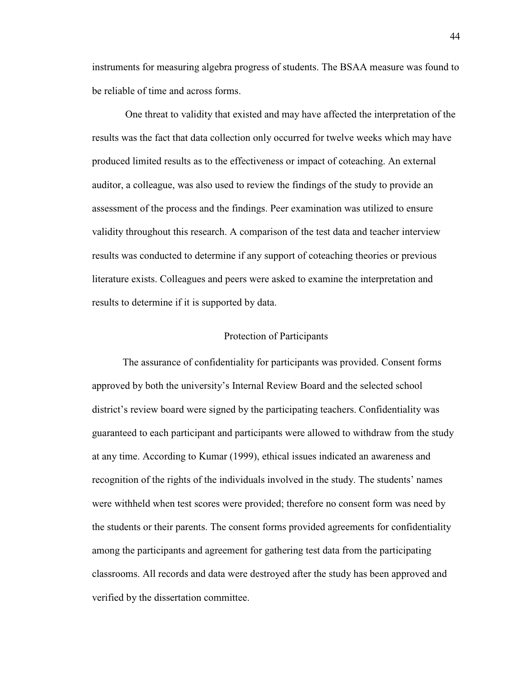instruments for measuring algebra progress of students. The BSAA measure was found to be reliable of time and across forms.

 One threat to validity that existed and may have affected the interpretation of the results was the fact that data collection only occurred for twelve weeks which may have produced limited results as to the effectiveness or impact of coteaching. An external auditor, a colleague, was also used to review the findings of the study to provide an assessment of the process and the findings. Peer examination was utilized to ensure validity throughout this research. A comparison of the test data and teacher interview results was conducted to determine if any support of coteaching theories or previous literature exists. Colleagues and peers were asked to examine the interpretation and results to determine if it is supported by data.

#### Protection of Participants

The assurance of confidentiality for participants was provided. Consent forms approved by both the university's Internal Review Board and the selected school district's review board were signed by the participating teachers. Confidentiality was guaranteed to each participant and participants were allowed to withdraw from the study at any time. According to Kumar (1999), ethical issues indicated an awareness and recognition of the rights of the individuals involved in the study. The students' names were withheld when test scores were provided; therefore no consent form was need by the students or their parents. The consent forms provided agreements for confidentiality among the participants and agreement for gathering test data from the participating classrooms. All records and data were destroyed after the study has been approved and verified by the dissertation committee.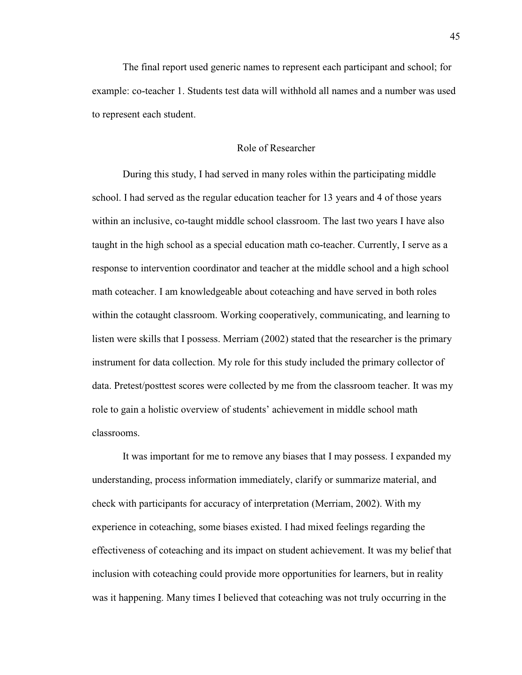The final report used generic names to represent each participant and school; for example: co-teacher 1. Students test data will withhold all names and a number was used to represent each student.

# Role of Researcher

During this study, I had served in many roles within the participating middle school. I had served as the regular education teacher for 13 years and 4 of those years within an inclusive, co-taught middle school classroom. The last two years I have also taught in the high school as a special education math co-teacher. Currently, I serve as a response to intervention coordinator and teacher at the middle school and a high school math coteacher. I am knowledgeable about coteaching and have served in both roles within the cotaught classroom. Working cooperatively, communicating, and learning to listen were skills that I possess. Merriam (2002) stated that the researcher is the primary instrument for data collection. My role for this study included the primary collector of data. Pretest/posttest scores were collected by me from the classroom teacher. It was my role to gain a holistic overview of students' achievement in middle school math classrooms.

It was important for me to remove any biases that I may possess. I expanded my understanding, process information immediately, clarify or summarize material, and check with participants for accuracy of interpretation (Merriam, 2002). With my experience in coteaching, some biases existed. I had mixed feelings regarding the effectiveness of coteaching and its impact on student achievement. It was my belief that inclusion with coteaching could provide more opportunities for learners, but in reality was it happening. Many times I believed that coteaching was not truly occurring in the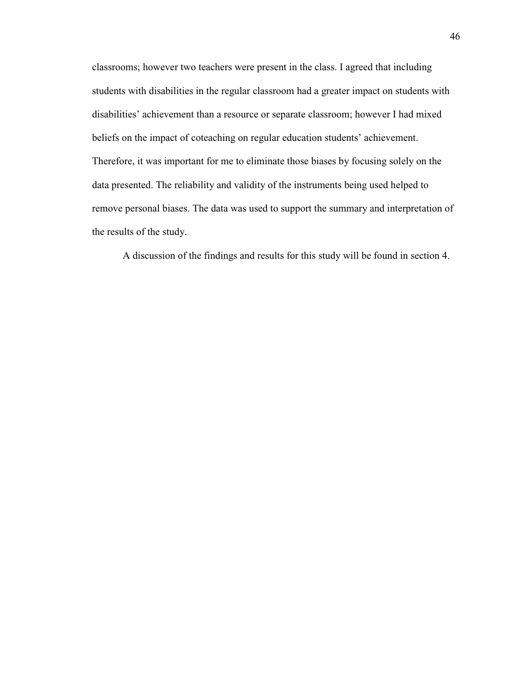classrooms; however two teachers were present in the class. I agreed that including students with disabilities in the regular classroom had a greater impact on students with disabilities' achievement than a resource or separate classroom; however I had mixed beliefs on the impact of coteaching on regular education students' achievement. Therefore, it was important for me to eliminate those biases by focusing solely on the data presented. The reliability and validity of the instruments being used helped to remove personal biases. The data was used to support the summary and interpretation of the results of the study.

A discussion of the findings and results for this study will be found in section 4.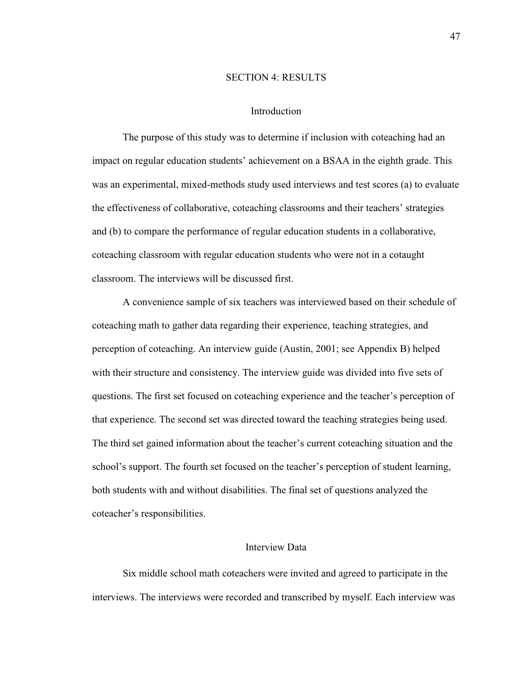## SECTION 4: RESULTS

### Introduction

The purpose of this study was to determine if inclusion with coteaching had an impact on regular education students' achievement on a BSAA in the eighth grade. This was an experimental, mixed-methods study used interviews and test scores (a) to evaluate the effectiveness of collaborative, coteaching classrooms and their teachers' strategies and (b) to compare the performance of regular education students in a collaborative, coteaching classroom with regular education students who were not in a cotaught classroom. The interviews will be discussed first.

A convenience sample of six teachers was interviewed based on their schedule of coteaching math to gather data regarding their experience, teaching strategies, and perception of coteaching. An interview guide (Austin, 2001; see Appendix B) helped with their structure and consistency. The interview guide was divided into five sets of questions. The first set focused on coteaching experience and the teacher's perception of that experience. The second set was directed toward the teaching strategies being used. The third set gained information about the teacher's current coteaching situation and the school's support. The fourth set focused on the teacher's perception of student learning, both students with and without disabilities. The final set of questions analyzed the coteacher's responsibilities.

## Interview Data

 Six middle school math coteachers were invited and agreed to participate in the interviews. The interviews were recorded and transcribed by myself. Each interview was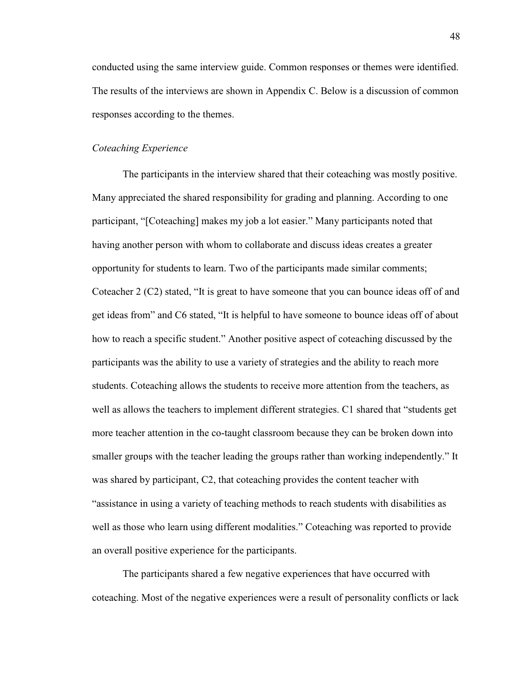conducted using the same interview guide. Common responses or themes were identified. The results of the interviews are shown in Appendix C. Below is a discussion of common responses according to the themes.

#### *Coteaching Experience*

 The participants in the interview shared that their coteaching was mostly positive. Many appreciated the shared responsibility for grading and planning. According to one participant, "[Coteaching] makes my job a lot easier." Many participants noted that having another person with whom to collaborate and discuss ideas creates a greater opportunity for students to learn. Two of the participants made similar comments; Coteacher 2 (C2) stated, "It is great to have someone that you can bounce ideas off of and get ideas from" and C6 stated, "It is helpful to have someone to bounce ideas off of about how to reach a specific student." Another positive aspect of coteaching discussed by the participants was the ability to use a variety of strategies and the ability to reach more students. Coteaching allows the students to receive more attention from the teachers, as well as allows the teachers to implement different strategies. C1 shared that "students get more teacher attention in the co-taught classroom because they can be broken down into smaller groups with the teacher leading the groups rather than working independently." It was shared by participant, C2, that coteaching provides the content teacher with "assistance in using a variety of teaching methods to reach students with disabilities as well as those who learn using different modalities." Coteaching was reported to provide an overall positive experience for the participants.

 The participants shared a few negative experiences that have occurred with coteaching. Most of the negative experiences were a result of personality conflicts or lack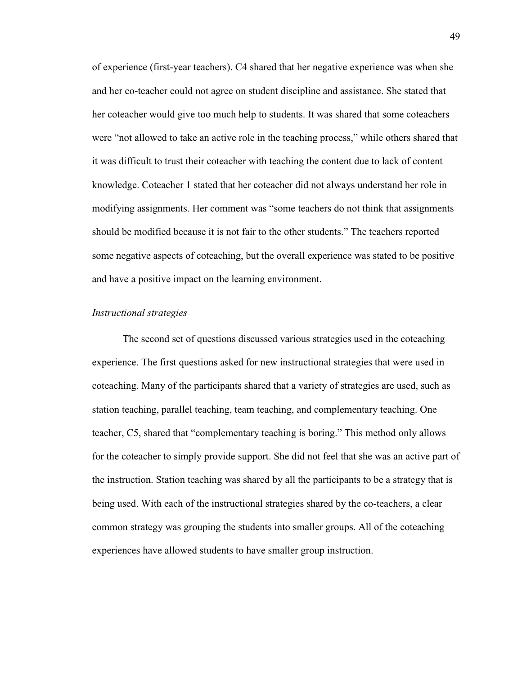of experience (first-year teachers). C4 shared that her negative experience was when she and her co-teacher could not agree on student discipline and assistance. She stated that her coteacher would give too much help to students. It was shared that some coteachers were "not allowed to take an active role in the teaching process," while others shared that it was difficult to trust their coteacher with teaching the content due to lack of content knowledge. Coteacher 1 stated that her coteacher did not always understand her role in modifying assignments. Her comment was "some teachers do not think that assignments should be modified because it is not fair to the other students." The teachers reported some negative aspects of coteaching, but the overall experience was stated to be positive and have a positive impact on the learning environment.

### *Instructional strategies*

 The second set of questions discussed various strategies used in the coteaching experience. The first questions asked for new instructional strategies that were used in coteaching. Many of the participants shared that a variety of strategies are used, such as station teaching, parallel teaching, team teaching, and complementary teaching. One teacher, C5, shared that "complementary teaching is boring." This method only allows for the coteacher to simply provide support. She did not feel that she was an active part of the instruction. Station teaching was shared by all the participants to be a strategy that is being used. With each of the instructional strategies shared by the co-teachers, a clear common strategy was grouping the students into smaller groups. All of the coteaching experiences have allowed students to have smaller group instruction.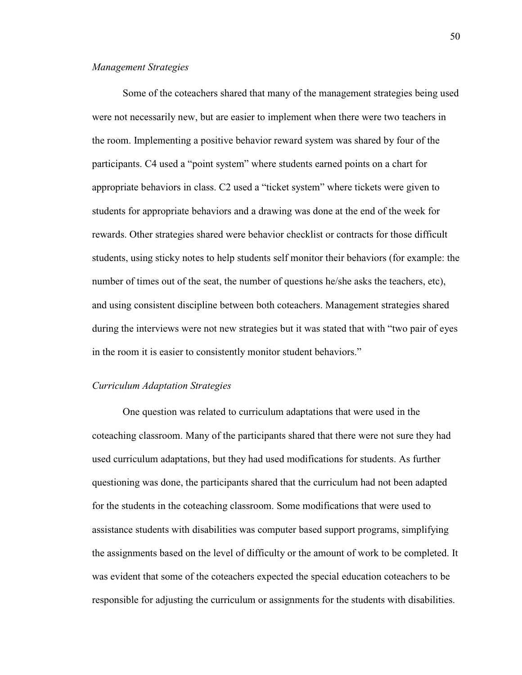### *Management Strategies*

 Some of the coteachers shared that many of the management strategies being used were not necessarily new, but are easier to implement when there were two teachers in the room. Implementing a positive behavior reward system was shared by four of the participants. C4 used a "point system" where students earned points on a chart for appropriate behaviors in class. C2 used a "ticket system" where tickets were given to students for appropriate behaviors and a drawing was done at the end of the week for rewards. Other strategies shared were behavior checklist or contracts for those difficult students, using sticky notes to help students self monitor their behaviors (for example: the number of times out of the seat, the number of questions he/she asks the teachers, etc), and using consistent discipline between both coteachers. Management strategies shared during the interviews were not new strategies but it was stated that with "two pair of eyes in the room it is easier to consistently monitor student behaviors."

### *Curriculum Adaptation Strategies*

 One question was related to curriculum adaptations that were used in the coteaching classroom. Many of the participants shared that there were not sure they had used curriculum adaptations, but they had used modifications for students. As further questioning was done, the participants shared that the curriculum had not been adapted for the students in the coteaching classroom. Some modifications that were used to assistance students with disabilities was computer based support programs, simplifying the assignments based on the level of difficulty or the amount of work to be completed. It was evident that some of the coteachers expected the special education coteachers to be responsible for adjusting the curriculum or assignments for the students with disabilities.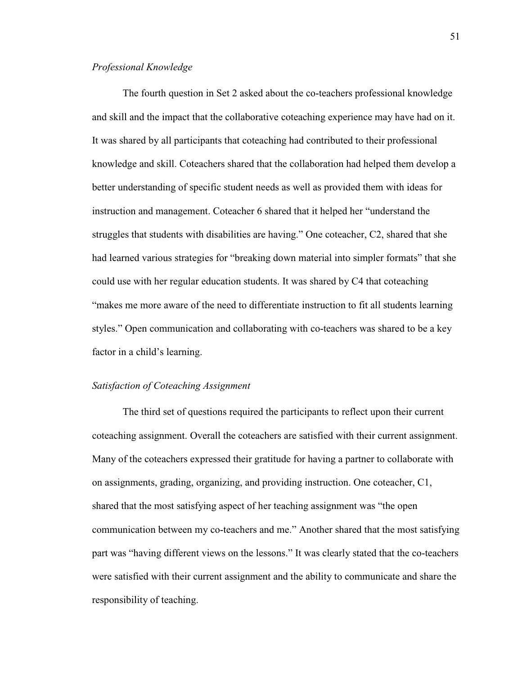# *Professional Knowledge*

 The fourth question in Set 2 asked about the co-teachers professional knowledge and skill and the impact that the collaborative coteaching experience may have had on it. It was shared by all participants that coteaching had contributed to their professional knowledge and skill. Coteachers shared that the collaboration had helped them develop a better understanding of specific student needs as well as provided them with ideas for instruction and management. Coteacher 6 shared that it helped her "understand the struggles that students with disabilities are having." One coteacher, C2, shared that she had learned various strategies for "breaking down material into simpler formats" that she could use with her regular education students. It was shared by C4 that coteaching "makes me more aware of the need to differentiate instruction to fit all students learning styles." Open communication and collaborating with co-teachers was shared to be a key factor in a child's learning.

# *Satisfaction of Coteaching Assignment*

 The third set of questions required the participants to reflect upon their current coteaching assignment. Overall the coteachers are satisfied with their current assignment. Many of the coteachers expressed their gratitude for having a partner to collaborate with on assignments, grading, organizing, and providing instruction. One coteacher, C1, shared that the most satisfying aspect of her teaching assignment was "the open communication between my co-teachers and me." Another shared that the most satisfying part was "having different views on the lessons." It was clearly stated that the co-teachers were satisfied with their current assignment and the ability to communicate and share the responsibility of teaching.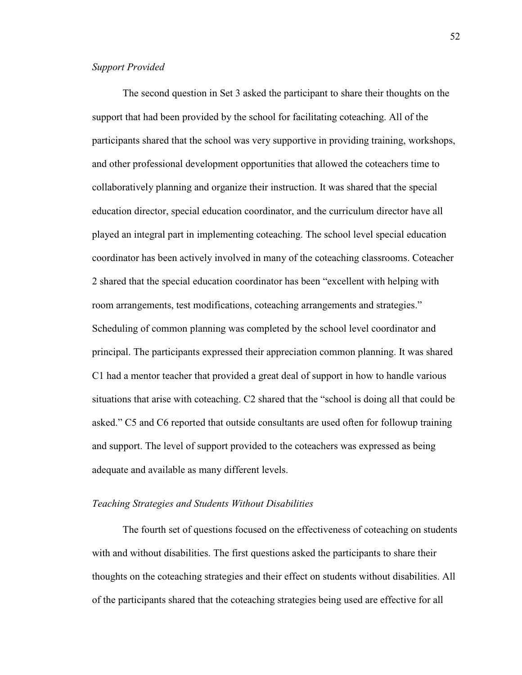# *Support Provided*

 The second question in Set 3 asked the participant to share their thoughts on the support that had been provided by the school for facilitating coteaching. All of the participants shared that the school was very supportive in providing training, workshops, and other professional development opportunities that allowed the coteachers time to collaboratively planning and organize their instruction. It was shared that the special education director, special education coordinator, and the curriculum director have all played an integral part in implementing coteaching. The school level special education coordinator has been actively involved in many of the coteaching classrooms. Coteacher 2 shared that the special education coordinator has been "excellent with helping with room arrangements, test modifications, coteaching arrangements and strategies." Scheduling of common planning was completed by the school level coordinator and principal. The participants expressed their appreciation common planning. It was shared C1 had a mentor teacher that provided a great deal of support in how to handle various situations that arise with coteaching. C2 shared that the "school is doing all that could be asked." C5 and C6 reported that outside consultants are used often for followup training and support. The level of support provided to the coteachers was expressed as being adequate and available as many different levels.

#### *Teaching Strategies and Students Without Disabilities*

 The fourth set of questions focused on the effectiveness of coteaching on students with and without disabilities. The first questions asked the participants to share their thoughts on the coteaching strategies and their effect on students without disabilities. All of the participants shared that the coteaching strategies being used are effective for all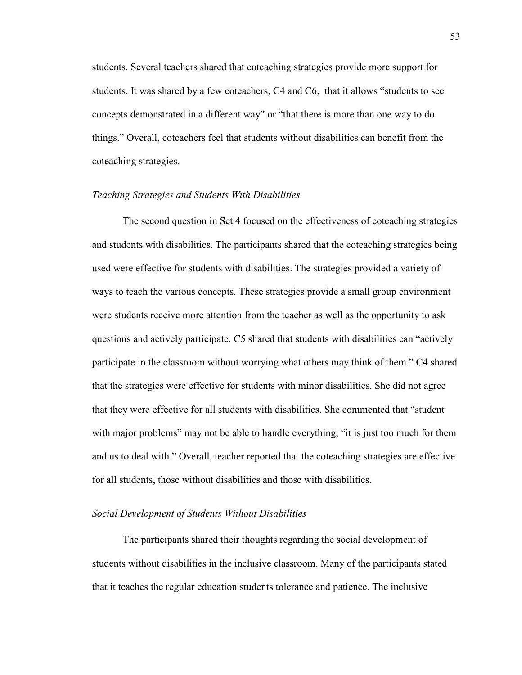students. Several teachers shared that coteaching strategies provide more support for students. It was shared by a few coteachers, C4 and C6, that it allows "students to see concepts demonstrated in a different way" or "that there is more than one way to do things." Overall, coteachers feel that students without disabilities can benefit from the coteaching strategies.

#### *Teaching Strategies and Students With Disabilities*

 The second question in Set 4 focused on the effectiveness of coteaching strategies and students with disabilities. The participants shared that the coteaching strategies being used were effective for students with disabilities. The strategies provided a variety of ways to teach the various concepts. These strategies provide a small group environment were students receive more attention from the teacher as well as the opportunity to ask questions and actively participate. C5 shared that students with disabilities can "actively participate in the classroom without worrying what others may think of them." C4 shared that the strategies were effective for students with minor disabilities. She did not agree that they were effective for all students with disabilities. She commented that "student with major problems" may not be able to handle everything, "it is just too much for them and us to deal with." Overall, teacher reported that the coteaching strategies are effective for all students, those without disabilities and those with disabilities.

## *Social Development of Students Without Disabilities*

 The participants shared their thoughts regarding the social development of students without disabilities in the inclusive classroom. Many of the participants stated that it teaches the regular education students tolerance and patience. The inclusive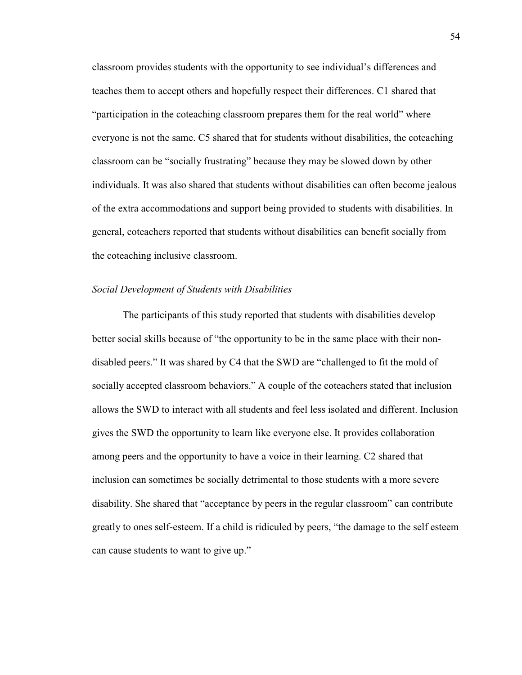classroom provides students with the opportunity to see individual's differences and teaches them to accept others and hopefully respect their differences. C1 shared that "participation in the coteaching classroom prepares them for the real world" where everyone is not the same. C5 shared that for students without disabilities, the coteaching classroom can be "socially frustrating" because they may be slowed down by other individuals. It was also shared that students without disabilities can often become jealous of the extra accommodations and support being provided to students with disabilities. In general, coteachers reported that students without disabilities can benefit socially from the coteaching inclusive classroom.

#### *Social Development of Students with Disabilities*

 The participants of this study reported that students with disabilities develop better social skills because of "the opportunity to be in the same place with their nondisabled peers." It was shared by C4 that the SWD are "challenged to fit the mold of socially accepted classroom behaviors." A couple of the coteachers stated that inclusion allows the SWD to interact with all students and feel less isolated and different. Inclusion gives the SWD the opportunity to learn like everyone else. It provides collaboration among peers and the opportunity to have a voice in their learning. C2 shared that inclusion can sometimes be socially detrimental to those students with a more severe disability. She shared that "acceptance by peers in the regular classroom" can contribute greatly to ones self-esteem. If a child is ridiculed by peers, "the damage to the self esteem can cause students to want to give up."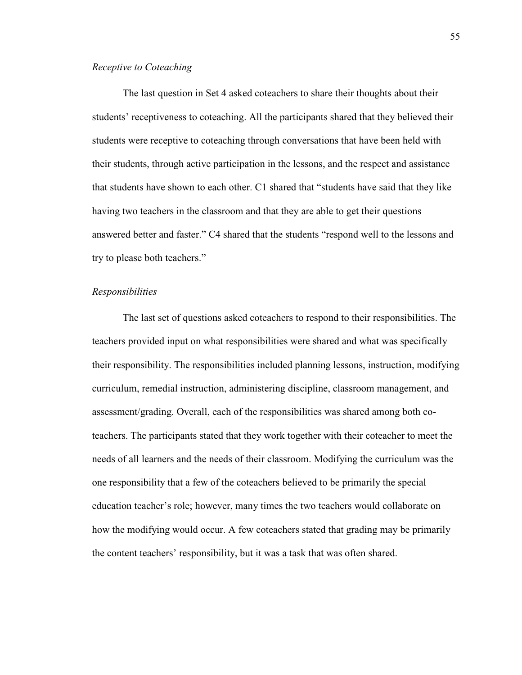### *Receptive to Coteaching*

 The last question in Set 4 asked coteachers to share their thoughts about their students' receptiveness to coteaching. All the participants shared that they believed their students were receptive to coteaching through conversations that have been held with their students, through active participation in the lessons, and the respect and assistance that students have shown to each other. C1 shared that "students have said that they like having two teachers in the classroom and that they are able to get their questions answered better and faster." C4 shared that the students "respond well to the lessons and try to please both teachers."

# *Responsibilities*

 The last set of questions asked coteachers to respond to their responsibilities. The teachers provided input on what responsibilities were shared and what was specifically their responsibility. The responsibilities included planning lessons, instruction, modifying curriculum, remedial instruction, administering discipline, classroom management, and assessment/grading. Overall, each of the responsibilities was shared among both coteachers. The participants stated that they work together with their coteacher to meet the needs of all learners and the needs of their classroom. Modifying the curriculum was the one responsibility that a few of the coteachers believed to be primarily the special education teacher's role; however, many times the two teachers would collaborate on how the modifying would occur. A few coteachers stated that grading may be primarily the content teachers' responsibility, but it was a task that was often shared.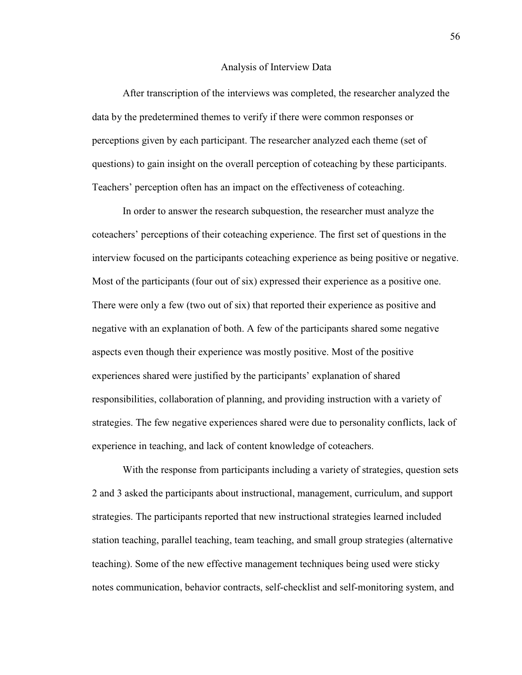#### Analysis of Interview Data

 After transcription of the interviews was completed, the researcher analyzed the data by the predetermined themes to verify if there were common responses or perceptions given by each participant. The researcher analyzed each theme (set of questions) to gain insight on the overall perception of coteaching by these participants. Teachers' perception often has an impact on the effectiveness of coteaching.

 In order to answer the research subquestion, the researcher must analyze the coteachers' perceptions of their coteaching experience. The first set of questions in the interview focused on the participants coteaching experience as being positive or negative. Most of the participants (four out of six) expressed their experience as a positive one. There were only a few (two out of six) that reported their experience as positive and negative with an explanation of both. A few of the participants shared some negative aspects even though their experience was mostly positive. Most of the positive experiences shared were justified by the participants' explanation of shared responsibilities, collaboration of planning, and providing instruction with a variety of strategies. The few negative experiences shared were due to personality conflicts, lack of experience in teaching, and lack of content knowledge of coteachers.

 With the response from participants including a variety of strategies, question sets 2 and 3 asked the participants about instructional, management, curriculum, and support strategies. The participants reported that new instructional strategies learned included station teaching, parallel teaching, team teaching, and small group strategies (alternative teaching). Some of the new effective management techniques being used were sticky notes communication, behavior contracts, self-checklist and self-monitoring system, and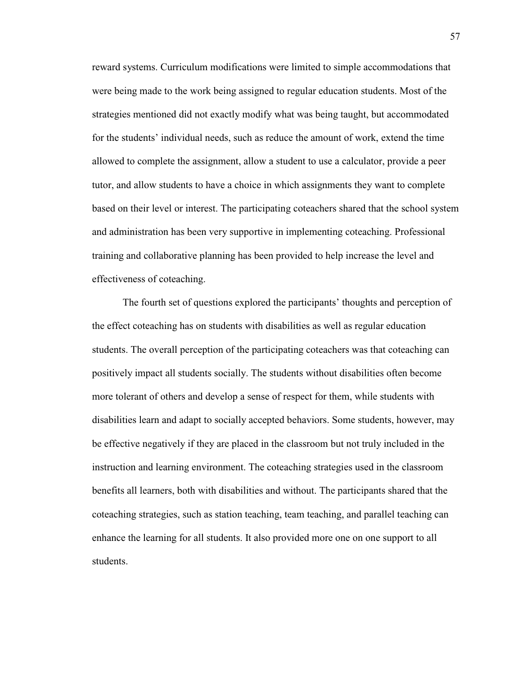reward systems. Curriculum modifications were limited to simple accommodations that were being made to the work being assigned to regular education students. Most of the strategies mentioned did not exactly modify what was being taught, but accommodated for the students' individual needs, such as reduce the amount of work, extend the time allowed to complete the assignment, allow a student to use a calculator, provide a peer tutor, and allow students to have a choice in which assignments they want to complete based on their level or interest. The participating coteachers shared that the school system and administration has been very supportive in implementing coteaching. Professional training and collaborative planning has been provided to help increase the level and effectiveness of coteaching.

 The fourth set of questions explored the participants' thoughts and perception of the effect coteaching has on students with disabilities as well as regular education students. The overall perception of the participating coteachers was that coteaching can positively impact all students socially. The students without disabilities often become more tolerant of others and develop a sense of respect for them, while students with disabilities learn and adapt to socially accepted behaviors. Some students, however, may be effective negatively if they are placed in the classroom but not truly included in the instruction and learning environment. The coteaching strategies used in the classroom benefits all learners, both with disabilities and without. The participants shared that the coteaching strategies, such as station teaching, team teaching, and parallel teaching can enhance the learning for all students. It also provided more one on one support to all students.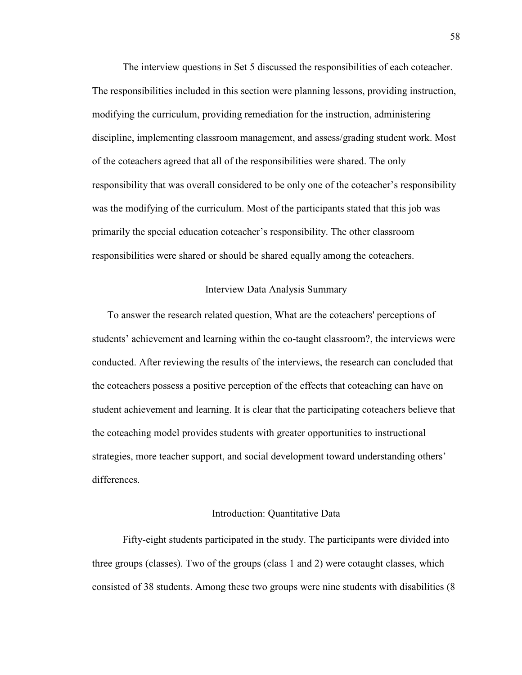The interview questions in Set 5 discussed the responsibilities of each coteacher. The responsibilities included in this section were planning lessons, providing instruction, modifying the curriculum, providing remediation for the instruction, administering discipline, implementing classroom management, and assess/grading student work. Most of the coteachers agreed that all of the responsibilities were shared. The only responsibility that was overall considered to be only one of the coteacher's responsibility was the modifying of the curriculum. Most of the participants stated that this job was primarily the special education coteacher's responsibility. The other classroom responsibilities were shared or should be shared equally among the coteachers.

#### Interview Data Analysis Summary

To answer the research related question, What are the coteachers' perceptions of students' achievement and learning within the co-taught classroom?, the interviews were conducted. After reviewing the results of the interviews, the research can concluded that the coteachers possess a positive perception of the effects that coteaching can have on student achievement and learning. It is clear that the participating coteachers believe that the coteaching model provides students with greater opportunities to instructional strategies, more teacher support, and social development toward understanding others' differences.

# Introduction: Quantitative Data

 Fifty-eight students participated in the study. The participants were divided into three groups (classes). Two of the groups (class 1 and 2) were cotaught classes, which consisted of 38 students. Among these two groups were nine students with disabilities (8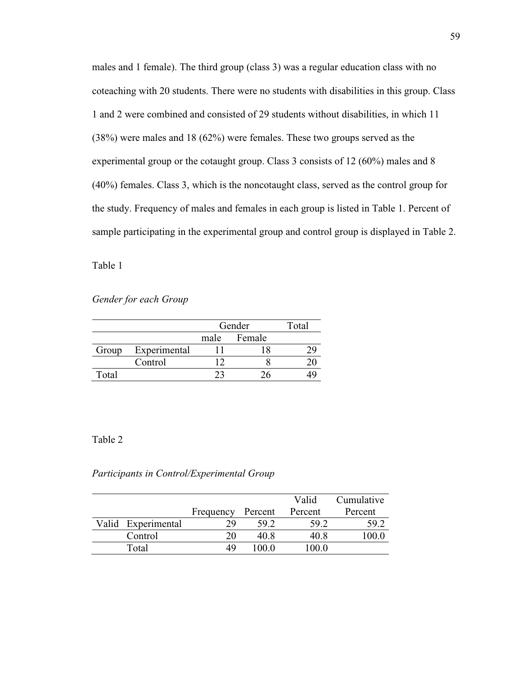males and 1 female). The third group (class 3) was a regular education class with no coteaching with 20 students. There were no students with disabilities in this group. Class 1 and 2 were combined and consisted of 29 students without disabilities, in which 11 (38%) were males and 18 (62%) were females. These two groups served as the experimental group or the cotaught group. Class 3 consists of 12 (60%) males and 8 (40%) females. Class 3, which is the noncotaught class, served as the control group for the study. Frequency of males and females in each group is listed in Table 1. Percent of sample participating in the experimental group and control group is displayed in Table 2.

Table 1

*Gender for each Group* 

|       |              | Gender |             | Total |
|-------|--------------|--------|-------------|-------|
|       |              |        | male Female |       |
| Group | Experimental |        |             |       |
|       | Control      |        |             |       |
| Total |              |        |             |       |

## Table 2

## *Participants in Control/Experimental Group*

|                    |           |         | Valid   | Cumulative |
|--------------------|-----------|---------|---------|------------|
|                    | Frequency | Percent | Percent | Percent    |
| Valid Experimental | 29        | 59.2    | 59.2    | 59.2       |
| Control            | 20        | 40 R    | 40.8    | 100.0      |
| Total              |           | 100 0   | 100.0   |            |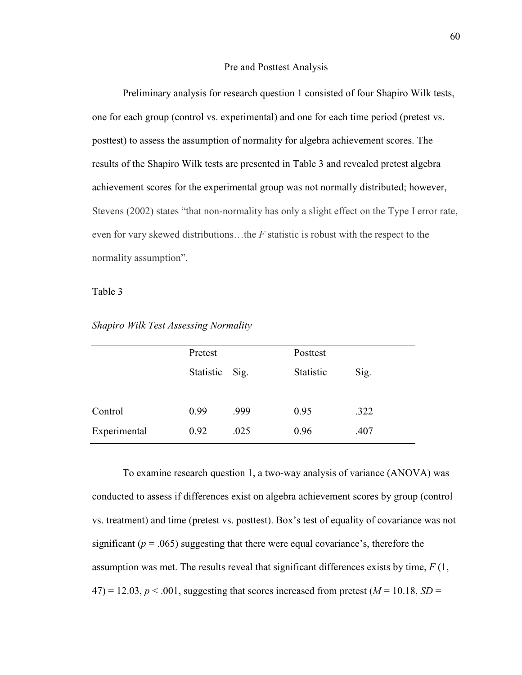#### Pre and Posttest Analysis

Preliminary analysis for research question 1 consisted of four Shapiro Wilk tests, one for each group (control vs. experimental) and one for each time period (pretest vs. posttest) to assess the assumption of normality for algebra achievement scores. The results of the Shapiro Wilk tests are presented in Table 3 and revealed pretest algebra achievement scores for the experimental group was not normally distributed; however, Stevens (2002) states "that non-normality has only a slight effect on the Type I error rate, even for vary skewed distributions…the *F* statistic is robust with the respect to the normality assumption".

# Table 3

|              | Pretest   |      | Posttest  |      |
|--------------|-----------|------|-----------|------|
|              | Statistic | Sig. | Statistic | Sig. |
|              |           |      |           |      |
| Control      | 0.99      | .999 | 0.95      | .322 |
| Experimental | 0.92      | .025 | 0.96      | .407 |

*Shapiro Wilk Test Assessing Normality* 

To examine research question 1, a two-way analysis of variance (ANOVA) was conducted to assess if differences exist on algebra achievement scores by group (control vs. treatment) and time (pretest vs. posttest). Box's test of equality of covariance was not significant ( $p = .065$ ) suggesting that there were equal covariance's, therefore the assumption was met. The results reveal that significant differences exists by time, *F* (1,  $47$ ) = 12.03, *p* < .001, suggesting that scores increased from pretest (*M* = 10.18, *SD* =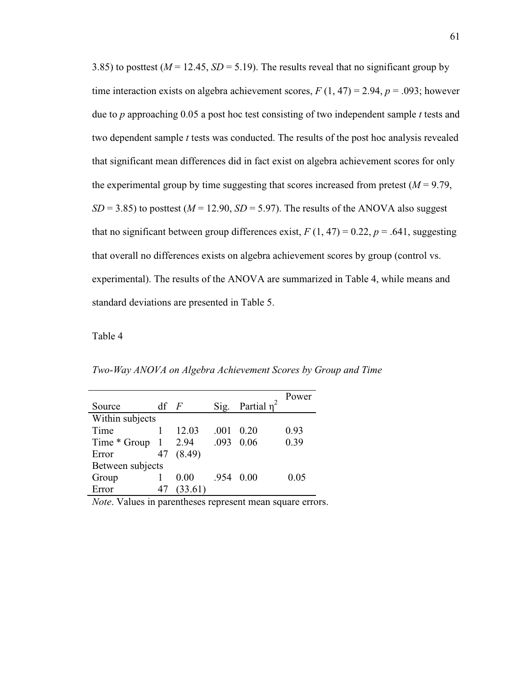3.85) to posttest ( $M = 12.45$ ,  $SD = 5.19$ ). The results reveal that no significant group by time interaction exists on algebra achievement scores,  $F(1, 47) = 2.94$ ,  $p = .093$ ; however due to *p* approaching 0.05 a post hoc test consisting of two independent sample *t* tests and two dependent sample *t* tests was conducted. The results of the post hoc analysis revealed that significant mean differences did in fact exist on algebra achievement scores for only the experimental group by time suggesting that scores increased from pretest  $(M = 9.79)$ ,  $SD = 3.85$ ) to posttest ( $M = 12.90$ ,  $SD = 5.97$ ). The results of the ANOVA also suggest that no significant between group differences exist,  $F(1, 47) = 0.22$ ,  $p = .641$ , suggesting that overall no differences exists on algebra achievement scores by group (control vs. experimental). The results of the ANOVA are summarized in Table 4, while means and standard deviations are presented in Table 5.

Table 4

*Two-Way ANOVA on Algebra Achievement Scores by Group and Time* 

| Source           | $df$ $F$ |         | Sig. | Partial $n^2$ | Power |
|------------------|----------|---------|------|---------------|-------|
| Within subjects  |          |         |      |               |       |
| Time             |          | 12.03   | .001 | 0.20          | 0.93  |
| Time * Group     |          | 2.94    | .093 | 0.06          | 0.39  |
| Error            | 47       | (8.49)  |      |               |       |
| Between subjects |          |         |      |               |       |
| Group            |          | 0.00    | -954 | 0.00          | 0.05  |
| Error            | 47       | (33.61) |      |               |       |

*Note*. Values in parentheses represent mean square errors.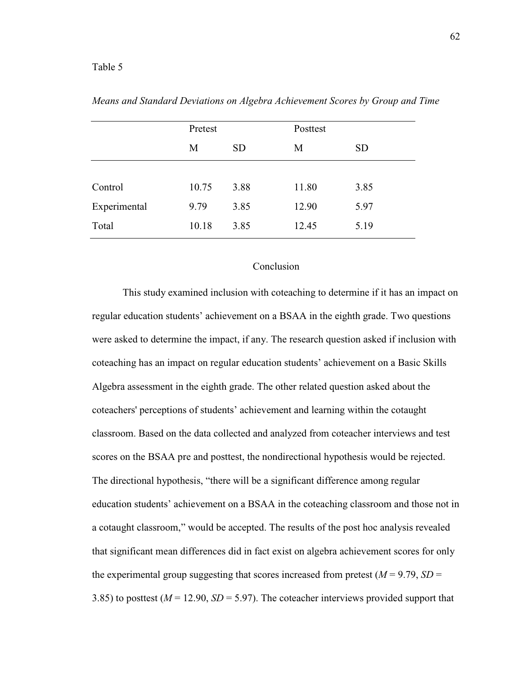#### Table 5

|              | Pretest<br><b>SD</b><br>M |      | Posttest |           |
|--------------|---------------------------|------|----------|-----------|
|              |                           |      | М        | <b>SD</b> |
|              |                           |      |          |           |
| Control      | 10.75                     | 3.88 | 11.80    | 3.85      |
| Experimental | 9.79                      | 3.85 | 12.90    | 5.97      |
| Total        | 10.18                     | 3.85 | 12.45    | 5.19      |

*Means and Standard Deviations on Algebra Achievement Scores by Group and Time* 

# Conclusion

 This study examined inclusion with coteaching to determine if it has an impact on regular education students' achievement on a BSAA in the eighth grade. Two questions were asked to determine the impact, if any. The research question asked if inclusion with coteaching has an impact on regular education students' achievement on a Basic Skills Algebra assessment in the eighth grade. The other related question asked about the coteachers' perceptions of students' achievement and learning within the cotaught classroom. Based on the data collected and analyzed from coteacher interviews and test scores on the BSAA pre and posttest, the nondirectional hypothesis would be rejected. The directional hypothesis, "there will be a significant difference among regular education students' achievement on a BSAA in the coteaching classroom and those not in a cotaught classroom," would be accepted. The results of the post hoc analysis revealed that significant mean differences did in fact exist on algebra achievement scores for only the experimental group suggesting that scores increased from pretest  $(M = 9.79, SD =$ 3.85) to posttest ( $M = 12.90$ ,  $SD = 5.97$ ). The coteacher interviews provided support that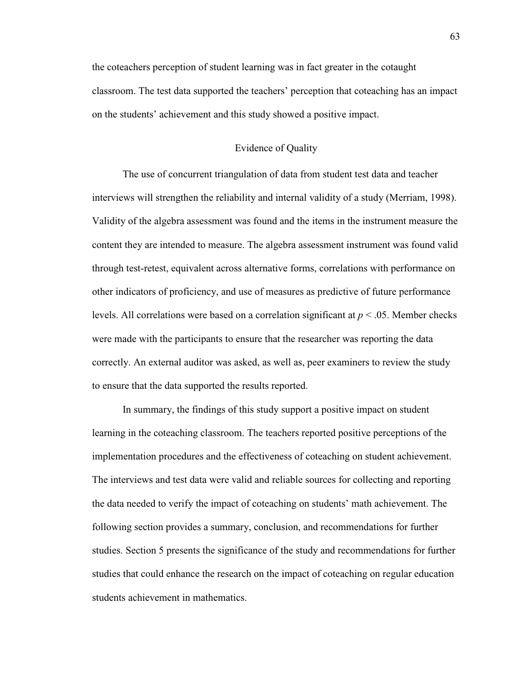the coteachers perception of student learning was in fact greater in the cotaught classroom. The test data supported the teachers' perception that coteaching has an impact on the students' achievement and this study showed a positive impact.

# Evidence of Quality

The use of concurrent triangulation of data from student test data and teacher interviews will strengthen the reliability and internal validity of a study (Merriam, 1998). Validity of the algebra assessment was found and the items in the instrument measure the content they are intended to measure. The algebra assessment instrument was found valid through test-retest, equivalent across alternative forms, correlations with performance on other indicators of proficiency, and use of measures as predictive of future performance levels. All correlations were based on a correlation significant at *p* < .05. Member checks were made with the participants to ensure that the researcher was reporting the data correctly. An external auditor was asked, as well as, peer examiners to review the study to ensure that the data supported the results reported.

In summary, the findings of this study support a positive impact on student learning in the coteaching classroom. The teachers reported positive perceptions of the implementation procedures and the effectiveness of coteaching on student achievement. The interviews and test data were valid and reliable sources for collecting and reporting the data needed to verify the impact of coteaching on students' math achievement. The following section provides a summary, conclusion, and recommendations for further studies. Section 5 presents the significance of the study and recommendations for further studies that could enhance the research on the impact of coteaching on regular education students achievement in mathematics.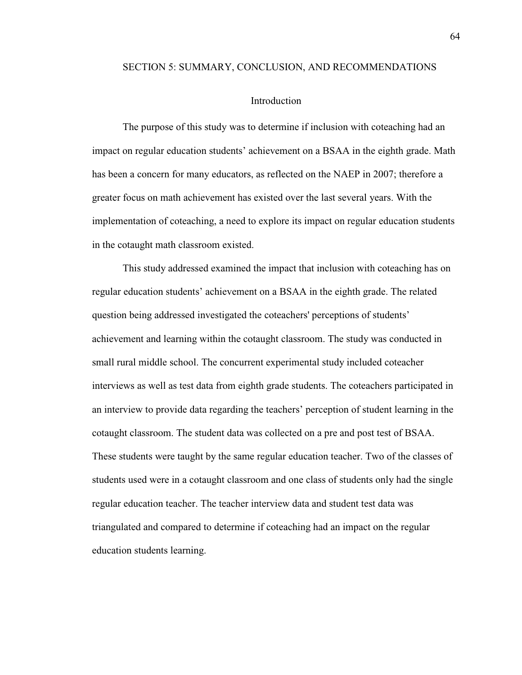#### SECTION 5: SUMMARY, CONCLUSION, AND RECOMMENDATIONS

### Introduction

 The purpose of this study was to determine if inclusion with coteaching had an impact on regular education students' achievement on a BSAA in the eighth grade. Math has been a concern for many educators, as reflected on the NAEP in 2007; therefore a greater focus on math achievement has existed over the last several years. With the implementation of coteaching, a need to explore its impact on regular education students in the cotaught math classroom existed.

 This study addressed examined the impact that inclusion with coteaching has on regular education students' achievement on a BSAA in the eighth grade. The related question being addressed investigated the coteachers' perceptions of students' achievement and learning within the cotaught classroom. The study was conducted in small rural middle school. The concurrent experimental study included coteacher interviews as well as test data from eighth grade students. The coteachers participated in an interview to provide data regarding the teachers' perception of student learning in the cotaught classroom. The student data was collected on a pre and post test of BSAA. These students were taught by the same regular education teacher. Two of the classes of students used were in a cotaught classroom and one class of students only had the single regular education teacher. The teacher interview data and student test data was triangulated and compared to determine if coteaching had an impact on the regular education students learning.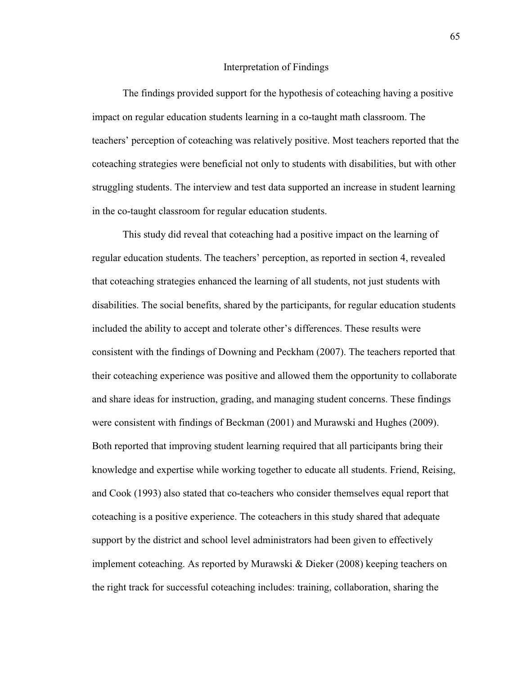#### Interpretation of Findings

 The findings provided support for the hypothesis of coteaching having a positive impact on regular education students learning in a co-taught math classroom. The teachers' perception of coteaching was relatively positive. Most teachers reported that the coteaching strategies were beneficial not only to students with disabilities, but with other struggling students. The interview and test data supported an increase in student learning in the co-taught classroom for regular education students.

This study did reveal that coteaching had a positive impact on the learning of regular education students. The teachers' perception, as reported in section 4, revealed that coteaching strategies enhanced the learning of all students, not just students with disabilities. The social benefits, shared by the participants, for regular education students included the ability to accept and tolerate other's differences. These results were consistent with the findings of Downing and Peckham (2007). The teachers reported that their coteaching experience was positive and allowed them the opportunity to collaborate and share ideas for instruction, grading, and managing student concerns. These findings were consistent with findings of Beckman (2001) and Murawski and Hughes (2009). Both reported that improving student learning required that all participants bring their knowledge and expertise while working together to educate all students. Friend, Reising, and Cook (1993) also stated that co-teachers who consider themselves equal report that coteaching is a positive experience. The coteachers in this study shared that adequate support by the district and school level administrators had been given to effectively implement coteaching. As reported by Murawski & Dieker (2008) keeping teachers on the right track for successful coteaching includes: training, collaboration, sharing the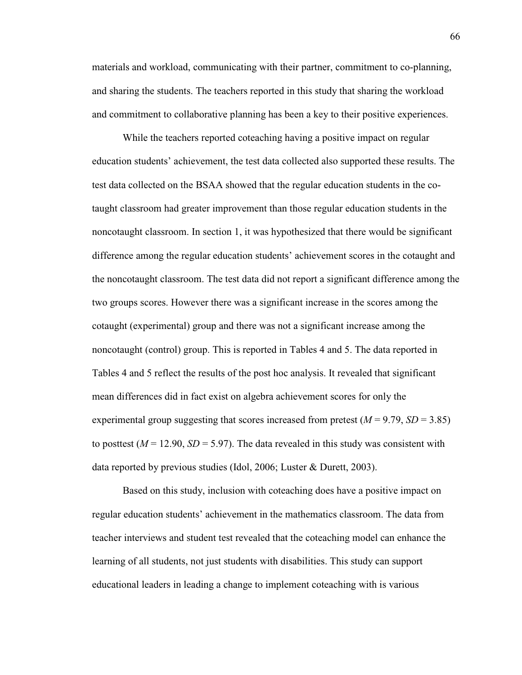materials and workload, communicating with their partner, commitment to co-planning, and sharing the students. The teachers reported in this study that sharing the workload and commitment to collaborative planning has been a key to their positive experiences.

 While the teachers reported coteaching having a positive impact on regular education students' achievement, the test data collected also supported these results. The test data collected on the BSAA showed that the regular education students in the cotaught classroom had greater improvement than those regular education students in the noncotaught classroom. In section 1, it was hypothesized that there would be significant difference among the regular education students' achievement scores in the cotaught and the noncotaught classroom. The test data did not report a significant difference among the two groups scores. However there was a significant increase in the scores among the cotaught (experimental) group and there was not a significant increase among the noncotaught (control) group. This is reported in Tables 4 and 5. The data reported in Tables 4 and 5 reflect the results of the post hoc analysis. It revealed that significant mean differences did in fact exist on algebra achievement scores for only the experimental group suggesting that scores increased from pretest  $(M = 9.79, SD = 3.85)$ to posttest  $(M = 12.90, SD = 5.97)$ . The data revealed in this study was consistent with data reported by previous studies (Idol, 2006; Luster & Durett, 2003).

 Based on this study, inclusion with coteaching does have a positive impact on regular education students' achievement in the mathematics classroom. The data from teacher interviews and student test revealed that the coteaching model can enhance the learning of all students, not just students with disabilities. This study can support educational leaders in leading a change to implement coteaching with is various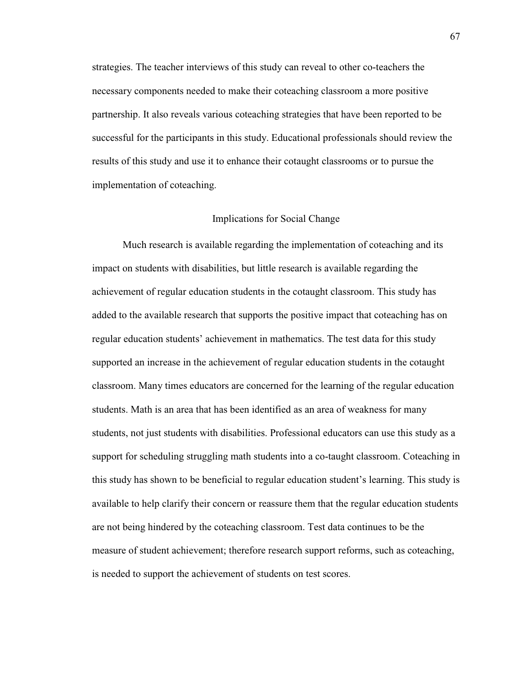strategies. The teacher interviews of this study can reveal to other co-teachers the necessary components needed to make their coteaching classroom a more positive partnership. It also reveals various coteaching strategies that have been reported to be successful for the participants in this study. Educational professionals should review the results of this study and use it to enhance their cotaught classrooms or to pursue the implementation of coteaching.

#### Implications for Social Change

 Much research is available regarding the implementation of coteaching and its impact on students with disabilities, but little research is available regarding the achievement of regular education students in the cotaught classroom. This study has added to the available research that supports the positive impact that coteaching has on regular education students' achievement in mathematics. The test data for this study supported an increase in the achievement of regular education students in the cotaught classroom. Many times educators are concerned for the learning of the regular education students. Math is an area that has been identified as an area of weakness for many students, not just students with disabilities. Professional educators can use this study as a support for scheduling struggling math students into a co-taught classroom. Coteaching in this study has shown to be beneficial to regular education student's learning. This study is available to help clarify their concern or reassure them that the regular education students are not being hindered by the coteaching classroom. Test data continues to be the measure of student achievement; therefore research support reforms, such as coteaching, is needed to support the achievement of students on test scores.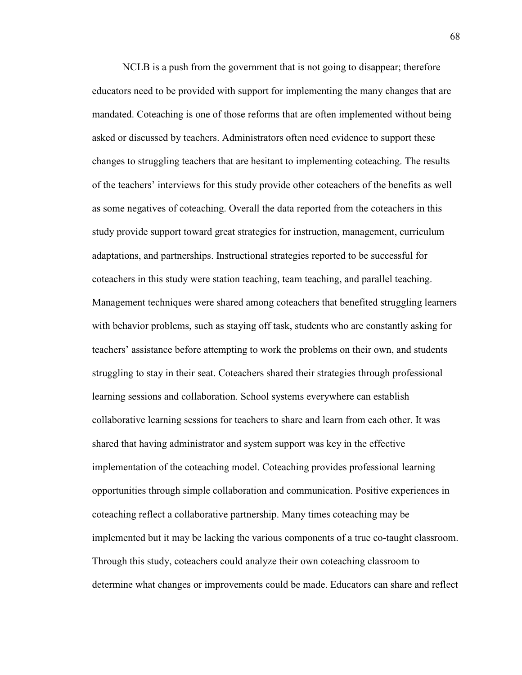NCLB is a push from the government that is not going to disappear; therefore educators need to be provided with support for implementing the many changes that are mandated. Coteaching is one of those reforms that are often implemented without being asked or discussed by teachers. Administrators often need evidence to support these changes to struggling teachers that are hesitant to implementing coteaching. The results of the teachers' interviews for this study provide other coteachers of the benefits as well as some negatives of coteaching. Overall the data reported from the coteachers in this study provide support toward great strategies for instruction, management, curriculum adaptations, and partnerships. Instructional strategies reported to be successful for coteachers in this study were station teaching, team teaching, and parallel teaching. Management techniques were shared among coteachers that benefited struggling learners with behavior problems, such as staying off task, students who are constantly asking for teachers' assistance before attempting to work the problems on their own, and students struggling to stay in their seat. Coteachers shared their strategies through professional learning sessions and collaboration. School systems everywhere can establish collaborative learning sessions for teachers to share and learn from each other. It was shared that having administrator and system support was key in the effective implementation of the coteaching model. Coteaching provides professional learning opportunities through simple collaboration and communication. Positive experiences in coteaching reflect a collaborative partnership. Many times coteaching may be implemented but it may be lacking the various components of a true co-taught classroom. Through this study, coteachers could analyze their own coteaching classroom to determine what changes or improvements could be made. Educators can share and reflect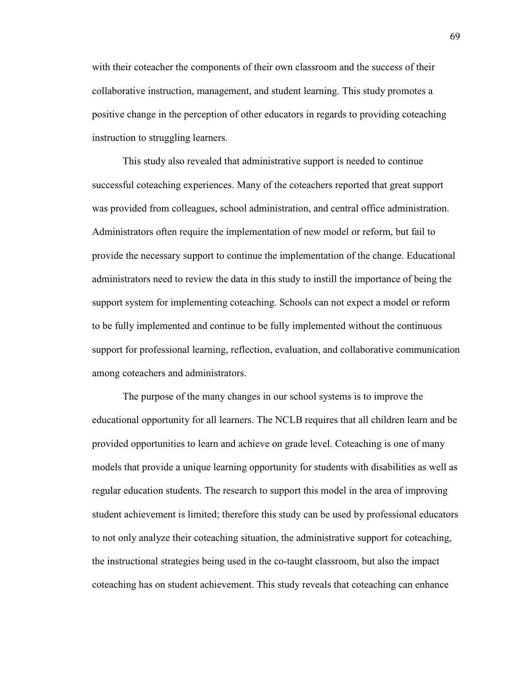with their coteacher the components of their own classroom and the success of their collaborative instruction, management, and student learning. This study promotes a positive change in the perception of other educators in regards to providing coteaching instruction to struggling learners.

This study also revealed that administrative support is needed to continue successful coteaching experiences. Many of the coteachers reported that great support was provided from colleagues, school administration, and central office administration. Administrators often require the implementation of new model or reform, but fail to provide the necessary support to continue the implementation of the change. Educational administrators need to review the data in this study to instill the importance of being the support system for implementing coteaching. Schools can not expect a model or reform to be fully implemented and continue to be fully implemented without the continuous support for professional learning, reflection, evaluation, and collaborative communication among coteachers and administrators.

The purpose of the many changes in our school systems is to improve the educational opportunity for all learners. The NCLB requires that all children learn and be provided opportunities to learn and achieve on grade level. Coteaching is one of many models that provide a unique learning opportunity for students with disabilities as well as regular education students. The research to support this model in the area of improving student achievement is limited; therefore this study can be used by professional educators to not only analyze their coteaching situation, the administrative support for coteaching, the instructional strategies being used in the co-taught classroom, but also the impact coteaching has on student achievement. This study reveals that coteaching can enhance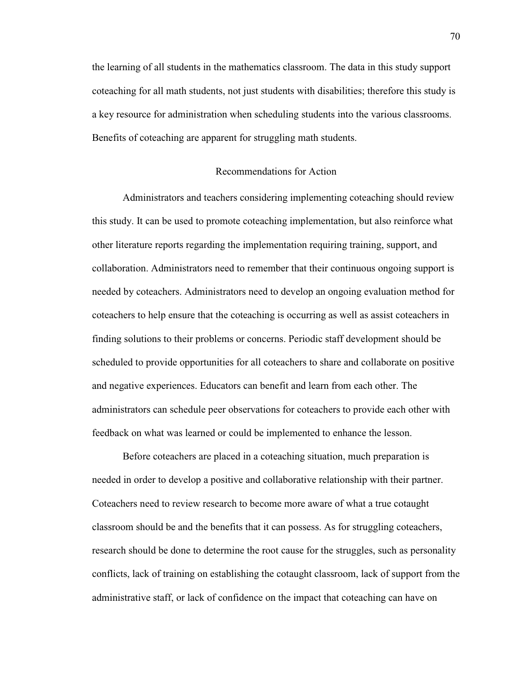the learning of all students in the mathematics classroom. The data in this study support coteaching for all math students, not just students with disabilities; therefore this study is a key resource for administration when scheduling students into the various classrooms. Benefits of coteaching are apparent for struggling math students.

# Recommendations for Action

 Administrators and teachers considering implementing coteaching should review this study. It can be used to promote coteaching implementation, but also reinforce what other literature reports regarding the implementation requiring training, support, and collaboration. Administrators need to remember that their continuous ongoing support is needed by coteachers. Administrators need to develop an ongoing evaluation method for coteachers to help ensure that the coteaching is occurring as well as assist coteachers in finding solutions to their problems or concerns. Periodic staff development should be scheduled to provide opportunities for all coteachers to share and collaborate on positive and negative experiences. Educators can benefit and learn from each other. The administrators can schedule peer observations for coteachers to provide each other with feedback on what was learned or could be implemented to enhance the lesson.

Before coteachers are placed in a coteaching situation, much preparation is needed in order to develop a positive and collaborative relationship with their partner. Coteachers need to review research to become more aware of what a true cotaught classroom should be and the benefits that it can possess. As for struggling coteachers, research should be done to determine the root cause for the struggles, such as personality conflicts, lack of training on establishing the cotaught classroom, lack of support from the administrative staff, or lack of confidence on the impact that coteaching can have on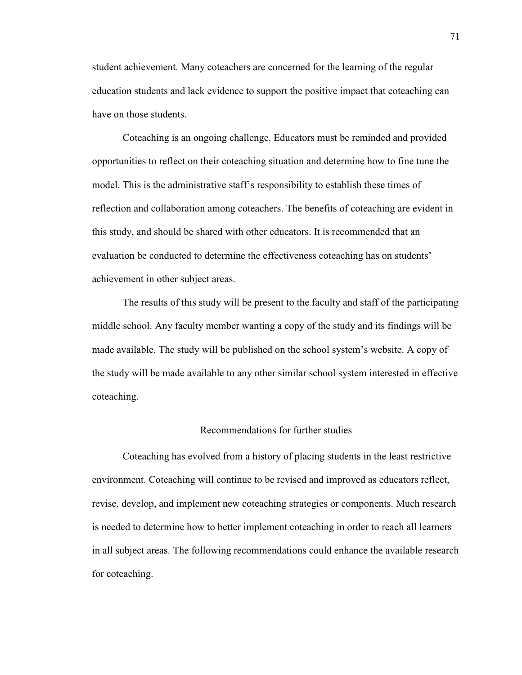student achievement. Many coteachers are concerned for the learning of the regular education students and lack evidence to support the positive impact that coteaching can have on those students.

 Coteaching is an ongoing challenge. Educators must be reminded and provided opportunities to reflect on their coteaching situation and determine how to fine tune the model. This is the administrative staff's responsibility to establish these times of reflection and collaboration among coteachers. The benefits of coteaching are evident in this study, and should be shared with other educators. It is recommended that an evaluation be conducted to determine the effectiveness coteaching has on students' achievement in other subject areas.

 The results of this study will be present to the faculty and staff of the participating middle school. Any faculty member wanting a copy of the study and its findings will be made available. The study will be published on the school system's website. A copy of the study will be made available to any other similar school system interested in effective coteaching.

#### Recommendations for further studies

 Coteaching has evolved from a history of placing students in the least restrictive environment. Coteaching will continue to be revised and improved as educators reflect, revise, develop, and implement new coteaching strategies or components. Much research is needed to determine how to better implement coteaching in order to reach all learners in all subject areas. The following recommendations could enhance the available research for coteaching.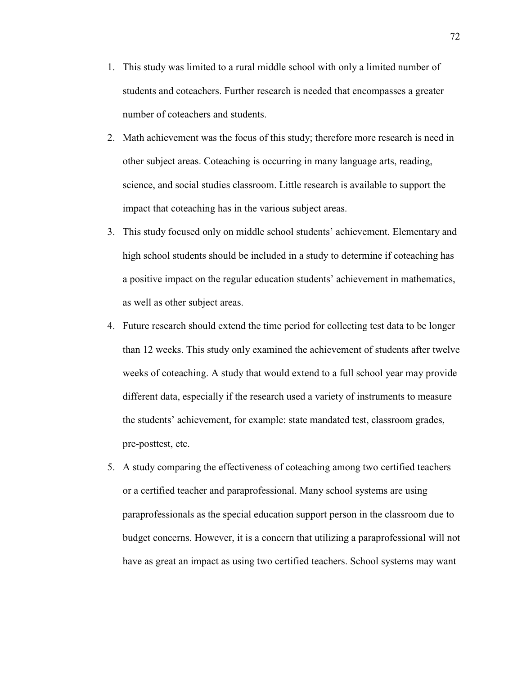- 1. This study was limited to a rural middle school with only a limited number of students and coteachers. Further research is needed that encompasses a greater number of coteachers and students.
- 2. Math achievement was the focus of this study; therefore more research is need in other subject areas. Coteaching is occurring in many language arts, reading, science, and social studies classroom. Little research is available to support the impact that coteaching has in the various subject areas.
- 3. This study focused only on middle school students' achievement. Elementary and high school students should be included in a study to determine if coteaching has a positive impact on the regular education students' achievement in mathematics, as well as other subject areas.
- 4. Future research should extend the time period for collecting test data to be longer than 12 weeks. This study only examined the achievement of students after twelve weeks of coteaching. A study that would extend to a full school year may provide different data, especially if the research used a variety of instruments to measure the students' achievement, for example: state mandated test, classroom grades, pre-posttest, etc.
- 5. A study comparing the effectiveness of coteaching among two certified teachers or a certified teacher and paraprofessional. Many school systems are using paraprofessionals as the special education support person in the classroom due to budget concerns. However, it is a concern that utilizing a paraprofessional will not have as great an impact as using two certified teachers. School systems may want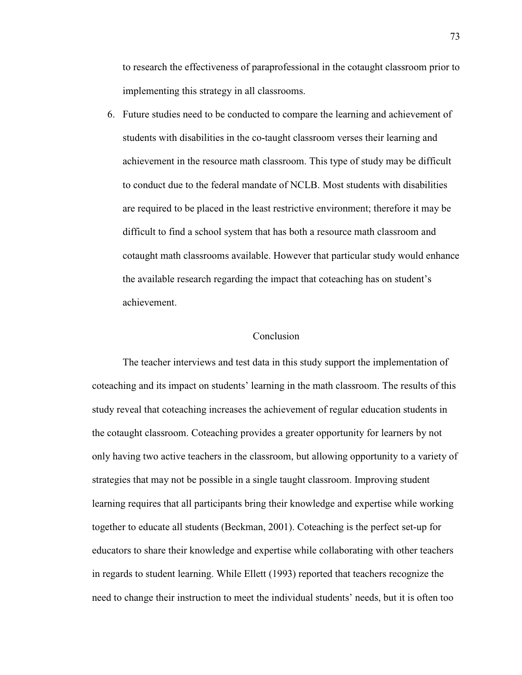to research the effectiveness of paraprofessional in the cotaught classroom prior to implementing this strategy in all classrooms.

6. Future studies need to be conducted to compare the learning and achievement of students with disabilities in the co-taught classroom verses their learning and achievement in the resource math classroom. This type of study may be difficult to conduct due to the federal mandate of NCLB. Most students with disabilities are required to be placed in the least restrictive environment; therefore it may be difficult to find a school system that has both a resource math classroom and cotaught math classrooms available. However that particular study would enhance the available research regarding the impact that coteaching has on student's achievement.

#### Conclusion

 The teacher interviews and test data in this study support the implementation of coteaching and its impact on students' learning in the math classroom. The results of this study reveal that coteaching increases the achievement of regular education students in the cotaught classroom. Coteaching provides a greater opportunity for learners by not only having two active teachers in the classroom, but allowing opportunity to a variety of strategies that may not be possible in a single taught classroom. Improving student learning requires that all participants bring their knowledge and expertise while working together to educate all students (Beckman, 2001). Coteaching is the perfect set-up for educators to share their knowledge and expertise while collaborating with other teachers in regards to student learning. While Ellett (1993) reported that teachers recognize the need to change their instruction to meet the individual students' needs, but it is often too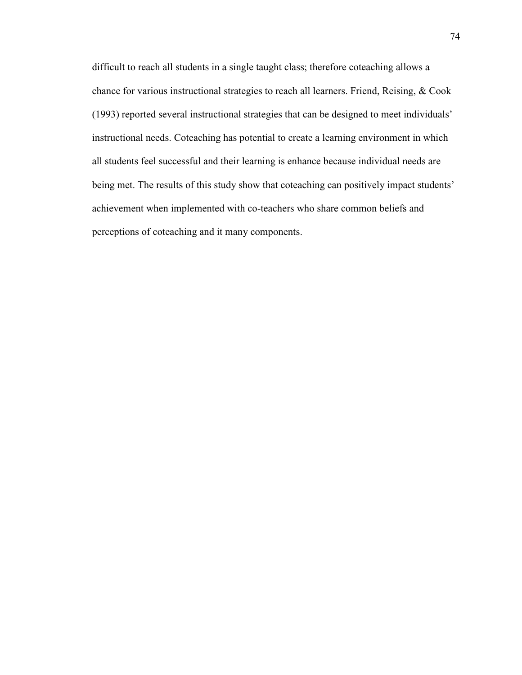difficult to reach all students in a single taught class; therefore coteaching allows a chance for various instructional strategies to reach all learners. Friend, Reising, & Cook (1993) reported several instructional strategies that can be designed to meet individuals' instructional needs. Coteaching has potential to create a learning environment in which all students feel successful and their learning is enhance because individual needs are being met. The results of this study show that coteaching can positively impact students' achievement when implemented with co-teachers who share common beliefs and perceptions of coteaching and it many components.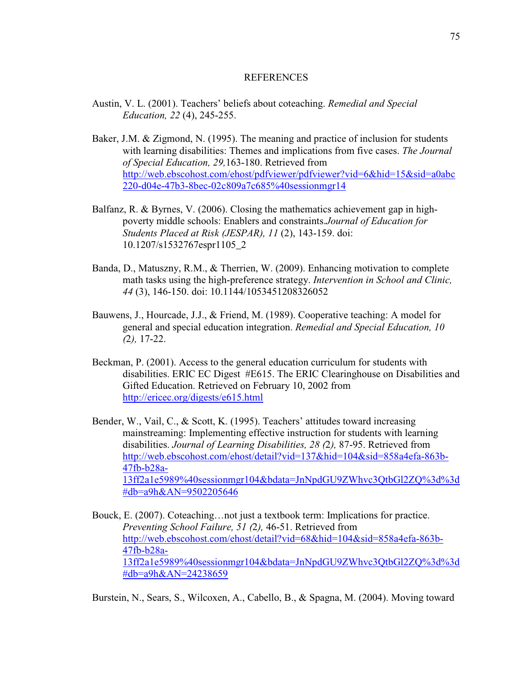# **REFERENCES**

- Austin, V. L. (2001). Teachers' beliefs about coteaching. *Remedial and Special Education, 22* (4), 245-255.
- Baker, J.M. & Zigmond, N. (1995). The meaning and practice of inclusion for students with learning disabilities: Themes and implications from five cases. *The Journal of Special Education, 29,*163-180. Retrieved from http://web.ebscohost.com/ehost/pdfviewer/pdfviewer?vid=6&hid=15&sid=a0abc 220-d04e-47b3-8bec-02c809a7c685%40sessionmgr14
- Balfanz, R. & Byrnes, V. (2006). Closing the mathematics achievement gap in highpoverty middle schools: Enablers and constraints.*Journal of Education for Students Placed at Risk (JESPAR), 11* (2), 143-159. doi: 10.1207/s1532767espr1105\_2
- Banda, D., Matuszny, R.M., & Therrien, W. (2009). Enhancing motivation to complete math tasks using the high-preference strategy. *Intervention in School and Clinic, 44* (3), 146-150. doi: 10.1144/1053451208326052
- Bauwens, J., Hourcade, J.J., & Friend, M. (1989). Cooperative teaching: A model for general and special education integration. *Remedial and Special Education, 10 (*2*),* 17-22.
- Beckman, P. (2001). Access to the general education curriculum for students with disabilities. ERIC EC Digest #E615. The ERIC Clearinghouse on Disabilities and Gifted Education. Retrieved on February 10, 2002 from http://ericec.org/digests/e615.html
- Bender, W., Vail, C., & Scott, K. (1995). Teachers' attitudes toward increasing mainstreaming: Implementing effective instruction for students with learning disabilities. *Journal of Learning Disabilities, 28 (*2*),* 87-95. Retrieved from http://web.ebscohost.com/ehost/detail?vid=137&hid=104&sid=858a4efa-863b-47fb-b28a-13ff2a1e5989%40sessionmgr104&bdata=JnNpdGU9ZWhvc3QtbGl2ZQ%3d%3d #db=a9h&AN=9502205646
- Bouck, E. (2007). Coteaching…not just a textbook term: Implications for practice. *Preventing School Failure, 51 (*2*),* 46-51. Retrieved from http://web.ebscohost.com/ehost/detail?vid=68&hid=104&sid=858a4efa-863b-47fb-b28a-13ff2a1e5989%40sessionmgr104&bdata=JnNpdGU9ZWhvc3QtbGl2ZQ%3d%3d #db=a9h&AN=24238659

Burstein, N., Sears, S., Wilcoxen, A., Cabello, B., & Spagna, M. (2004). Moving toward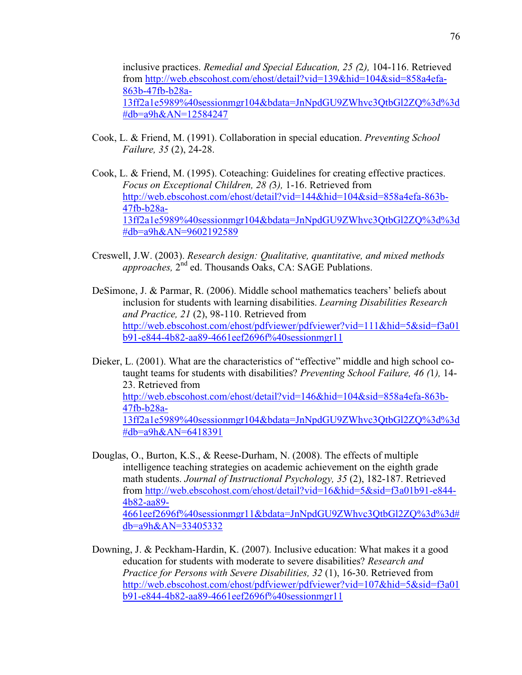inclusive practices. *Remedial and Special Education, 25 (*2*),* 104-116. Retrieved from http://web.ebscohost.com/ehost/detail?vid=139&hid=104&sid=858a4efa-863b-47fb-b28a-13ff2a1e5989%40sessionmgr104&bdata=JnNpdGU9ZWhvc3QtbGl2ZQ%3d%3d #db=a9h&AN=12584247

- Cook, L. & Friend, M. (1991). Collaboration in special education. *Preventing School Failure, 35* (2), 24-28.
- Cook, L. & Friend, M. (1995). Coteaching: Guidelines for creating effective practices. *Focus on Exceptional Children, 28 (*3*),* 1-16. Retrieved from http://web.ebscohost.com/ehost/detail?vid=144&hid=104&sid=858a4efa-863b-47fb-b28a-13ff2a1e5989%40sessionmgr104&bdata=JnNpdGU9ZWhvc3QtbGl2ZQ%3d%3d #db=a9h&AN=9602192589
- Creswell, J.W. (2003). *Research design: Qualitative, quantitative, and mixed methods*  approaches, 2<sup>nd</sup> ed. Thousands Oaks, CA: SAGE Publations.
- DeSimone, J. & Parmar, R. (2006). Middle school mathematics teachers' beliefs about inclusion for students with learning disabilities. *Learning Disabilities Research and Practice, 21* (2), 98-110. Retrieved from http://web.ebscohost.com/ehost/pdfviewer/pdfviewer?vid=111&hid=5&sid=f3a01 b91-e844-4b82-aa89-4661eef2696f%40sessionmgr11
- Dieker, L. (2001). What are the characteristics of "effective" middle and high school cotaught teams for students with disabilities? *Preventing School Failure, 46 (*1*),* 14- 23. Retrieved from http://web.ebscohost.com/ehost/detail?vid=146&hid=104&sid=858a4efa-863b-47fb-b28a-13ff2a1e5989%40sessionmgr104&bdata=JnNpdGU9ZWhvc3QtbGl2ZQ%3d%3d #db=a9h&AN=6418391
- Douglas, O., Burton, K.S., & Reese-Durham, N. (2008). The effects of multiple intelligence teaching strategies on academic achievement on the eighth grade math students. *Journal of Instructional Psychology, 35* (2), 182-187. Retrieved from http://web.ebscohost.com/ehost/detail?vid=16&hid=5&sid=f3a01b91-e844- 4b82-aa89- 4661eef2696f%40sessionmgr11&bdata=JnNpdGU9ZWhvc3QtbGl2ZQ%3d%3d# db=a9h&AN=33405332
- Downing, J. & Peckham-Hardin, K. (2007). Inclusive education: What makes it a good education for students with moderate to severe disabilities? *Research and Practice for Persons with Severe Disabilities, 32* (1), 16-30. Retrieved from http://web.ebscohost.com/ehost/pdfviewer/pdfviewer?vid=107&hid=5&sid=f3a01 b91-e844-4b82-aa89-4661eef2696f%40sessionmgr11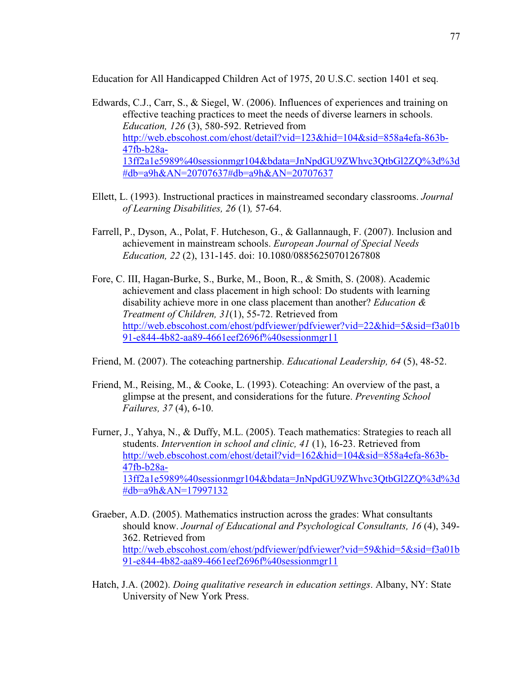Education for All Handicapped Children Act of 1975, 20 U.S.C. section 1401 et seq.

- Edwards, C.J., Carr, S., & Siegel, W. (2006). Influences of experiences and training on effective teaching practices to meet the needs of diverse learners in schools. *Education, 126* (3), 580-592. Retrieved from http://web.ebscohost.com/ehost/detail?vid=123&hid=104&sid=858a4efa-863b-47fb-b28a-13ff2a1e5989%40sessionmgr104&bdata=JnNpdGU9ZWhvc3QtbGl2ZQ%3d%3d #db=a9h&AN=20707637#db=a9h&AN=20707637
- Ellett, L. (1993). Instructional practices in mainstreamed secondary classrooms. *Journal of Learning Disabilities, 26* (1)*,* 57-64.
- Farrell, P., Dyson, A., Polat, F. Hutcheson, G., & Gallannaugh, F. (2007). Inclusion and achievement in mainstream schools. *European Journal of Special Needs Education, 22* (2), 131-145. doi: 10.1080/08856250701267808
- Fore, C. III, Hagan-Burke, S., Burke, M., Boon, R., & Smith, S. (2008). Academic achievement and class placement in high school: Do students with learning disability achieve more in one class placement than another? *Education & Treatment of Children, 31*(1), 55-72. Retrieved from http://web.ebscohost.com/ehost/pdfviewer/pdfviewer?vid=22&hid=5&sid=f3a01b 91-e844-4b82-aa89-4661eef2696f%40sessionmgr11
- Friend, M. (2007). The coteaching partnership. *Educational Leadership, 64* (5), 48-52.
- Friend, M., Reising, M., & Cooke, L. (1993). Coteaching: An overview of the past, a glimpse at the present, and considerations for the future. *Preventing School Failures, 37* (4), 6-10.
- Furner, J., Yahya, N., & Duffy, M.L. (2005). Teach mathematics: Strategies to reach all students. *Intervention in school and clinic, 41* (1), 16-23. Retrieved from http://web.ebscohost.com/ehost/detail?vid=162&hid=104&sid=858a4efa-863b-47fb-b28a-13ff2a1e5989%40sessionmgr104&bdata=JnNpdGU9ZWhvc3QtbGl2ZQ%3d%3d #db=a9h&AN=17997132
- Graeber, A.D. (2005). Mathematics instruction across the grades: What consultants should know. *Journal of Educational and Psychological Consultants, 16* (4), 349- 362. Retrieved from http://web.ebscohost.com/ehost/pdfviewer/pdfviewer?vid=59&hid=5&sid=f3a01b 91-e844-4b82-aa89-4661eef2696f%40sessionmgr11
- Hatch, J.A. (2002). *Doing qualitative research in education settings*. Albany, NY: State University of New York Press.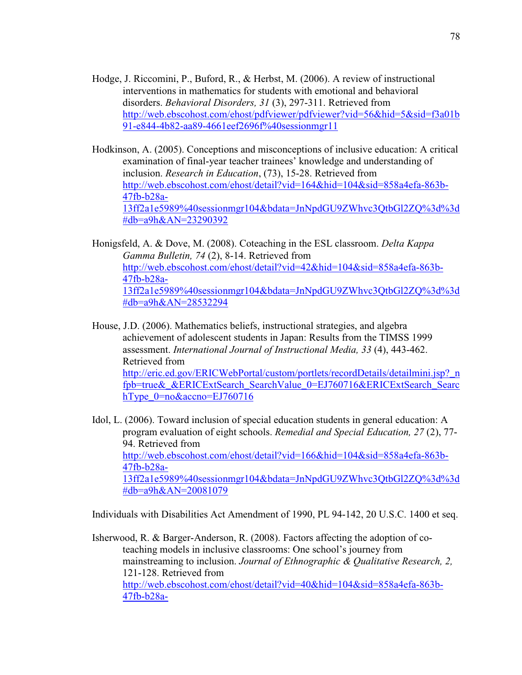- Hodge, J. Riccomini, P., Buford, R., & Herbst, M. (2006). A review of instructional interventions in mathematics for students with emotional and behavioral disorders. *Behavioral Disorders, 31* (3), 297-311. Retrieved from http://web.ebscohost.com/ehost/pdfviewer/pdfviewer?vid=56&hid=5&sid=f3a01b 91-e844-4b82-aa89-4661eef2696f%40sessionmgr11
- Hodkinson, A. (2005). Conceptions and misconceptions of inclusive education: A critical examination of final-year teacher trainees' knowledge and understanding of inclusion. *Research in Education*, (73), 15-28. Retrieved from http://web.ebscohost.com/ehost/detail?vid=164&hid=104&sid=858a4efa-863b-47fb-b28a-13ff2a1e5989%40sessionmgr104&bdata=JnNpdGU9ZWhvc3QtbGl2ZQ%3d%3d #db=a9h&AN=23290392
- Honigsfeld, A. & Dove, M. (2008). Coteaching in the ESL classroom. *Delta Kappa Gamma Bulletin, 74* (2), 8-14. Retrieved from http://web.ebscohost.com/ehost/detail?vid=42&hid=104&sid=858a4efa-863b-47fb-b28a-13ff2a1e5989%40sessionmgr104&bdata=JnNpdGU9ZWhvc3QtbGl2ZQ%3d%3d #db=a9h&AN=28532294
- House, J.D. (2006). Mathematics beliefs, instructional strategies, and algebra achievement of adolescent students in Japan: Results from the TIMSS 1999 assessment. *International Journal of Instructional Media, 33* (4), 443-462. Retrieved from http://eric.ed.gov/ERICWebPortal/custom/portlets/recordDetails/detailmini.jsp?\_n fpb=true&\_&ERICExtSearch\_SearchValue\_0=EJ760716&ERICExtSearch\_Searc hType\_0=no&accno=EJ760716
- Idol, L. (2006). Toward inclusion of special education students in general education: A program evaluation of eight schools. *Remedial and Special Education, 27* (2), 77- 94. Retrieved from http://web.ebscohost.com/ehost/detail?vid=166&hid=104&sid=858a4efa-863b-47fb-b28a-13ff2a1e5989%40sessionmgr104&bdata=JnNpdGU9ZWhvc3QtbGl2ZQ%3d%3d #db=a9h&AN=20081079

Individuals with Disabilities Act Amendment of 1990, PL 94-142, 20 U.S.C. 1400 et seq.

Isherwood, R. & Barger-Anderson, R. (2008). Factors affecting the adoption of coteaching models in inclusive classrooms: One school's journey from mainstreaming to inclusion. *Journal of Ethnographic & Qualitative Research, 2,*  121-128. Retrieved from http://web.ebscohost.com/ehost/detail?vid=40&hid=104&sid=858a4efa-863b-47fb-b28a-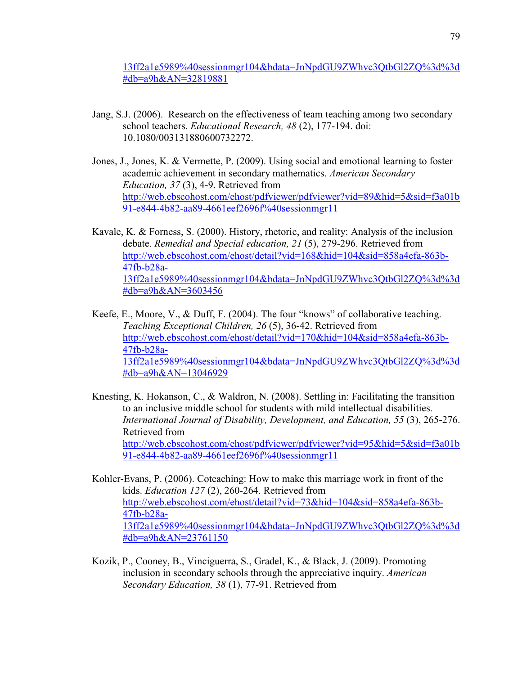13ff2a1e5989%40sessionmgr104&bdata=JnNpdGU9ZWhvc3QtbGl2ZQ%3d%3d #db=a9h&AN=32819881

- Jang, S.J. (2006). Research on the effectiveness of team teaching among two secondary school teachers. *Educational Research, 48* (2), 177-194. doi: 10.1080/003131880600732272.
- Jones, J., Jones, K. & Vermette, P. (2009). Using social and emotional learning to foster academic achievement in secondary mathematics. *American Secondary Education, 37* (3), 4-9. Retrieved from http://web.ebscohost.com/ehost/pdfviewer/pdfviewer?vid=89&hid=5&sid=f3a01b 91-e844-4b82-aa89-4661eef2696f%40sessionmgr11
- Kavale, K. & Forness, S. (2000). History, rhetoric, and reality: Analysis of the inclusion debate. *Remedial and Special education, 21* (5), 279-296. Retrieved from http://web.ebscohost.com/ehost/detail?vid=168&hid=104&sid=858a4efa-863b-47fb-b28a-13ff2a1e5989%40sessionmgr104&bdata=JnNpdGU9ZWhvc3QtbGl2ZQ%3d%3d #db=a9h&AN=3603456
- Keefe, E., Moore, V., & Duff, F. (2004). The four "knows" of collaborative teaching. *Teaching Exceptional Children, 26* (5), 36-42. Retrieved from http://web.ebscohost.com/ehost/detail?vid=170&hid=104&sid=858a4efa-863b-47fb-b28a-13ff2a1e5989%40sessionmgr104&bdata=JnNpdGU9ZWhvc3QtbGl2ZQ%3d%3d #db=a9h&AN=13046929
- Knesting, K. Hokanson, C., & Waldron, N. (2008). Settling in: Facilitating the transition to an inclusive middle school for students with mild intellectual disabilities. *International Journal of Disability, Development, and Education, 55* (3), 265-276. Retrieved from http://web.ebscohost.com/ehost/pdfviewer/pdfviewer?vid=95&hid=5&sid=f3a01b 91-e844-4b82-aa89-4661eef2696f%40sessionmgr11
- Kohler-Evans, P. (2006). Coteaching: How to make this marriage work in front of the kids. *Education 127* (2), 260-264. Retrieved from http://web.ebscohost.com/ehost/detail?vid=73&hid=104&sid=858a4efa-863b-47fb-b28a-13ff2a1e5989%40sessionmgr104&bdata=JnNpdGU9ZWhvc3QtbGl2ZQ%3d%3d #db=a9h&AN=23761150
- Kozik, P., Cooney, B., Vinciguerra, S., Gradel, K., & Black, J. (2009). Promoting inclusion in secondary schools through the appreciative inquiry. *American Secondary Education, 38* (1), 77-91. Retrieved from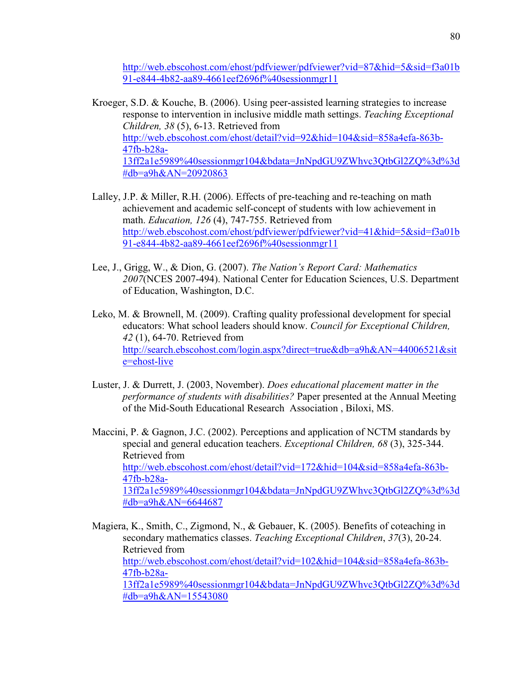http://web.ebscohost.com/ehost/pdfviewer/pdfviewer?vid=87&hid=5&sid=f3a01b 91-e844-4b82-aa89-4661eef2696f%40sessionmgr11

- Kroeger, S.D. & Kouche, B. (2006). Using peer-assisted learning strategies to increase response to intervention in inclusive middle math settings. *Teaching Exceptional Children, 38* (5), 6-13. Retrieved from http://web.ebscohost.com/ehost/detail?vid=92&hid=104&sid=858a4efa-863b-47fb-b28a-13ff2a1e5989%40sessionmgr104&bdata=JnNpdGU9ZWhvc3QtbGl2ZQ%3d%3d #db=a9h&AN=20920863
- Lalley, J.P. & Miller, R.H. (2006). Effects of pre-teaching and re-teaching on math achievement and academic self-concept of students with low achievement in math. *Education, 126* (4), 747-755. Retrieved from http://web.ebscohost.com/ehost/pdfviewer/pdfviewer?vid=41&hid=5&sid=f3a01b 91-e844-4b82-aa89-4661eef2696f%40sessionmgr11
- Lee, J., Grigg, W., & Dion, G. (2007). *The Nation's Report Card: Mathematics 2007*(NCES 2007-494). National Center for Education Sciences, U.S. Department of Education, Washington, D.C.
- Leko, M. & Brownell, M. (2009). Crafting quality professional development for special educators: What school leaders should know. *Council for Exceptional Children, 42* (1), 64-70. Retrieved from http://search.ebscohost.com/login.aspx?direct=true&db=a9h&AN=44006521&sit e=ehost-live
- Luster, J. & Durrett, J. (2003, November). *Does educational placement matter in the performance of students with disabilities?* Paper presented at the Annual Meeting of the Mid-South Educational Research Association , Biloxi, MS.

Maccini, P. & Gagnon, J.C. (2002). Perceptions and application of NCTM standards by special and general education teachers. *Exceptional Children, 68* (3), 325-344. Retrieved from http://web.ebscohost.com/ehost/detail?vid=172&hid=104&sid=858a4efa-863b-47fb-b28a-13ff2a1e5989%40sessionmgr104&bdata=JnNpdGU9ZWhvc3QtbGl2ZQ%3d%3d #db=a9h&AN=6644687

Magiera, K., Smith, C., Zigmond, N., & Gebauer, K. (2005). Benefits of coteaching in secondary mathematics classes. *Teaching Exceptional Children*, *37*(3), 20-24. Retrieved from http://web.ebscohost.com/ehost/detail?vid=102&hid=104&sid=858a4efa-863b-47fb-b28a-13ff2a1e5989%40sessionmgr104&bdata=JnNpdGU9ZWhvc3QtbGl2ZQ%3d%3d #db=a9h&AN=15543080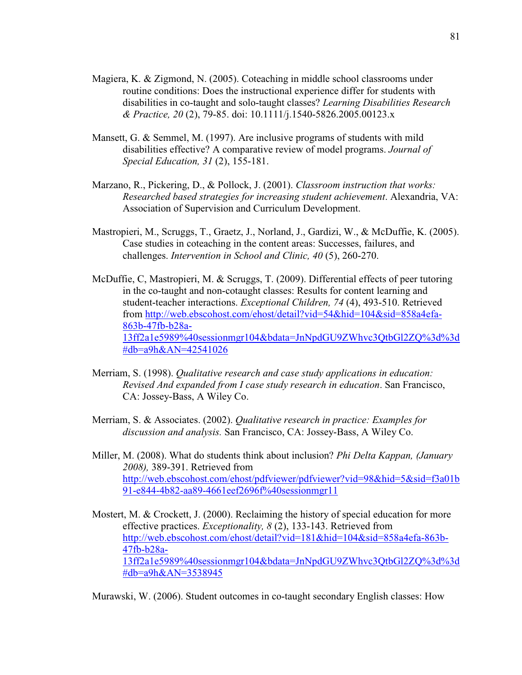- Magiera, K. & Zigmond, N. (2005). Coteaching in middle school classrooms under routine conditions: Does the instructional experience differ for students with disabilities in co-taught and solo-taught classes? *Learning Disabilities Research & Practice, 20* (2), 79-85. doi: 10.1111/j.1540-5826.2005.00123.x
- Mansett, G. & Semmel, M. (1997). Are inclusive programs of students with mild disabilities effective? A comparative review of model programs. *Journal of Special Education, 31* (2), 155-181.
- Marzano, R., Pickering, D., & Pollock, J. (2001). *Classroom instruction that works: Researched based strategies for increasing student achievement*. Alexandria, VA: Association of Supervision and Curriculum Development.
- Mastropieri, M., Scruggs, T., Graetz, J., Norland, J., Gardizi, W., & McDuffie, K. (2005). Case studies in coteaching in the content areas: Successes, failures, and challenges. *Intervention in School and Clinic, 40* (5), 260-270.
- McDuffie, C, Mastropieri, M. & Scruggs, T. (2009). Differential effects of peer tutoring in the co-taught and non-cotaught classes: Results for content learning and student-teacher interactions. *Exceptional Children, 74* (4), 493-510. Retrieved from http://web.ebscohost.com/ehost/detail?vid=54&hid=104&sid=858a4efa-863b-47fb-b28a-13ff2a1e5989%40sessionmgr104&bdata=JnNpdGU9ZWhvc3QtbGl2ZQ%3d%3d #db=a9h&AN=42541026
- Merriam, S. (1998). *Qualitative research and case study applications in education:* *Revised And expanded from I case study research in education*. San Francisco, CA: Jossey-Bass, A Wiley Co.
- Merriam, S. & Associates. (2002). *Qualitative research in practice: Examples for discussion and analysis.* San Francisco, CA: Jossey-Bass, A Wiley Co.
- Miller, M. (2008). What do students think about inclusion? *Phi Delta Kappan, (January 2008),* 389-391. Retrieved from http://web.ebscohost.com/ehost/pdfviewer/pdfviewer?vid=98&hid=5&sid=f3a01b 91-e844-4b82-aa89-4661eef2696f%40sessionmgr11
- Mostert, M. & Crockett, J. (2000). Reclaiming the history of special education for more effective practices. *Exceptionality, 8* (2), 133-143. Retrieved from http://web.ebscohost.com/ehost/detail?vid=181&hid=104&sid=858a4efa-863b-47fb-b28a-13ff2a1e5989%40sessionmgr104&bdata=JnNpdGU9ZWhvc3QtbGl2ZQ%3d%3d #db=a9h&AN=3538945

Murawski, W. (2006). Student outcomes in co-taught secondary English classes: How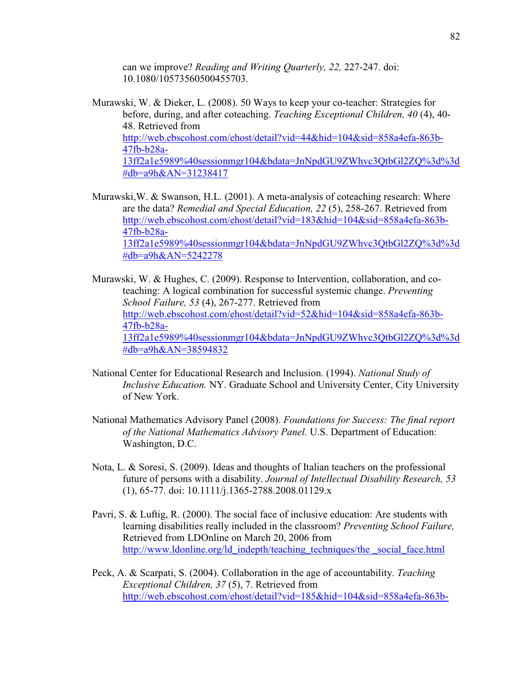can we improve? *Reading and Writing Quarterly, 22,* 227-247. doi: 10.1080/10573560500455703.

- Murawski, W. & Dieker, L. (2008). 50 Ways to keep your co-teacher: Strategies for before, during, and after coteaching. *Teaching Exceptional Children, 40* (4), 40- 48. Retrieved from http://web.ebscohost.com/ehost/detail?vid=44&hid=104&sid=858a4efa-863b-47fb-b28a-13ff2a1e5989%40sessionmgr104&bdata=JnNpdGU9ZWhvc3QtbGl2ZQ%3d%3d #db=a9h&AN=31238417
- Murawski,W. & Swanson, H.L. (2001). A meta-analysis of coteaching research: Where are the data? *Remedial and Special Education, 22* (5), 258-267. Retrieved from http://web.ebscohost.com/ehost/detail?vid=183&hid=104&sid=858a4efa-863b-47fb-b28a-13ff2a1e5989%40sessionmgr104&bdata=JnNpdGU9ZWhvc3QtbGl2ZQ%3d%3d #db=a9h&AN=5242278
- Murawski, W. & Hughes, C. (2009). Response to Intervention, collaboration, and co teaching: A logical combination for successful systemic change. *Preventing School Failure, 53* (4), 267-277. Retrieved from http://web.ebscohost.com/ehost/detail?vid=52&hid=104&sid=858a4efa-863b-47fb-b28a-13ff2a1e5989%40sessionmgr104&bdata=JnNpdGU9ZWhvc3QtbGl2ZQ%3d%3d #db=a9h&AN=38594832
- National Center for Educational Research and Inclusion. (1994). *National Study of Inclusive Education.* NY. Graduate School and University Center, City University of New York.
- National Mathematics Advisory Panel (2008). *Foundations for Success: The final report of the National Mathematics Advisory Panel.* U.S. Department of Education: Washington, D.C.
- Nota, L. & Soresi, S. (2009). Ideas and thoughts of Italian teachers on the professional future of persons with a disability. *Journal of Intellectual Disability Research, 53* (1), 65-77. doi: 10.1111/j.1365-2788.2008.01129.x
- Pavri, S. & Luftig, R. (2000). The social face of inclusive education: Are students with learning disabilities really included in the classroom? *Preventing School Failure,* Retrieved from LDOnline on March 20, 2006 from http://www.ldonline.org/ld\_indepth/teaching\_techniques/the \_social\_face.html
- Peck, A. & Scarpati, S. (2004). Collaboration in the age of accountability. *Teaching Exceptional Children, 37* (5), 7. Retrieved from http://web.ebscohost.com/ehost/detail?vid=185&hid=104&sid=858a4efa-863b-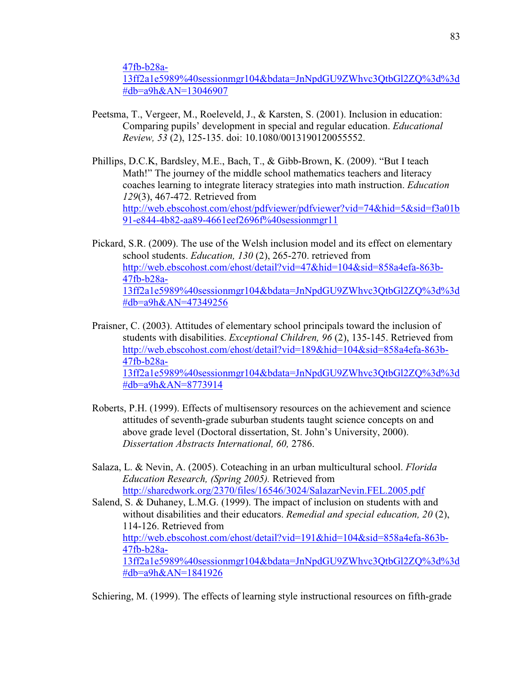47fb-b28a-

13ff2a1e5989%40sessionmgr104&bdata=JnNpdGU9ZWhvc3QtbGl2ZQ%3d%3d #db=a9h&AN=13046907

- Peetsma, T., Vergeer, M., Roeleveld, J., & Karsten, S. (2001). Inclusion in education: Comparing pupils' development in special and regular education. *Educational Review, 53* (2), 125-135. doi: 10.1080/0013190120055552.
- Phillips, D.C.K, Bardsley, M.E., Bach, T., & Gibb-Brown, K. (2009). "But I teach Math!" The journey of the middle school mathematics teachers and literacy coaches learning to integrate literacy strategies into math instruction. *Education 129*(3), 467-472. Retrieved from http://web.ebscohost.com/ehost/pdfviewer/pdfviewer?vid=74&hid=5&sid=f3a01b 91-e844-4b82-aa89-4661eef2696f%40sessionmgr11
- Pickard, S.R. (2009). The use of the Welsh inclusion model and its effect on elementary school students. *Education, 130* (2), 265-270. retrieved from http://web.ebscohost.com/ehost/detail?vid=47&hid=104&sid=858a4efa-863b-47fb-b28a-13ff2a1e5989%40sessionmgr104&bdata=JnNpdGU9ZWhvc3QtbGl2ZQ%3d%3d #db=a9h&AN=47349256
- Praisner, C. (2003). Attitudes of elementary school principals toward the inclusion of students with disabilities. *Exceptional Children, 96* (2), 135-145. Retrieved from http://web.ebscohost.com/ehost/detail?vid=189&hid=104&sid=858a4efa-863b-47fb-b28a-13ff2a1e5989%40sessionmgr104&bdata=JnNpdGU9ZWhvc3QtbGl2ZQ%3d%3d #db=a9h&AN=8773914
- Roberts, P.H. (1999). Effects of multisensory resources on the achievement and science attitudes of seventh-grade suburban students taught science concepts on and above grade level (Doctoral dissertation, St. John's University, 2000). *Dissertation Abstracts International, 60,* 2786.
- Salaza, L. & Nevin, A. (2005). Coteaching in an urban multicultural school. *Florida Education Research, (Spring 2005).* Retrieved from http://sharedwork.org/2370/files/16546/3024/SalazarNevin.FEL.2005.pdf
- Salend, S. & Duhaney, L.M.G. (1999). The impact of inclusion on students with and without disabilities and their educators. *Remedial and special education, 20* (2), 114-126. Retrieved from http://web.ebscohost.com/ehost/detail?vid=191&hid=104&sid=858a4efa-863b-47fb-b28a-13ff2a1e5989%40sessionmgr104&bdata=JnNpdGU9ZWhvc3QtbGl2ZQ%3d%3d #db=a9h&AN=1841926

Schiering, M. (1999). The effects of learning style instructional resources on fifth-grade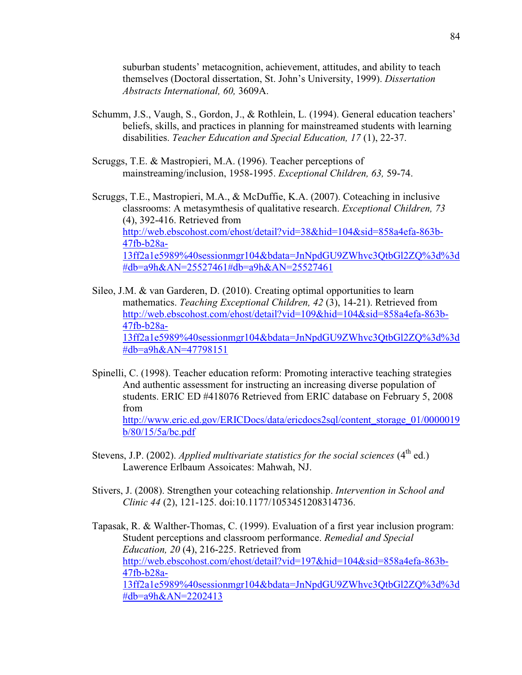suburban students' metacognition, achievement, attitudes, and ability to teach themselves (Doctoral dissertation, St. John's University, 1999). *Dissertation Abstracts International, 60,* 3609A.

- Schumm, J.S., Vaugh, S., Gordon, J., & Rothlein, L. (1994). General education teachers' beliefs, skills, and practices in planning for mainstreamed students with learning disabilities. *Teacher Education and Special Education, 17* (1), 22-37.
- Scruggs, T.E. & Mastropieri, M.A. (1996). Teacher perceptions of mainstreaming/inclusion, 1958-1995. *Exceptional Children, 63,* 59-74.

Scruggs, T.E., Mastropieri, M.A., & McDuffie, K.A. (2007). Coteaching in inclusive classrooms: A metasymthesis of qualitative research. *Exceptional Children, 73* (4), 392-416. Retrieved from http://web.ebscohost.com/ehost/detail?vid=38&hid=104&sid=858a4efa-863b-47fb-b28a-13ff2a1e5989%40sessionmgr104&bdata=JnNpdGU9ZWhvc3QtbGl2ZQ%3d%3d #db=a9h&AN=25527461#db=a9h&AN=25527461

Sileo, J.M. & van Garderen, D. (2010). Creating optimal opportunities to learn mathematics. *Teaching Exceptional Children, 42* (3), 14-21). Retrieved from http://web.ebscohost.com/ehost/detail?vid=109&hid=104&sid=858a4efa-863b-47fb-b28a-13ff2a1e5989%40sessionmgr104&bdata=JnNpdGU9ZWhvc3QtbGl2ZQ%3d%3d #db=a9h&AN=47798151

- Spinelli, C. (1998). Teacher education reform: Promoting interactive teaching strategies And authentic assessment for instructing an increasing diverse population of students. ERIC ED #418076 Retrieved from ERIC database on February 5, 2008 from http://www.eric.ed.gov/ERICDocs/data/ericdocs2sql/content\_storage\_01/0000019 b/80/15/5a/bc.pdf
- Stevens, J.P. (2002). *Applied multivariate statistics for the social sciences*  $(4<sup>th</sup>$  ed.) Lawerence Erlbaum Assoicates: Mahwah, NJ.
- Stivers, J. (2008). Strengthen your coteaching relationship. *Intervention in School and Clinic 44* (2), 121-125. doi:10.1177/1053451208314736.

Tapasak, R. & Walther-Thomas, C. (1999). Evaluation of a first year inclusion program: Student perceptions and classroom performance. *Remedial and Special Education, 20* (4), 216-225. Retrieved from http://web.ebscohost.com/ehost/detail?vid=197&hid=104&sid=858a4efa-863b-47fb-b28a-13ff2a1e5989%40sessionmgr104&bdata=JnNpdGU9ZWhvc3QtbGl2ZQ%3d%3d #db=a9h&AN=2202413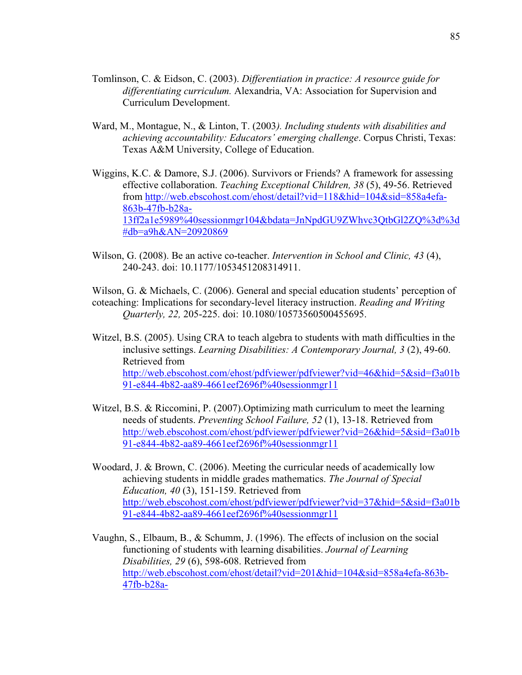- Tomlinson, C. & Eidson, C. (2003). *Differentiation in practice: A resource guide for differentiating curriculum.* Alexandria, VA: Association for Supervision and Curriculum Development.
- Ward, M., Montague, N., & Linton, T. (2003*). Including students with disabilities and achieving accountability: Educators' emerging challenge*. Corpus Christi, Texas: Texas A&M University, College of Education.
- Wiggins, K.C. & Damore, S.J. (2006). Survivors or Friends? A framework for assessing effective collaboration. *Teaching Exceptional Children, 38* (5), 49-56. Retrieved from http://web.ebscohost.com/ehost/detail?vid=118&hid=104&sid=858a4efa-863b-47fb-b28a-13ff2a1e5989%40sessionmgr104&bdata=JnNpdGU9ZWhvc3QtbGl2ZQ%3d%3d #db=a9h&AN=20920869
- Wilson, G. (2008). Be an active co-teacher. *Intervention in School and Clinic, 43* (4), 240-243. doi: 10.1177/1053451208314911.
- Wilson, G. & Michaels, C. (2006). General and special education students' perception of coteaching: Implications for secondary-level literacy instruction. *Reading and Writing Quarterly, 22,* 205-225. doi: 10.1080/10573560500455695.
- Witzel, B.S. (2005). Using CRA to teach algebra to students with math difficulties in the inclusive settings. *Learning Disabilities: A Contemporary Journal, 3* (2), 49-60. Retrieved from http://web.ebscohost.com/ehost/pdfviewer/pdfviewer?vid=46&hid=5&sid=f3a01b 91-e844-4b82-aa89-4661eef2696f%40sessionmgr11
- Witzel, B.S. & Riccomini, P. (2007).Optimizing math curriculum to meet the learning needs of students. *Preventing School Failure, 52* (1), 13-18. Retrieved from http://web.ebscohost.com/ehost/pdfviewer/pdfviewer?vid=26&hid=5&sid=f3a01b 91-e844-4b82-aa89-4661eef2696f%40sessionmgr11
- Woodard, J. & Brown, C. (2006). Meeting the curricular needs of academically low achieving students in middle grades mathematics. *The Journal of Special Education, 40* (3), 151-159. Retrieved from http://web.ebscohost.com/ehost/pdfviewer/pdfviewer?vid=37&hid=5&sid=f3a01b 91-e844-4b82-aa89-4661eef2696f%40sessionmgr11
- Vaughn, S., Elbaum, B., & Schumm, J. (1996). The effects of inclusion on the social functioning of students with learning disabilities. *Journal of Learning Disabilities, 29* (6), 598-608. Retrieved from http://web.ebscohost.com/ehost/detail?vid=201&hid=104&sid=858a4efa-863b-47fb-b28a-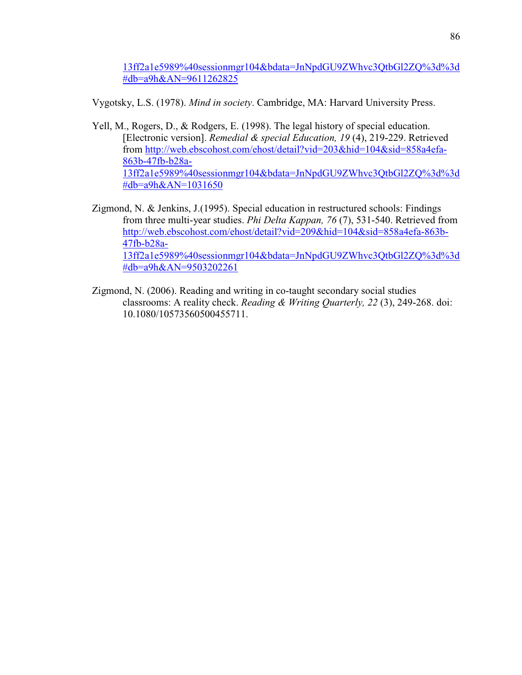13ff2a1e5989%40sessionmgr104&bdata=JnNpdGU9ZWhvc3QtbGl2ZQ%3d%3d #db=a9h&AN=9611262825

Vygotsky, L.S. (1978). *Mind in society*. Cambridge, MA: Harvard University Press.

- Yell, M., Rogers, D., & Rodgers, E. (1998). The legal history of special education. [Electronic version]. *Remedial & special Education, 19* (4), 219-229. Retrieved from http://web.ebscohost.com/ehost/detail?vid=203&hid=104&sid=858a4efa-863b-47fb-b28a-13ff2a1e5989%40sessionmgr104&bdata=JnNpdGU9ZWhvc3QtbGl2ZQ%3d%3d #db=a9h&AN=1031650
- Zigmond, N. & Jenkins, J.(1995). Special education in restructured schools: Findings from three multi-year studies. *Phi Delta Kappan, 76* (7), 531-540. Retrieved from http://web.ebscohost.com/ehost/detail?vid=209&hid=104&sid=858a4efa-863b-47fb-b28a-13ff2a1e5989%40sessionmgr104&bdata=JnNpdGU9ZWhvc3QtbGl2ZQ%3d%3d #db=a9h&AN=9503202261
- Zigmond, N. (2006). Reading and writing in co-taught secondary social studies classrooms: A reality check. *Reading & Writing Quarterly, 22* (3), 249-268. doi: 10.1080/10573560500455711.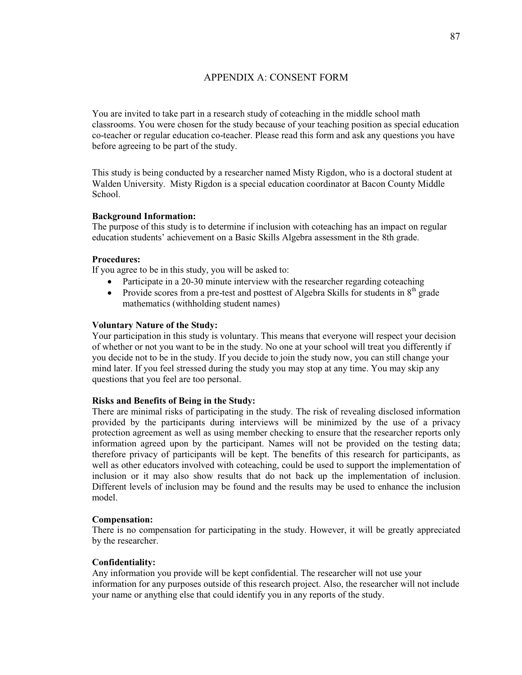# APPENDIX A: CONSENT FORM

You are invited to take part in a research study of coteaching in the middle school math classrooms. You were chosen for the study because of your teaching position as special education co-teacher or regular education co-teacher. Please read this form and ask any questions you have before agreeing to be part of the study.

This study is being conducted by a researcher named Misty Rigdon, who is a doctoral student at Walden University. Misty Rigdon is a special education coordinator at Bacon County Middle School.

## **Background Information:**

The purpose of this study is to determine if inclusion with coteaching has an impact on regular education students' achievement on a Basic Skills Algebra assessment in the 8th grade.

# **Procedures:**

If you agree to be in this study, you will be asked to:

- Participate in a 20-30 minute interview with the researcher regarding coteaching
- Provide scores from a pre-test and posttest of Algebra Skills for students in  $8<sup>th</sup>$  grade mathematics (withholding student names)

## **Voluntary Nature of the Study:**

Your participation in this study is voluntary. This means that everyone will respect your decision of whether or not you want to be in the study. No one at your school will treat you differently if you decide not to be in the study. If you decide to join the study now, you can still change your mind later. If you feel stressed during the study you may stop at any time. You may skip any questions that you feel are too personal.

#### **Risks and Benefits of Being in the Study:**

There are minimal risks of participating in the study. The risk of revealing disclosed information provided by the participants during interviews will be minimized by the use of a privacy protection agreement as well as using member checking to ensure that the researcher reports only information agreed upon by the participant. Names will not be provided on the testing data; therefore privacy of participants will be kept. The benefits of this research for participants, as well as other educators involved with coteaching, could be used to support the implementation of inclusion or it may also show results that do not back up the implementation of inclusion. Different levels of inclusion may be found and the results may be used to enhance the inclusion model.

#### **Compensation:**

There is no compensation for participating in the study. However, it will be greatly appreciated by the researcher.

#### **Confidentiality:**

Any information you provide will be kept confidential. The researcher will not use your information for any purposes outside of this research project. Also, the researcher will not include your name or anything else that could identify you in any reports of the study.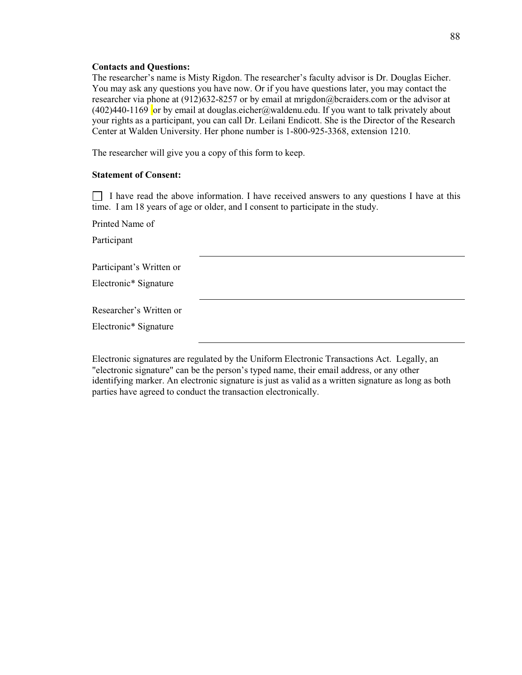#### **Contacts and Questions:**

The researcher's name is Misty Rigdon. The researcher's faculty advisor is Dr. Douglas Eicher. You may ask any questions you have now. Or if you have questions later, you may contact the researcher via phone at (912)632-8257 or by email at mrigdon@bcraiders.com or the advisor at (402)440-1169 or by email at douglas.eicher@waldenu.edu. If you want to talk privately about your rights as a participant, you can call Dr. Leilani Endicott. She is the Director of the Research Center at Walden University. Her phone number is 1-800-925-3368, extension 1210.

The researcher will give you a copy of this form to keep.

#### **Statement of Consent:**

 $\Box$  I have read the above information. I have received answers to any questions I have at this time. I am 18 years of age or older, and I consent to participate in the study.

Printed Name of Participant Participant's Written or Electronic\* Signature Researcher's Written or Electronic\* Signature

Electronic signatures are regulated by the Uniform Electronic Transactions Act. Legally, an "electronic signature" can be the person's typed name, their email address, or any other identifying marker. An electronic signature is just as valid as a written signature as long as both parties have agreed to conduct the transaction electronically.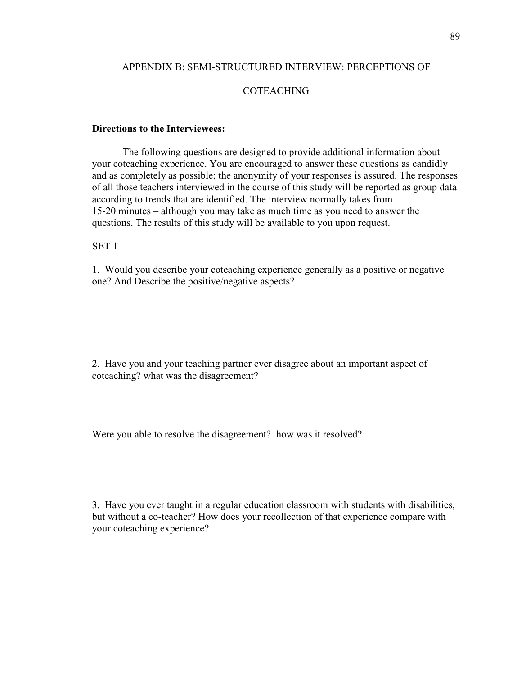# APPENDIX B: SEMI-STRUCTURED INTERVIEW: PERCEPTIONS OF

# COTEACHING

#### **Directions to the Interviewees:**

 The following questions are designed to provide additional information about your coteaching experience. You are encouraged to answer these questions as candidly and as completely as possible; the anonymity of your responses is assured. The responses of all those teachers interviewed in the course of this study will be reported as group data according to trends that are identified. The interview normally takes from 15-20 minutes – although you may take as much time as you need to answer the questions. The results of this study will be available to you upon request.

# SET 1

1. Would you describe your coteaching experience generally as a positive or negative one? And Describe the positive/negative aspects?

2. Have you and your teaching partner ever disagree about an important aspect of coteaching? what was the disagreement?

Were you able to resolve the disagreement? how was it resolved?

3. Have you ever taught in a regular education classroom with students with disabilities, but without a co-teacher? How does your recollection of that experience compare with your coteaching experience?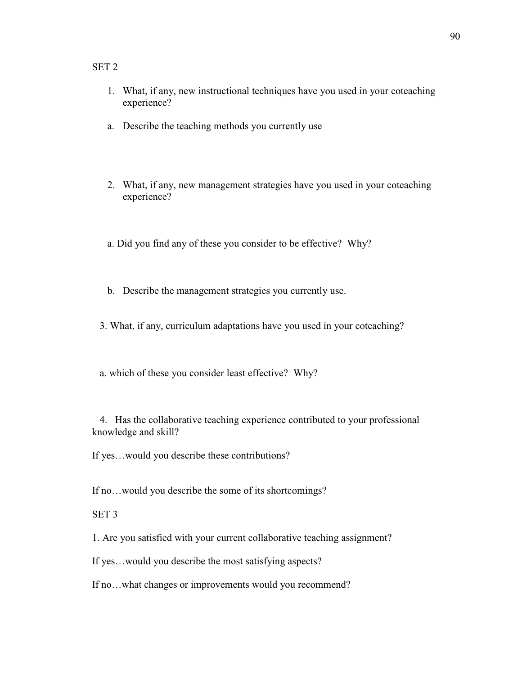# SET 2

- 1. What, if any, new instructional techniques have you used in your coteaching experience?
- a. Describe the teaching methods you currently use
- 2. What, if any, new management strategies have you used in your coteaching experience?
- a. Did you find any of these you consider to be effective? Why?
- b. Describe the management strategies you currently use.
- 3. What, if any, curriculum adaptations have you used in your coteaching?
- a. which of these you consider least effective? Why?

 4. Has the collaborative teaching experience contributed to your professional knowledge and skill?

If yes…would you describe these contributions?

If no…would you describe the some of its shortcomings?

# SET 3

1. Are you satisfied with your current collaborative teaching assignment?

If yes…would you describe the most satisfying aspects?

If no…what changes or improvements would you recommend?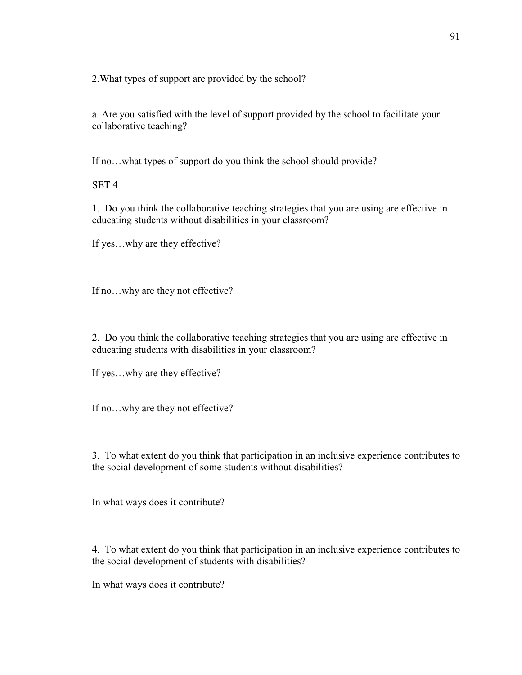2.What types of support are provided by the school?

a. Are you satisfied with the level of support provided by the school to facilitate your collaborative teaching?

If no…what types of support do you think the school should provide?

SET 4

1. Do you think the collaborative teaching strategies that you are using are effective in educating students without disabilities in your classroom?

If yes…why are they effective?

If no…why are they not effective?

2. Do you think the collaborative teaching strategies that you are using are effective in educating students with disabilities in your classroom?

If yes…why are they effective?

If no…why are they not effective?

3. To what extent do you think that participation in an inclusive experience contributes to the social development of some students without disabilities?

In what ways does it contribute?

4. To what extent do you think that participation in an inclusive experience contributes to the social development of students with disabilities?

In what ways does it contribute?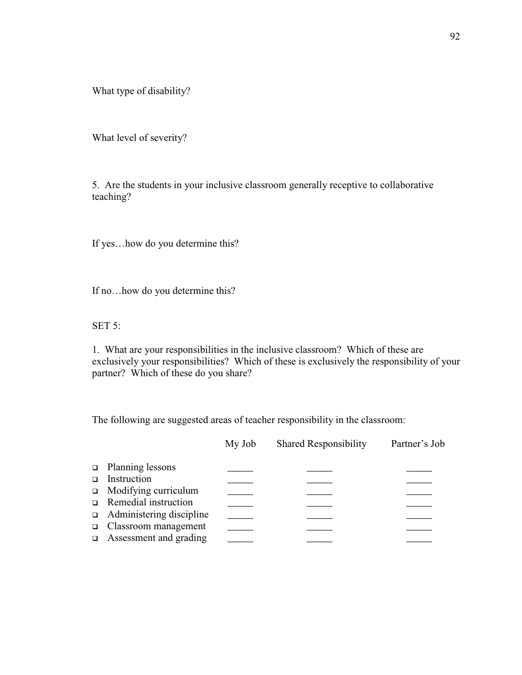What type of disability?

What level of severity?

5. Are the students in your inclusive classroom generally receptive to collaborative teaching?

If yes…how do you determine this?

If no…how do you determine this?

SET 5:

1. What are your responsibilities in the inclusive classroom? Which of these are exclusively your responsibilities? Which of these is exclusively the responsibility of your partner? Which of these do you share?

The following are suggested areas of teacher responsibility in the classroom:

|        |                                 | My Job | <b>Shared Responsibility</b> | Partner's Job |
|--------|---------------------------------|--------|------------------------------|---------------|
|        | $\Box$ Planning lessons         |        |                              |               |
| $\Box$ | Instruction                     |        |                              |               |
|        | □ Modifying curriculum          |        |                              |               |
|        | $\Box$ Remedial instruction     |        |                              |               |
|        | $\Box$ Administering discipline |        |                              |               |
|        | $\Box$ Classroom management     |        |                              |               |
|        | $\Box$ Assessment and grading   |        |                              |               |
|        |                                 |        |                              |               |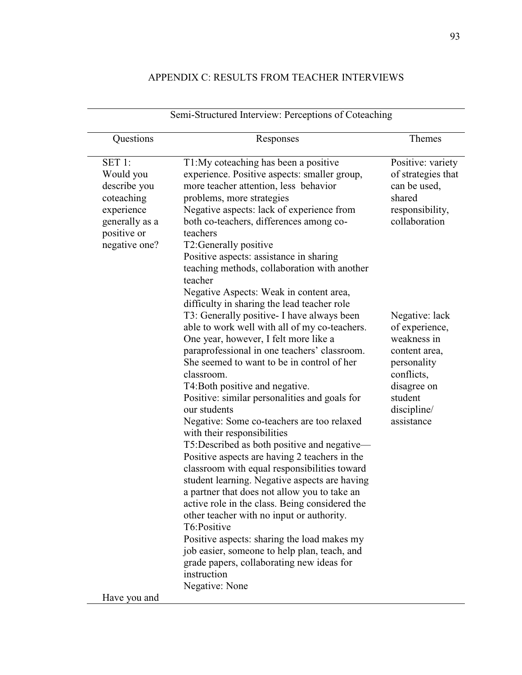# APPENDIX C: RESULTS FROM TEACHER INTERVIEWS

| Questions                                                                                                         | Responses                                                                                                                                                                                                                                                                                                                                                                                                                                                                                                                                                                                                                                                                                                                                                                                                                                                                                                                                                                                                                                                                                                                                                                                                                                                                                     | Themes                                                                                                                                                                                                                                                        |
|-------------------------------------------------------------------------------------------------------------------|-----------------------------------------------------------------------------------------------------------------------------------------------------------------------------------------------------------------------------------------------------------------------------------------------------------------------------------------------------------------------------------------------------------------------------------------------------------------------------------------------------------------------------------------------------------------------------------------------------------------------------------------------------------------------------------------------------------------------------------------------------------------------------------------------------------------------------------------------------------------------------------------------------------------------------------------------------------------------------------------------------------------------------------------------------------------------------------------------------------------------------------------------------------------------------------------------------------------------------------------------------------------------------------------------|---------------------------------------------------------------------------------------------------------------------------------------------------------------------------------------------------------------------------------------------------------------|
| SET 1:<br>Would you<br>describe you<br>coteaching<br>experience<br>generally as a<br>positive or<br>negative one? | T1:My coteaching has been a positive<br>experience. Positive aspects: smaller group,<br>more teacher attention, less behavior<br>problems, more strategies<br>Negative aspects: lack of experience from<br>both co-teachers, differences among co-<br>teachers<br>T2: Generally positive<br>Positive aspects: assistance in sharing<br>teaching methods, collaboration with another<br>teacher<br>Negative Aspects: Weak in content area,<br>difficulty in sharing the lead teacher role<br>T3: Generally positive - I have always been<br>able to work well with all of my co-teachers.<br>One year, however, I felt more like a<br>paraprofessional in one teachers' classroom.<br>She seemed to want to be in control of her<br>classroom.<br>T4: Both positive and negative.<br>Positive: similar personalities and goals for<br>our students<br>Negative: Some co-teachers are too relaxed<br>with their responsibilities<br>T5:Described as both positive and negative-<br>Positive aspects are having 2 teachers in the<br>classroom with equal responsibilities toward<br>student learning. Negative aspects are having<br>a partner that does not allow you to take an<br>active role in the class. Being considered the<br>other teacher with no input or authority.<br>T6:Positive | Positive: variety<br>of strategies that<br>can be used,<br>shared<br>responsibility,<br>collaboration<br>Negative: lack<br>of experience,<br>weakness in<br>content area,<br>personality<br>conflicts,<br>disagree on<br>student<br>discipline/<br>assistance |
|                                                                                                                   | Positive aspects: sharing the load makes my<br>job easier, someone to help plan, teach, and<br>grade papers, collaborating new ideas for<br>instruction<br>Negative: None                                                                                                                                                                                                                                                                                                                                                                                                                                                                                                                                                                                                                                                                                                                                                                                                                                                                                                                                                                                                                                                                                                                     |                                                                                                                                                                                                                                                               |
| Have you and                                                                                                      |                                                                                                                                                                                                                                                                                                                                                                                                                                                                                                                                                                                                                                                                                                                                                                                                                                                                                                                                                                                                                                                                                                                                                                                                                                                                                               |                                                                                                                                                                                                                                                               |

# Semi-Structured Interview: Perceptions of Coteaching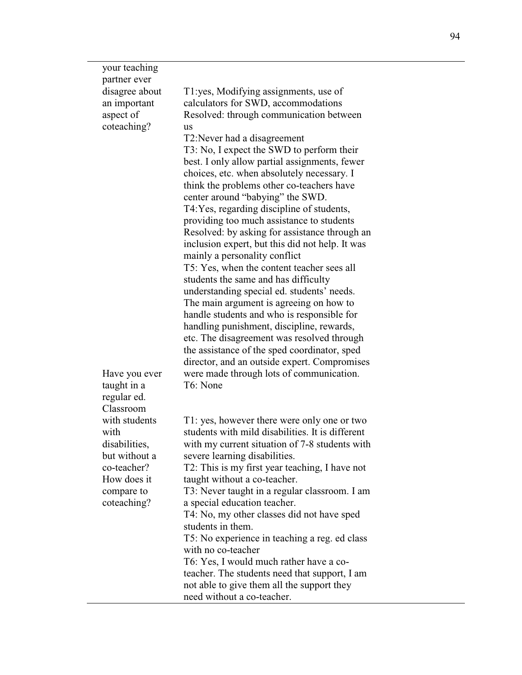| your teaching  |                                                                                    |
|----------------|------------------------------------------------------------------------------------|
| partner ever   |                                                                                    |
| disagree about | T1:yes, Modifying assignments, use of                                              |
| an important   | calculators for SWD, accommodations                                                |
| aspect of      | Resolved: through communication between                                            |
| coteaching?    | us                                                                                 |
|                | T2: Never had a disagreement                                                       |
|                | T3: No, I expect the SWD to perform their                                          |
|                | best. I only allow partial assignments, fewer                                      |
|                | choices, etc. when absolutely necessary. I                                         |
|                | think the problems other co-teachers have                                          |
|                | center around "babying" the SWD.                                                   |
|                | T4: Yes, regarding discipline of students,                                         |
|                | providing too much assistance to students                                          |
|                | Resolved: by asking for assistance through an                                      |
|                | inclusion expert, but this did not help. It was                                    |
|                | mainly a personality conflict                                                      |
|                | T5: Yes, when the content teacher sees all                                         |
|                | students the same and has difficulty<br>understanding special ed. students' needs. |
|                | The main argument is agreeing on how to                                            |
|                | handle students and who is responsible for                                         |
|                | handling punishment, discipline, rewards,                                          |
|                | etc. The disagreement was resolved through                                         |
|                | the assistance of the sped coordinator, sped                                       |
|                | director, and an outside expert. Compromises                                       |
| Have you ever  | were made through lots of communication.                                           |
| taught in a    | T6: None                                                                           |
| regular ed.    |                                                                                    |
| Classroom      |                                                                                    |
| with students  | T1: yes, however there were only one or two                                        |
| with           | students with mild disabilities. It is different                                   |
| disabilities,  | with my current situation of 7-8 students with                                     |
| but without a  | severe learning disabilities.                                                      |
| co-teacher?    | T2: This is my first year teaching, I have not                                     |
| How does it    | taught without a co-teacher.                                                       |
| compare to     | T3: Never taught in a regular classroom. I am                                      |
| coteaching?    | a special education teacher.                                                       |
|                | T4: No, my other classes did not have sped                                         |
|                | students in them.                                                                  |
|                | T5: No experience in teaching a reg. ed class                                      |
|                | with no co-teacher                                                                 |
|                | T6: Yes, I would much rather have a co-                                            |
|                | teacher. The students need that support, I am                                      |
|                | not able to give them all the support they                                         |
|                | need without a co-teacher.                                                         |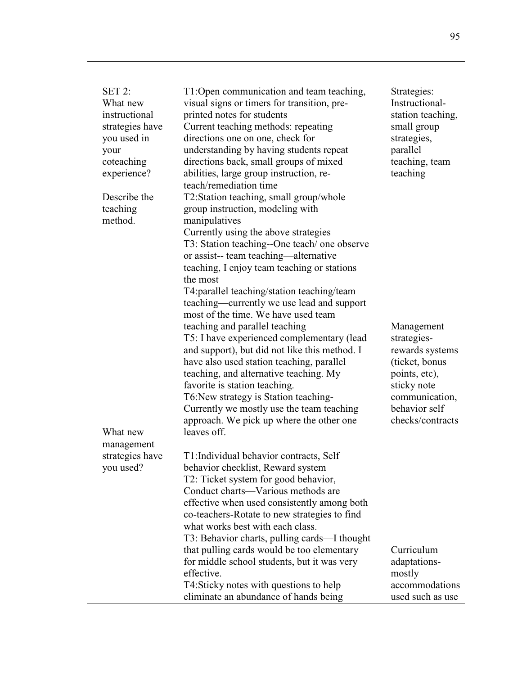| <b>SET 2:</b><br>What new<br>instructional<br>strategies have<br>you used in<br>your<br>coteaching<br>experience? | T1:Open communication and team teaching,<br>visual signs or timers for transition, pre-<br>printed notes for students<br>Current teaching methods: repeating<br>directions one on one, check for<br>understanding by having students repeat<br>directions back, small groups of mixed<br>abilities, large group instruction, re-<br>teach/remediation time                                                                  | Strategies:<br>Instructional-<br>station teaching,<br>small group<br>strategies,<br>parallel<br>teaching, team<br>teaching                            |
|-------------------------------------------------------------------------------------------------------------------|-----------------------------------------------------------------------------------------------------------------------------------------------------------------------------------------------------------------------------------------------------------------------------------------------------------------------------------------------------------------------------------------------------------------------------|-------------------------------------------------------------------------------------------------------------------------------------------------------|
| Describe the<br>teaching<br>method.                                                                               | T2:Station teaching, small group/whole<br>group instruction, modeling with<br>manipulatives<br>Currently using the above strategies<br>T3: Station teaching--One teach/ one observe<br>or assist-- team teaching-alternative<br>teaching, I enjoy team teaching or stations<br>the most<br>T4: parallel teaching/station teaching/team<br>teaching—currently we use lead and support<br>most of the time. We have used team |                                                                                                                                                       |
| What new                                                                                                          | teaching and parallel teaching<br>T5: I have experienced complementary (lead<br>and support), but did not like this method. I<br>have also used station teaching, parallel<br>teaching, and alternative teaching. My<br>favorite is station teaching.<br>T6: New strategy is Station teaching-<br>Currently we mostly use the team teaching<br>approach. We pick up where the other one<br>leaves off.                      | Management<br>strategies-<br>rewards systems<br>(ticket, bonus<br>points, etc),<br>sticky note<br>communication,<br>behavior self<br>checks/contracts |
| management                                                                                                        |                                                                                                                                                                                                                                                                                                                                                                                                                             |                                                                                                                                                       |
| strategies have<br>you used?                                                                                      | T1: Individual behavior contracts, Self<br>behavior checklist, Reward system<br>T2: Ticket system for good behavior,<br>Conduct charts—Various methods are<br>effective when used consistently among both<br>co-teachers-Rotate to new strategies to find<br>what works best with each class.<br>T3: Behavior charts, pulling cards—I thought                                                                               |                                                                                                                                                       |
|                                                                                                                   | that pulling cards would be too elementary<br>for middle school students, but it was very                                                                                                                                                                                                                                                                                                                                   | Curriculum<br>adaptations-                                                                                                                            |
|                                                                                                                   | effective.                                                                                                                                                                                                                                                                                                                                                                                                                  | mostly                                                                                                                                                |
|                                                                                                                   | T4:Sticky notes with questions to help                                                                                                                                                                                                                                                                                                                                                                                      | accommodations                                                                                                                                        |
|                                                                                                                   | eliminate an abundance of hands being                                                                                                                                                                                                                                                                                                                                                                                       | used such as use                                                                                                                                      |

 $\mathsf{I}$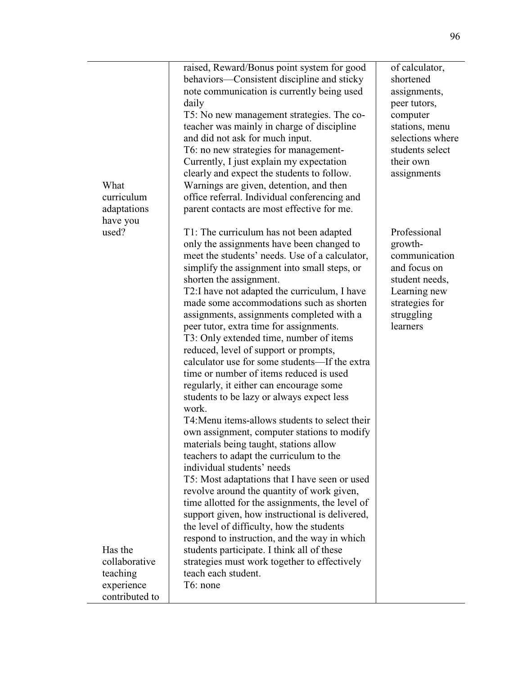|                   | raised, Reward/Bonus point system for good      | of calculator,   |
|-------------------|-------------------------------------------------|------------------|
|                   | behaviors—Consistent discipline and sticky      | shortened        |
|                   | note communication is currently being used      | assignments,     |
|                   | daily                                           | peer tutors,     |
|                   | T5: No new management strategies. The co-       | computer         |
|                   | teacher was mainly in charge of discipline      | stations, menu   |
|                   | and did not ask for much input.                 | selections where |
|                   | T6: no new strategies for management-           | students select  |
|                   | Currently, I just explain my expectation        | their own        |
|                   | clearly and expect the students to follow.      | assignments      |
| What              | Warnings are given, detention, and then         |                  |
| curriculum        | office referral. Individual conferencing and    |                  |
| adaptations       | parent contacts are most effective for me.      |                  |
| have you<br>used? | T1: The curriculum has not been adapted         | Professional     |
|                   | only the assignments have been changed to       | growth-          |
|                   | meet the students' needs. Use of a calculator,  | communication    |
|                   | simplify the assignment into small steps, or    | and focus on     |
|                   | shorten the assignment.                         | student needs,   |
|                   | T2: I have not adapted the curriculum, I have   | Learning new     |
|                   | made some accommodations such as shorten        | strategies for   |
|                   | assignments, assignments completed with a       | struggling       |
|                   | peer tutor, extra time for assignments.         | learners         |
|                   | T3: Only extended time, number of items         |                  |
|                   | reduced, level of support or prompts,           |                  |
|                   | calculator use for some students-If the extra   |                  |
|                   | time or number of items reduced is used         |                  |
|                   | regularly, it either can encourage some         |                  |
|                   | students to be lazy or always expect less       |                  |
|                   | work.                                           |                  |
|                   | T4: Menu items-allows students to select their  |                  |
|                   | own assignment, computer stations to modify     |                  |
|                   | materials being taught, stations allow          |                  |
|                   | teachers to adapt the curriculum to the         |                  |
|                   | individual students' needs                      |                  |
|                   | T5: Most adaptations that I have seen or used   |                  |
|                   | revolve around the quantity of work given,      |                  |
|                   | time allotted for the assignments, the level of |                  |
|                   | support given, how instructional is delivered,  |                  |
|                   | the level of difficulty, how the students       |                  |
|                   | respond to instruction, and the way in which    |                  |
| Has the           | students participate. I think all of these      |                  |
| collaborative     | strategies must work together to effectively    |                  |
| teaching          | teach each student.                             |                  |
| experience        | T6: none                                        |                  |
| contributed to    |                                                 |                  |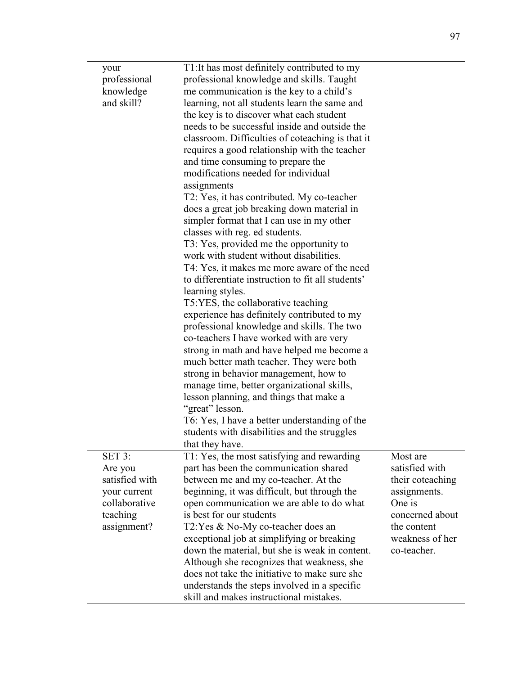| your<br>professional<br>knowledge<br>and skill?                                                 | T1: It has most definitely contributed to my<br>professional knowledge and skills. Taught<br>me communication is the key to a child's<br>learning, not all students learn the same and<br>the key is to discover what each student<br>needs to be successful inside and outside the<br>classroom. Difficulties of coteaching is that it<br>requires a good relationship with the teacher<br>and time consuming to prepare the<br>modifications needed for individual<br>assignments<br>T2: Yes, it has contributed. My co-teacher<br>does a great job breaking down material in<br>simpler format that I can use in my other<br>classes with reg. ed students.<br>T3: Yes, provided me the opportunity to<br>work with student without disabilities.<br>T4: Yes, it makes me more aware of the need<br>to differentiate instruction to fit all students'<br>learning styles.<br>T5:YES, the collaborative teaching<br>experience has definitely contributed to my<br>professional knowledge and skills. The two<br>co-teachers I have worked with are very<br>strong in math and have helped me become a<br>much better math teacher. They were both<br>strong in behavior management, how to<br>manage time, better organizational skills,<br>lesson planning, and things that make a<br>"great" lesson.<br>T6: Yes, I have a better understanding of the<br>students with disabilities and the struggles<br>that they have. |                                                                                                            |
|-------------------------------------------------------------------------------------------------|-------------------------------------------------------------------------------------------------------------------------------------------------------------------------------------------------------------------------------------------------------------------------------------------------------------------------------------------------------------------------------------------------------------------------------------------------------------------------------------------------------------------------------------------------------------------------------------------------------------------------------------------------------------------------------------------------------------------------------------------------------------------------------------------------------------------------------------------------------------------------------------------------------------------------------------------------------------------------------------------------------------------------------------------------------------------------------------------------------------------------------------------------------------------------------------------------------------------------------------------------------------------------------------------------------------------------------------------------------------------------------------------------------------------------------|------------------------------------------------------------------------------------------------------------|
| SET 3:<br>Are you<br>satisfied with<br>your current<br>collaborative<br>teaching<br>assignment? | T1: Yes, the most satisfying and rewarding<br>part has been the communication shared<br>between me and my co-teacher. At the<br>beginning, it was difficult, but through the<br>open communication we are able to do what<br>is best for our students<br>T2: Yes & No-My co-teacher does an                                                                                                                                                                                                                                                                                                                                                                                                                                                                                                                                                                                                                                                                                                                                                                                                                                                                                                                                                                                                                                                                                                                                   | Most are<br>satisfied with<br>their coteaching<br>assignments.<br>One is<br>concerned about<br>the content |
|                                                                                                 | exceptional job at simplifying or breaking<br>down the material, but she is weak in content.<br>Although she recognizes that weakness, she<br>does not take the initiative to make sure she<br>understands the steps involved in a specific<br>skill and makes instructional mistakes.                                                                                                                                                                                                                                                                                                                                                                                                                                                                                                                                                                                                                                                                                                                                                                                                                                                                                                                                                                                                                                                                                                                                        | weakness of her<br>co-teacher.                                                                             |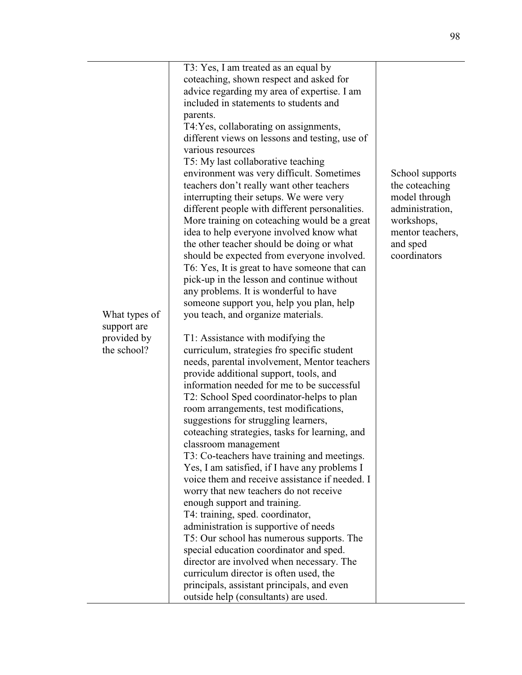| What types of<br>support are<br>provided by<br>the school? | T3: Yes, I am treated as an equal by<br>coteaching, shown respect and asked for<br>advice regarding my area of expertise. I am<br>included in statements to students and<br>parents.<br>T4:Yes, collaborating on assignments,<br>different views on lessons and testing, use of<br>various resources<br>T5: My last collaborative teaching<br>environment was very difficult. Sometimes<br>teachers don't really want other teachers<br>interrupting their setups. We were very<br>different people with different personalities.<br>More training on coteaching would be a great<br>idea to help everyone involved know what<br>the other teacher should be doing or what<br>should be expected from everyone involved.<br>T6: Yes, It is great to have someone that can<br>pick-up in the lesson and continue without<br>any problems. It is wonderful to have<br>someone support you, help you plan, help<br>you teach, and organize materials.<br>T1: Assistance with modifying the<br>curriculum, strategies fro specific student<br>needs, parental involvement, Mentor teachers<br>provide additional support, tools, and<br>information needed for me to be successful<br>T2: School Sped coordinator-helps to plan<br>room arrangements, test modifications,<br>suggestions for struggling learners,<br>coteaching strategies, tasks for learning, and<br>classroom management<br>T3: Co-teachers have training and meetings.<br>Yes, I am satisfied, if I have any problems I<br>voice them and receive assistance if needed. I<br>worry that new teachers do not receive<br>enough support and training.<br>T4: training, sped. coordinator,<br>administration is supportive of needs<br>T5: Our school has numerous supports. The<br>special education coordinator and sped.<br>director are involved when necessary. The<br>curriculum director is often used, the<br>principals, assistant principals, and even<br>outside help (consultants) are used. | School supports<br>the coteaching<br>model through<br>administration,<br>workshops,<br>mentor teachers,<br>and sped<br>coordinators |
|------------------------------------------------------------|-----------------------------------------------------------------------------------------------------------------------------------------------------------------------------------------------------------------------------------------------------------------------------------------------------------------------------------------------------------------------------------------------------------------------------------------------------------------------------------------------------------------------------------------------------------------------------------------------------------------------------------------------------------------------------------------------------------------------------------------------------------------------------------------------------------------------------------------------------------------------------------------------------------------------------------------------------------------------------------------------------------------------------------------------------------------------------------------------------------------------------------------------------------------------------------------------------------------------------------------------------------------------------------------------------------------------------------------------------------------------------------------------------------------------------------------------------------------------------------------------------------------------------------------------------------------------------------------------------------------------------------------------------------------------------------------------------------------------------------------------------------------------------------------------------------------------------------------------------------------------------------------------------------------------------------------------------------------------|-------------------------------------------------------------------------------------------------------------------------------------|
|------------------------------------------------------------|-----------------------------------------------------------------------------------------------------------------------------------------------------------------------------------------------------------------------------------------------------------------------------------------------------------------------------------------------------------------------------------------------------------------------------------------------------------------------------------------------------------------------------------------------------------------------------------------------------------------------------------------------------------------------------------------------------------------------------------------------------------------------------------------------------------------------------------------------------------------------------------------------------------------------------------------------------------------------------------------------------------------------------------------------------------------------------------------------------------------------------------------------------------------------------------------------------------------------------------------------------------------------------------------------------------------------------------------------------------------------------------------------------------------------------------------------------------------------------------------------------------------------------------------------------------------------------------------------------------------------------------------------------------------------------------------------------------------------------------------------------------------------------------------------------------------------------------------------------------------------------------------------------------------------------------------------------------------------|-------------------------------------------------------------------------------------------------------------------------------------|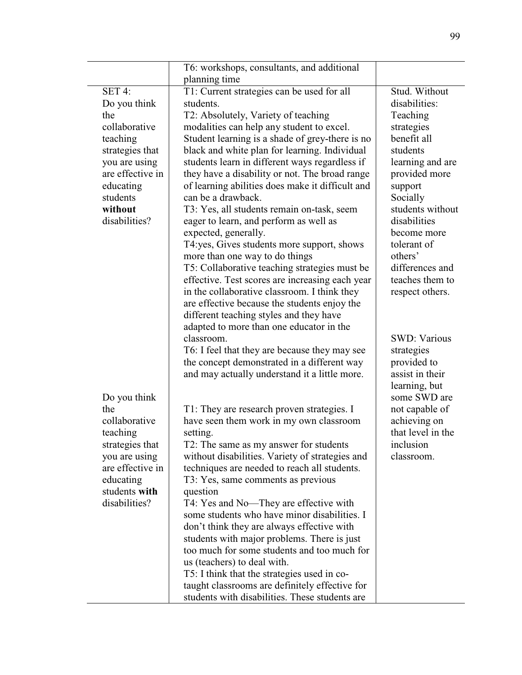|                                                                                                                                                                         | T6: workshops, consultants, and additional                                                                                                                                                                                                                                                                                                                                                                                                                                                                                                                                                                                                                                                                                                                                                                                                                                                                                             |                                                                                                                                                                                                                                                                                                              |
|-------------------------------------------------------------------------------------------------------------------------------------------------------------------------|----------------------------------------------------------------------------------------------------------------------------------------------------------------------------------------------------------------------------------------------------------------------------------------------------------------------------------------------------------------------------------------------------------------------------------------------------------------------------------------------------------------------------------------------------------------------------------------------------------------------------------------------------------------------------------------------------------------------------------------------------------------------------------------------------------------------------------------------------------------------------------------------------------------------------------------|--------------------------------------------------------------------------------------------------------------------------------------------------------------------------------------------------------------------------------------------------------------------------------------------------------------|
|                                                                                                                                                                         | planning time                                                                                                                                                                                                                                                                                                                                                                                                                                                                                                                                                                                                                                                                                                                                                                                                                                                                                                                          |                                                                                                                                                                                                                                                                                                              |
| SET 4:<br>Do you think<br>the<br>collaborative<br>teaching<br>strategies that<br>you are using<br>are effective in<br>educating<br>students<br>without<br>disabilities? | T1: Current strategies can be used for all<br>students.<br>T2: Absolutely, Variety of teaching<br>modalities can help any student to excel.<br>Student learning is a shade of grey-there is no<br>black and white plan for learning. Individual<br>students learn in different ways regardless if<br>they have a disability or not. The broad range<br>of learning abilities does make it difficult and<br>can be a drawback.<br>T3: Yes, all students remain on-task, seem<br>eager to learn, and perform as well as<br>expected, generally.<br>T4:yes, Gives students more support, shows<br>more than one way to do things<br>T5: Collaborative teaching strategies must be<br>effective. Test scores are increasing each year<br>in the collaborative classroom. I think they<br>are effective because the students enjoy the<br>different teaching styles and they have<br>adapted to more than one educator in the<br>classroom. | Stud. Without<br>disabilities:<br>Teaching<br>strategies<br>benefit all<br>students<br>learning and are<br>provided more<br>support<br>Socially<br>students without<br>disabilities<br>become more<br>tolerant of<br>others'<br>differences and<br>teaches them to<br>respect others.<br><b>SWD: Various</b> |
| Do you think<br>the<br>collaborative<br>teaching<br>strategies that<br>you are using<br>are effective in<br>educating<br>students with<br>disabilities?                 | T6: I feel that they are because they may see<br>the concept demonstrated in a different way<br>and may actually understand it a little more.<br>T1: They are research proven strategies. I<br>have seen them work in my own classroom<br>setting.<br>T2: The same as my answer for students<br>without disabilities. Variety of strategies and<br>techniques are needed to reach all students.<br>T3: Yes, same comments as previous<br>question<br>T4: Yes and No—They are effective with<br>some students who have minor disabilities. I<br>don't think they are always effective with<br>students with major problems. There is just<br>too much for some students and too much for<br>us (teachers) to deal with.<br>T5: I think that the strategies used in co-<br>taught classrooms are definitely effective for<br>students with disabilities. These students are                                                              | strategies<br>provided to<br>assist in their<br>learning, but<br>some SWD are<br>not capable of<br>achieving on<br>that level in the<br>inclusion<br>classroom.                                                                                                                                              |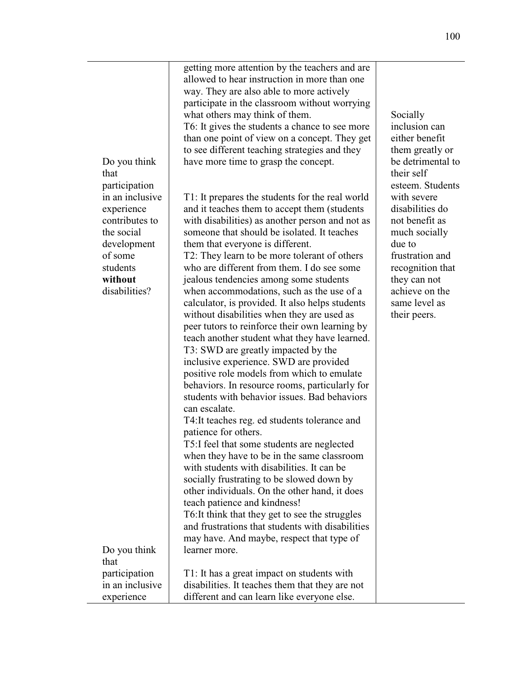| Do you think<br>that<br>participation                                                                                           | getting more attention by the teachers and are<br>allowed to hear instruction in more than one<br>way. They are also able to more actively<br>participate in the classroom without worrying<br>what others may think of them.<br>T6: It gives the students a chance to see more<br>than one point of view on a concept. They get<br>to see different teaching strategies and they<br>have more time to grasp the concept.                                                                                                                                                                                                                                                                                                                                                                                                                                                                                                                                                                                                                                                                                                                                                                                                                                                                                                                | Socially<br>inclusion can<br>either benefit<br>them greatly or<br>be detrimental to<br>their self<br>esteem. Students                                                                 |
|---------------------------------------------------------------------------------------------------------------------------------|------------------------------------------------------------------------------------------------------------------------------------------------------------------------------------------------------------------------------------------------------------------------------------------------------------------------------------------------------------------------------------------------------------------------------------------------------------------------------------------------------------------------------------------------------------------------------------------------------------------------------------------------------------------------------------------------------------------------------------------------------------------------------------------------------------------------------------------------------------------------------------------------------------------------------------------------------------------------------------------------------------------------------------------------------------------------------------------------------------------------------------------------------------------------------------------------------------------------------------------------------------------------------------------------------------------------------------------|---------------------------------------------------------------------------------------------------------------------------------------------------------------------------------------|
| in an inclusive<br>experience<br>contributes to<br>the social<br>development<br>of some<br>students<br>without<br>disabilities? | T1: It prepares the students for the real world<br>and it teaches them to accept them (students<br>with disabilities) as another person and not as<br>someone that should be isolated. It teaches<br>them that everyone is different.<br>T2: They learn to be more tolerant of others<br>who are different from them. I do see some<br>jealous tendencies among some students<br>when accommodations, such as the use of a<br>calculator, is provided. It also helps students<br>without disabilities when they are used as<br>peer tutors to reinforce their own learning by<br>teach another student what they have learned.<br>T3: SWD are greatly impacted by the<br>inclusive experience. SWD are provided<br>positive role models from which to emulate<br>behaviors. In resource rooms, particularly for<br>students with behavior issues. Bad behaviors<br>can escalate.<br>T4: It teaches reg. ed students tolerance and<br>patience for others.<br>T5:I feel that some students are neglected<br>when they have to be in the same classroom<br>with students with disabilities. It can be<br>socially frustrating to be slowed down by<br>other individuals. On the other hand, it does<br>teach patience and kindness!<br>T6: It think that they get to see the struggles<br>and frustrations that students with disabilities | with severe<br>disabilities do<br>not benefit as<br>much socially<br>due to<br>frustration and<br>recognition that<br>they can not<br>achieve on the<br>same level as<br>their peers. |
| Do you think                                                                                                                    | may have. And maybe, respect that type of<br>learner more.                                                                                                                                                                                                                                                                                                                                                                                                                                                                                                                                                                                                                                                                                                                                                                                                                                                                                                                                                                                                                                                                                                                                                                                                                                                                               |                                                                                                                                                                                       |
| that                                                                                                                            |                                                                                                                                                                                                                                                                                                                                                                                                                                                                                                                                                                                                                                                                                                                                                                                                                                                                                                                                                                                                                                                                                                                                                                                                                                                                                                                                          |                                                                                                                                                                                       |
| participation                                                                                                                   | T1: It has a great impact on students with                                                                                                                                                                                                                                                                                                                                                                                                                                                                                                                                                                                                                                                                                                                                                                                                                                                                                                                                                                                                                                                                                                                                                                                                                                                                                               |                                                                                                                                                                                       |
| in an inclusive                                                                                                                 | disabilities. It teaches them that they are not                                                                                                                                                                                                                                                                                                                                                                                                                                                                                                                                                                                                                                                                                                                                                                                                                                                                                                                                                                                                                                                                                                                                                                                                                                                                                          |                                                                                                                                                                                       |
| experience                                                                                                                      | different and can learn like everyone else.                                                                                                                                                                                                                                                                                                                                                                                                                                                                                                                                                                                                                                                                                                                                                                                                                                                                                                                                                                                                                                                                                                                                                                                                                                                                                              |                                                                                                                                                                                       |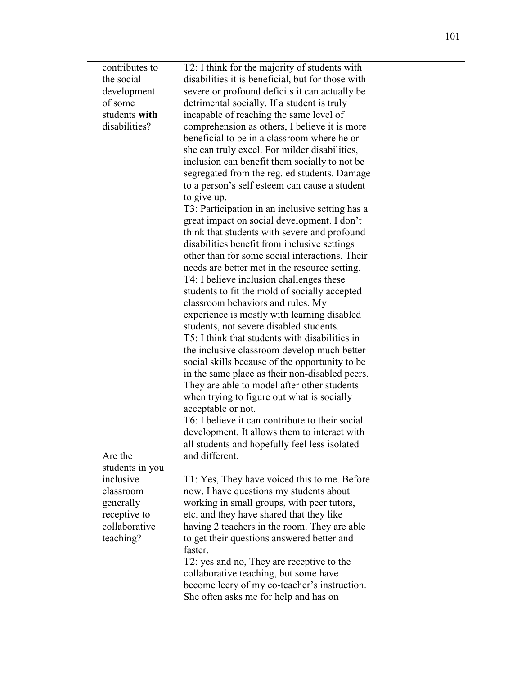| contributes to  | T2: I think for the majority of students with     |  |
|-----------------|---------------------------------------------------|--|
| the social      | disabilities it is beneficial, but for those with |  |
| development     | severe or profound deficits it can actually be    |  |
| of some         | detrimental socially. If a student is truly       |  |
| students with   | incapable of reaching the same level of           |  |
| disabilities?   | comprehension as others, I believe it is more     |  |
|                 | beneficial to be in a classroom where he or       |  |
|                 |                                                   |  |
|                 | she can truly excel. For milder disabilities,     |  |
|                 | inclusion can benefit them socially to not be     |  |
|                 | segregated from the reg. ed students. Damage      |  |
|                 | to a person's self esteem can cause a student     |  |
|                 | to give up.                                       |  |
|                 | T3: Participation in an inclusive setting has a   |  |
|                 | great impact on social development. I don't       |  |
|                 | think that students with severe and profound      |  |
|                 | disabilities benefit from inclusive settings      |  |
|                 | other than for some social interactions. Their    |  |
|                 |                                                   |  |
|                 | needs are better met in the resource setting.     |  |
|                 | T4: I believe inclusion challenges these          |  |
|                 | students to fit the mold of socially accepted     |  |
|                 | classroom behaviors and rules. My                 |  |
|                 | experience is mostly with learning disabled       |  |
|                 | students, not severe disabled students.           |  |
|                 | T5: I think that students with disabilities in    |  |
|                 | the inclusive classroom develop much better       |  |
|                 | social skills because of the opportunity to be    |  |
|                 | in the same place as their non-disabled peers.    |  |
|                 | They are able to model after other students       |  |
|                 | when trying to figure out what is socially        |  |
|                 | acceptable or not.                                |  |
|                 | T6: I believe it can contribute to their social   |  |
|                 | development. It allows them to interact with      |  |
|                 |                                                   |  |
|                 | all students and hopefully feel less isolated     |  |
| Are the         | and different.                                    |  |
| students in you |                                                   |  |
| inclusive       | T1: Yes, They have voiced this to me. Before      |  |
| classroom       | now, I have questions my students about           |  |
| generally       | working in small groups, with peer tutors,        |  |
| receptive to    | etc. and they have shared that they like          |  |
| collaborative   | having 2 teachers in the room. They are able      |  |
| teaching?       | to get their questions answered better and        |  |
|                 | faster.                                           |  |
|                 | T2: yes and no, They are receptive to the         |  |
|                 | collaborative teaching, but some have             |  |
|                 | become leery of my co-teacher's instruction.      |  |
|                 | She often asks me for help and has on             |  |
|                 |                                                   |  |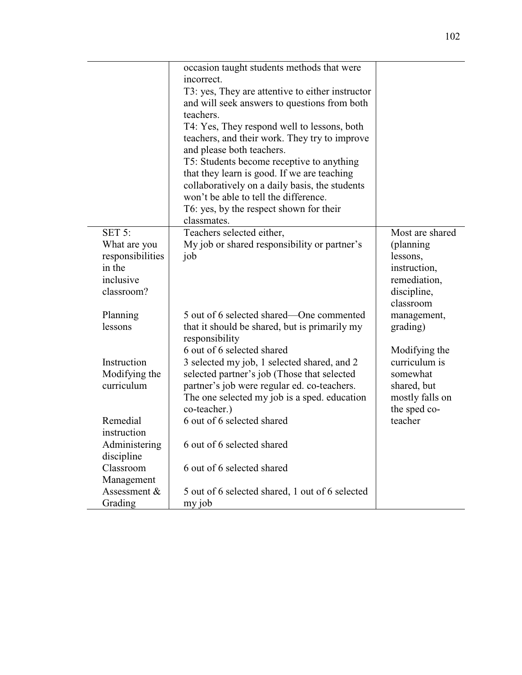|                  | occasion taught students methods that were       |                 |
|------------------|--------------------------------------------------|-----------------|
|                  | incorrect.                                       |                 |
|                  | T3: yes, They are attentive to either instructor |                 |
|                  | and will seek answers to questions from both     |                 |
|                  | teachers.                                        |                 |
|                  | T4: Yes, They respond well to lessons, both      |                 |
|                  | teachers, and their work. They try to improve    |                 |
|                  | and please both teachers.                        |                 |
|                  | T5: Students become receptive to anything        |                 |
|                  | that they learn is good. If we are teaching      |                 |
|                  | collaboratively on a daily basis, the students   |                 |
|                  | won't be able to tell the difference.            |                 |
|                  | T6: yes, by the respect shown for their          |                 |
|                  | classmates.                                      |                 |
| SET 5:           | Teachers selected either,                        | Most are shared |
| What are you     | My job or shared responsibility or partner's     | (planning)      |
| responsibilities | job                                              | lessons,        |
| in the           |                                                  | instruction,    |
| inclusive        |                                                  | remediation,    |
| classroom?       |                                                  | discipline,     |
|                  |                                                  | classroom       |
| Planning         | 5 out of 6 selected shared—One commented         | management,     |
| lessons          | that it should be shared, but is primarily my    | grading)        |
|                  | responsibility                                   |                 |
|                  | 6 out of 6 selected shared                       | Modifying the   |
| Instruction      | 3 selected my job, 1 selected shared, and 2      | curriculum is   |
| Modifying the    | selected partner's job (Those that selected      | somewhat        |
| curriculum       | partner's job were regular ed. co-teachers.      | shared, but     |
|                  | The one selected my job is a sped. education     | mostly falls on |
|                  | co-teacher.)                                     | the sped co-    |
| Remedial         | 6 out of 6 selected shared                       | teacher         |
| instruction      |                                                  |                 |
| Administering    | 6 out of 6 selected shared                       |                 |
| discipline       |                                                  |                 |
| Classroom        | 6 out of 6 selected shared                       |                 |
| Management       |                                                  |                 |
| Assessment &     | 5 out of 6 selected shared, 1 out of 6 selected  |                 |
| Grading          | my job                                           |                 |
|                  |                                                  |                 |